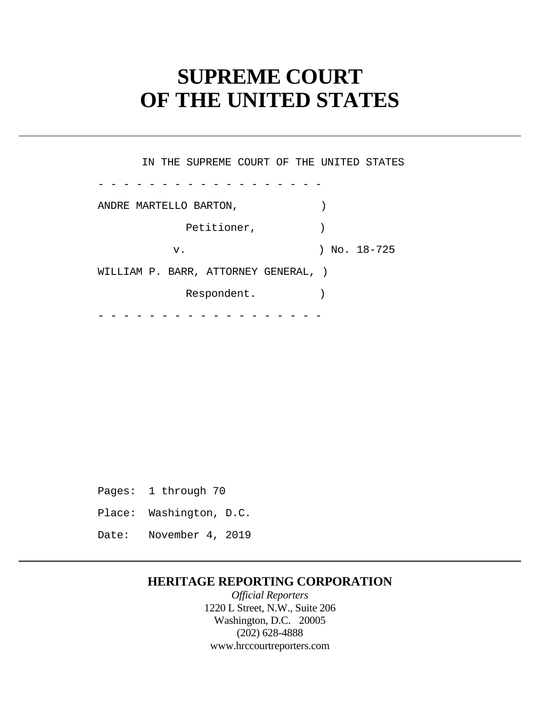# **SUPREME COURT OF THE UNITED STATES**

- - - - - - - - - - - - - - - - - - - - - - - - - - - - - - - - - - - - IN THE SUPREME COURT OF THE UNITED STATES ANDRE MARTELLO BARTON,  $\hspace{2cm}$ Petitioner,  $)$ v. ) No. 18-725 WILLIAM P. BARR, ATTORNEY GENERAL, ) Respondent.

Pages: 1 through 70 Place: Washington, D.C. Date: November 4, 2019

## **HERITAGE REPORTING CORPORATION**

*Official Reporters*  1220 L Street, N.W., Suite 206 Washington, D.C. 20005 (202) 628-4888 <www.hrccourtreporters.com>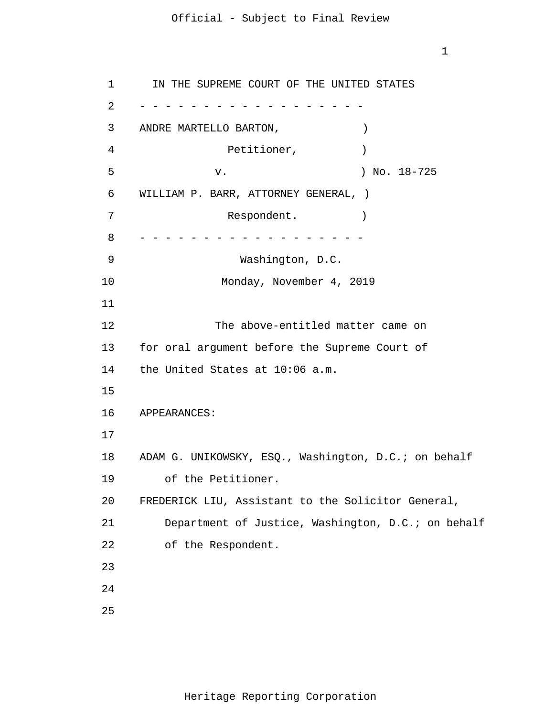1

```
1 
 2 
 3 
 4 
 5 
6 
7 
8 
9 
10 
11
12 
13 
14 
15
16 
17
18 
19 
20 
21 
22 
23
24
25
     - - - - - - - - - - - - - - - - - -
      - - - - - - - - - - - - - - - - - -
       IN THE SUPREME COURT OF THE UNITED STATES 
     ANDRE MARTELLO BARTON, )Petitioner, (1998)
                 v. ) No. 18-725 
     WILLIAM P. BARR, ATTORNEY GENERAL, ) 
                   Respondent.
                    Washington, D.C. 
                  Monday, November 4, 2019 
                 The above-entitled matter came on 
     for oral argument before the Supreme Court of 
     the United States at 10:06 a.m. 
     APPEARANCES: 
     ADAM G. UNIKOWSKY, ESQ., Washington, D.C.; on behalf 
         of the Petitioner. 
     FREDERICK LIU, Assistant to the Solicitor General, 
         Department of Justice, Washington, D.C.; on behalf 
         of the Respondent.
```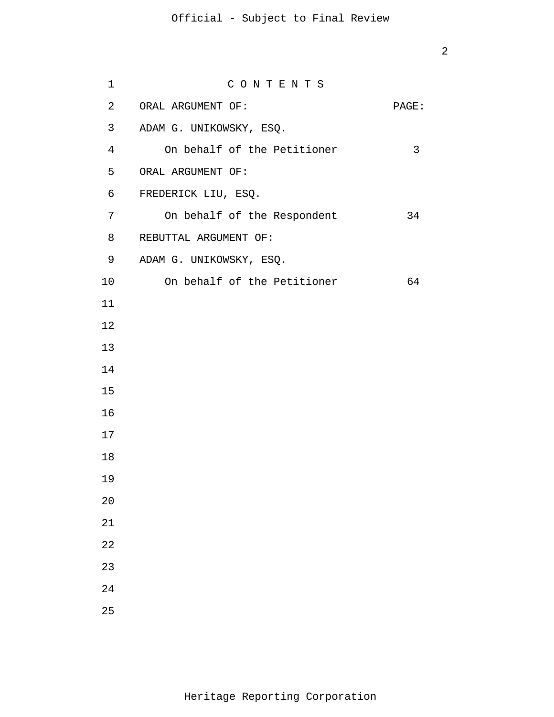| 1               | CONTENTS                    |       |
|-----------------|-----------------------------|-------|
| $\overline{a}$  | ORAL ARGUMENT OF:           | PAGE: |
| 3               | ADAM G. UNIKOWSKY, ESQ.     |       |
| $\overline{4}$  | On behalf of the Petitioner | 3     |
| 5               | ORAL ARGUMENT OF:           |       |
| 6               | FREDERICK LIU, ESQ.         |       |
| $\overline{7}$  | On behalf of the Respondent | 34    |
| 8               | REBUTTAL ARGUMENT OF:       |       |
| 9               | ADAM G. UNIKOWSKY, ESQ.     |       |
| 10 <sub>1</sub> | On behalf of the Petitioner | 64    |
| 11              |                             |       |
| 12              |                             |       |
| 13              |                             |       |
| 14              |                             |       |
| 15              |                             |       |
| 16              |                             |       |
| 17              |                             |       |
| 18              |                             |       |
| 19              |                             |       |
| 20              |                             |       |
| 21              |                             |       |
| 22              |                             |       |
| 23              |                             |       |
| 24              |                             |       |
| 25              |                             |       |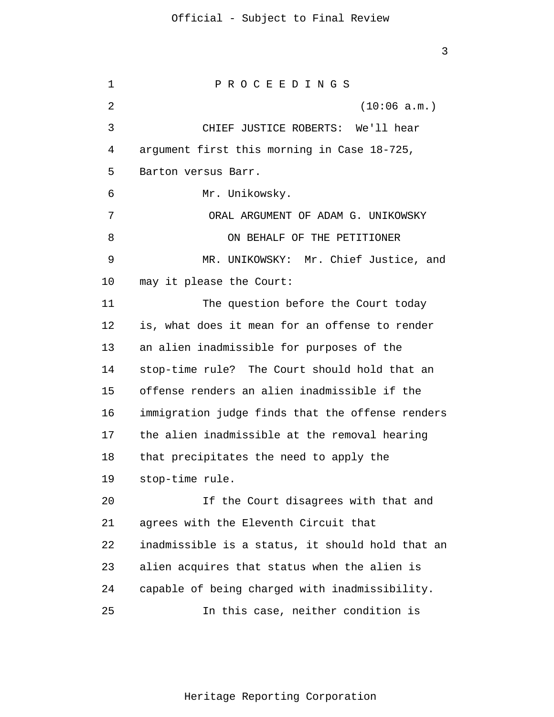1  $\overline{2}$ 3 4 5 6 7 8 9 10 11 12 13 14 15 16 17 18 19 20 21 22 23 24 25 P R O C E E D I N G S (10:06 a.m.) CHIEF JUSTICE ROBERTS: We'll hear argument first this morning in Case 18-725, Barton versus Barr. Mr. Unikowsky. ORAL ARGUMENT OF ADAM G. UNIKOWSKY ON BEHALF OF THE PETITIONER MR. UNIKOWSKY: Mr. Chief Justice, and may it please the Court: The question before the Court today is, what does it mean for an offense to render an alien inadmissible for purposes of the stop-time rule? The Court should hold that an offense renders an alien inadmissible if the immigration judge finds that the offense renders the alien inadmissible at the removal hearing that precipitates the need to apply the stop-time rule. If the Court disagrees with that and agrees with the Eleventh Circuit that inadmissible is a status, it should hold that an alien acquires that status when the alien is capable of being charged with inadmissibility. In this case, neither condition is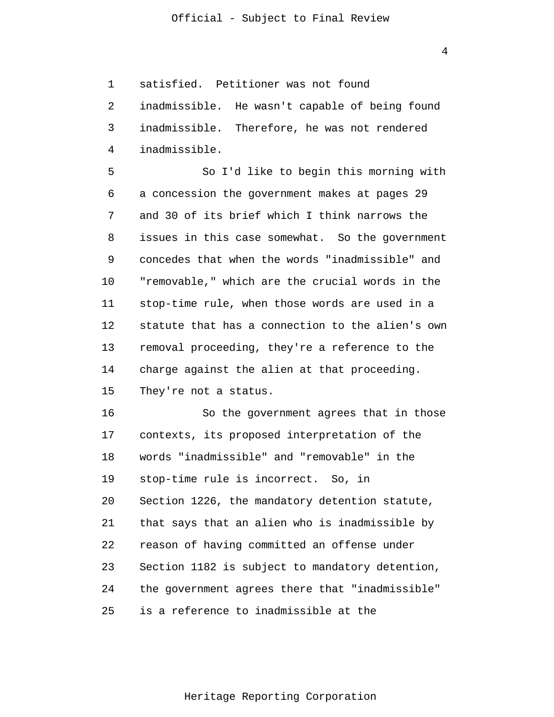4

1 satisfied. Petitioner was not found

2 3 4 inadmissible. He wasn't capable of being found inadmissible. Therefore, he was not rendered inadmissible.

5 6 7 8 9 10 11 12 13 14 15 So I'd like to begin this morning with a concession the government makes at pages 29 and 30 of its brief which I think narrows the issues in this case somewhat. So the government concedes that when the words "inadmissible" and "removable," which are the crucial words in the stop-time rule, when those words are used in a statute that has a connection to the alien's own removal proceeding, they're a reference to the charge against the alien at that proceeding. They're not a status.

16 17 18 19 20 21 22 23 24 25 So the government agrees that in those contexts, its proposed interpretation of the words "inadmissible" and "removable" in the stop-time rule is incorrect. So, in Section 1226, the mandatory detention statute, that says that an alien who is inadmissible by reason of having committed an offense under Section 1182 is subject to mandatory detention, the government agrees there that "inadmissible" is a reference to inadmissible at the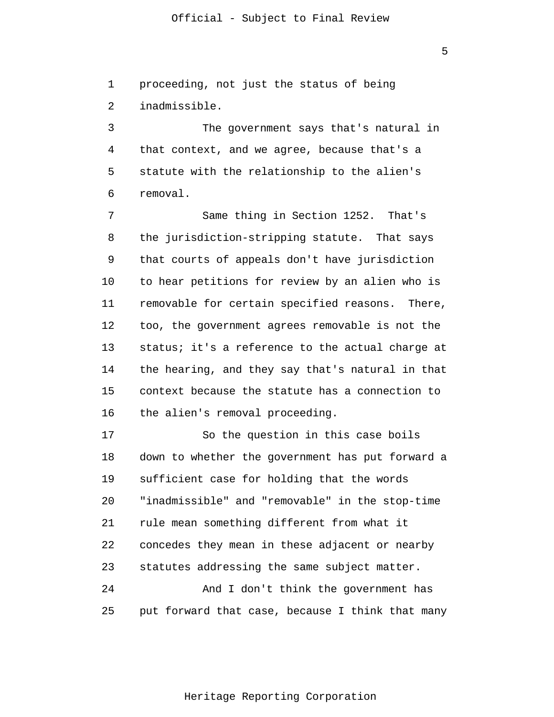5

1  $\overline{2}$ proceeding, not just the status of being inadmissible.

3 4 5 6 The government says that's natural in that context, and we agree, because that's a statute with the relationship to the alien's removal.

7 8 9 10 11 12 13 14 15 16 Same thing in Section 1252. That's the jurisdiction-stripping statute. That says that courts of appeals don't have jurisdiction to hear petitions for review by an alien who is removable for certain specified reasons. There, too, the government agrees removable is not the status; it's a reference to the actual charge at the hearing, and they say that's natural in that context because the statute has a connection to the alien's removal proceeding.

17 18 19 20 21 22 23 24 25 So the question in this case boils down to whether the government has put forward a sufficient case for holding that the words "inadmissible" and "removable" in the stop-time rule mean something different from what it concedes they mean in these adjacent or nearby statutes addressing the same subject matter. And I don't think the government has put forward that case, because I think that many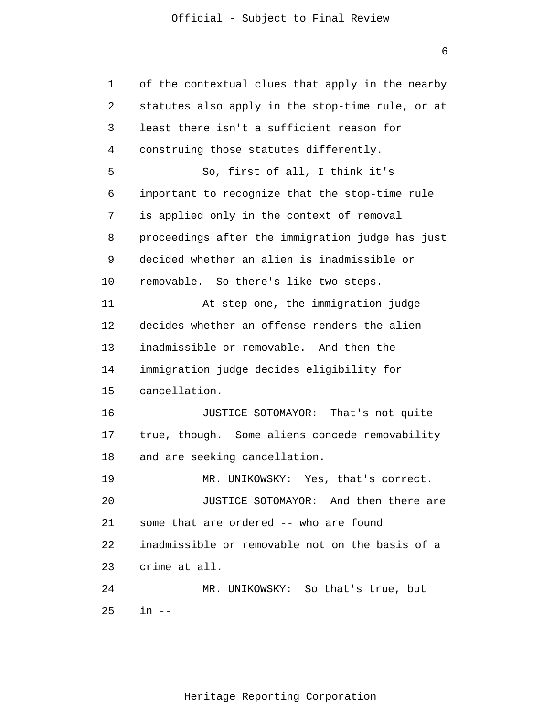6

| 1  | of the contextual clues that apply in the nearby |
|----|--------------------------------------------------|
| 2  | statutes also apply in the stop-time rule, or at |
| 3  | least there isn't a sufficient reason for        |
| 4  | construing those statutes differently.           |
| 5  | So, first of all, I think it's                   |
| 6  | important to recognize that the stop-time rule   |
| 7  | is applied only in the context of removal        |
| 8  | proceedings after the immigration judge has just |
| 9  | decided whether an alien is inadmissible or      |
| 10 | removable. So there's like two steps.            |
| 11 | At step one, the immigration judge               |
| 12 | decides whether an offense renders the alien     |
| 13 | inadmissible or removable. And then the          |
| 14 | immigration judge decides eligibility for        |
| 15 | cancellation.                                    |
| 16 | JUSTICE SOTOMAYOR: That's not quite              |
| 17 | true, though. Some aliens concede removability   |
| 18 | and are seeking cancellation.                    |
| 19 | Yes, that's correct.<br>MR. UNIKOWSKY:           |
| 20 | JUSTICE SOTOMAYOR: And then there are            |
| 21 | some that are ordered -- who are found           |
| 22 | inadmissible or removable not on the basis of a  |
| 23 | crime at all.                                    |
| 24 | MR. UNIKOWSKY: So that's true, but               |
| 25 | in --                                            |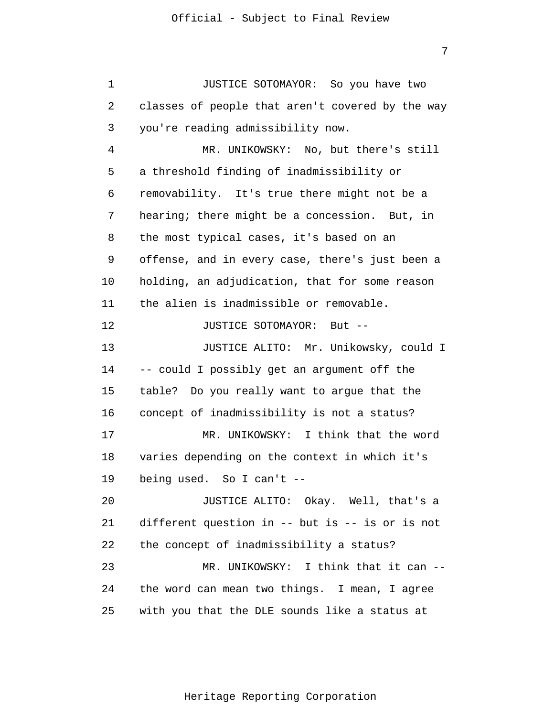1 2 3 4 5 6 7 8 9 10 11 12 13 14 15 16 17 18 19 20 21 22 23 24 25 JUSTICE SOTOMAYOR: So you have two classes of people that aren't covered by the way you're reading admissibility now. MR. UNIKOWSKY: No, but there's still a threshold finding of inadmissibility or removability. It's true there might not be a hearing; there might be a concession. But, in the most typical cases, it's based on an offense, and in every case, there's just been a holding, an adjudication, that for some reason the alien is inadmissible or removable. JUSTICE SOTOMAYOR: But -- JUSTICE ALITO: Mr. Unikowsky, could I -- could I possibly get an argument off the table? Do you really want to argue that the concept of inadmissibility is not a status? MR. UNIKOWSKY: I think that the word varies depending on the context in which it's being used. So I can't -- JUSTICE ALITO: Okay. Well, that's a different question in -- but is -- is or is not the concept of inadmissibility a status? MR. UNIKOWSKY: I think that it can -the word can mean two things. I mean, I agree with you that the DLE sounds like a status at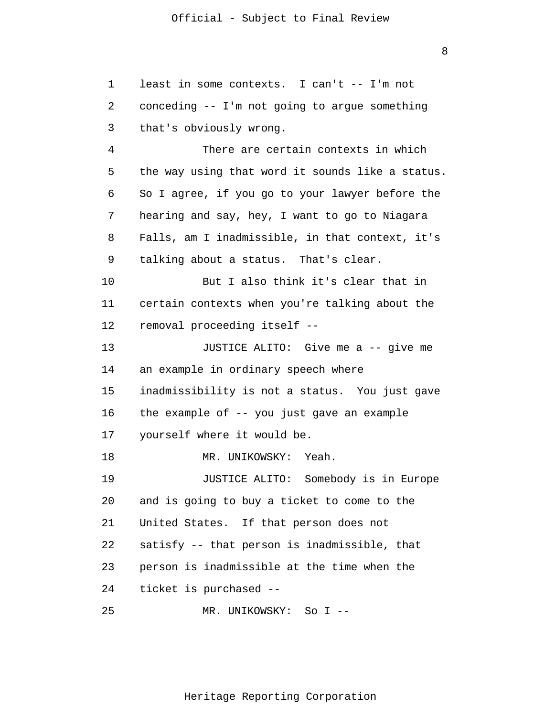1  $\overline{2}$ 3 4 5 6 7 8 9 10 11 12 13 14 15 16 17 18 19 20 21 22 23 24 25 least in some contexts. I can't -- I'm not conceding -- I'm not going to argue something that's obviously wrong. There are certain contexts in which the way using that word it sounds like a status. So I agree, if you go to your lawyer before the hearing and say, hey, I want to go to Niagara Falls, am I inadmissible, in that context, it's talking about a status. That's clear. But I also think it's clear that in certain contexts when you're talking about the removal proceeding itself -- JUSTICE ALITO: Give me a -- give me an example in ordinary speech where inadmissibility is not a status. You just gave the example of -- you just gave an example yourself where it would be. MR. UNIKOWSKY: Yeah. JUSTICE ALITO: Somebody is in Europe and is going to buy a ticket to come to the United States. If that person does not satisfy -- that person is inadmissible, that person is inadmissible at the time when the ticket is purchased -- MR. UNIKOWSKY: So I --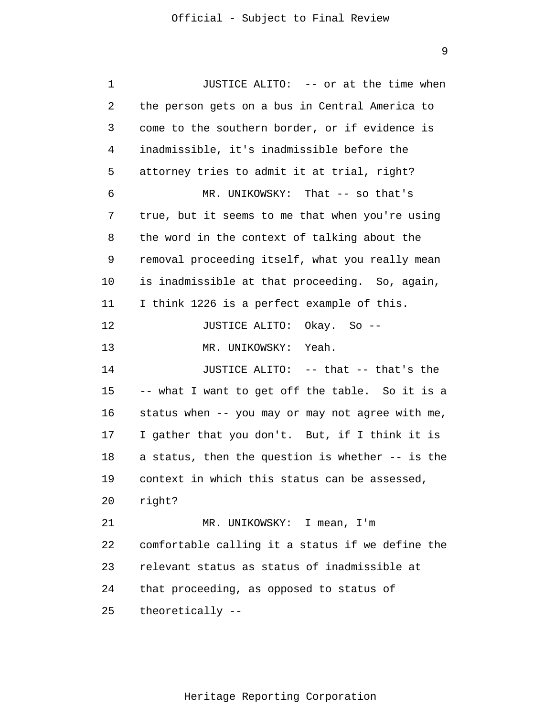1 2 3 4 5 6 7 8 9 10 11 12 13 14 15 16 17 18 19 20 21 22 23 24 25 JUSTICE ALITO: -- or at the time when the person gets on a bus in Central America to come to the southern border, or if evidence is inadmissible, it's inadmissible before the attorney tries to admit it at trial, right? MR. UNIKOWSKY: That -- so that's true, but it seems to me that when you're using the word in the context of talking about the removal proceeding itself, what you really mean is inadmissible at that proceeding. So, again, I think 1226 is a perfect example of this. JUSTICE ALITO: Okay. So -- MR. UNIKOWSKY: Yeah. JUSTICE ALITO: -- that -- that's the -- what I want to get off the table. So it is a status when -- you may or may not agree with me, I gather that you don't. But, if I think it is a status, then the question is whether -- is the context in which this status can be assessed, right? MR. UNIKOWSKY: I mean, I'm comfortable calling it a status if we define the relevant status as status of inadmissible at that proceeding, as opposed to status of theoretically --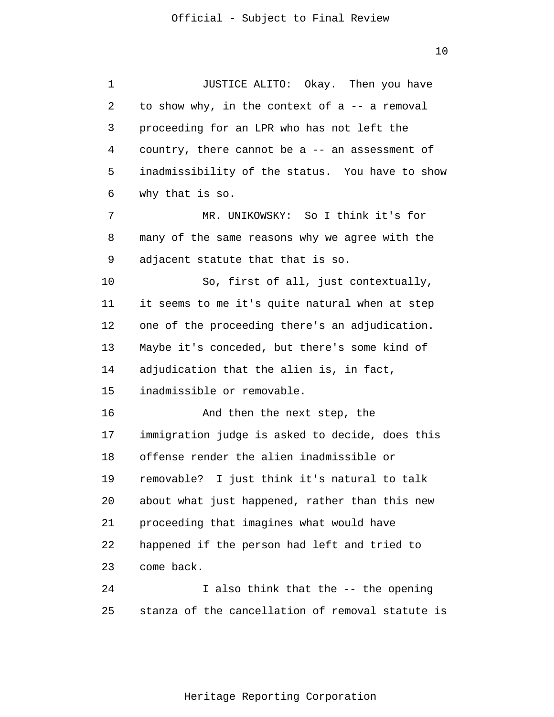1 2 3 4 5 6 7 8 9 10 11 12 13 14 15 16 17 18 19 20 21 22 23 24 25 JUSTICE ALITO: Okay. Then you have to show why, in the context of  $a$  -- a removal proceeding for an LPR who has not left the country, there cannot be a -- an assessment of inadmissibility of the status. You have to show why that is so. MR. UNIKOWSKY: So I think it's for many of the same reasons why we agree with the adjacent statute that that is so. So, first of all, just contextually, it seems to me it's quite natural when at step one of the proceeding there's an adjudication. Maybe it's conceded, but there's some kind of adjudication that the alien is, in fact, inadmissible or removable. And then the next step, the immigration judge is asked to decide, does this offense render the alien inadmissible or removable? I just think it's natural to talk about what just happened, rather than this new proceeding that imagines what would have happened if the person had left and tried to come back. I also think that the -- the opening stanza of the cancellation of removal statute is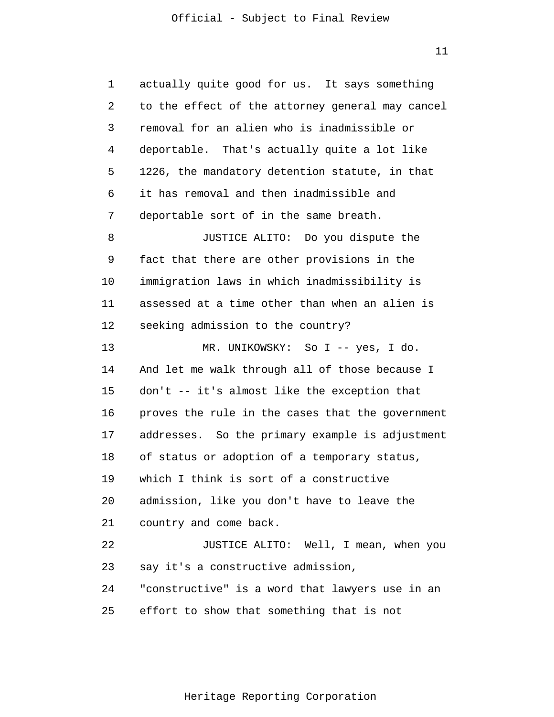11

1  $\overline{2}$ 3 4 5 6 7 8 9 10 11 12 13 14 15 16 17 18 19 20 21 22 23 24 25 actually quite good for us. It says something to the effect of the attorney general may cancel removal for an alien who is inadmissible or deportable. That's actually quite a lot like 1226, the mandatory detention statute, in that it has removal and then inadmissible and deportable sort of in the same breath. JUSTICE ALITO: Do you dispute the fact that there are other provisions in the immigration laws in which inadmissibility is assessed at a time other than when an alien is seeking admission to the country? MR. UNIKOWSKY: So I -- yes, I do. And let me walk through all of those because I don't -- it's almost like the exception that proves the rule in the cases that the government addresses. So the primary example is adjustment of status or adoption of a temporary status, which I think is sort of a constructive admission, like you don't have to leave the country and come back. JUSTICE ALITO: Well, I mean, when you say it's a constructive admission, "constructive" is a word that lawyers use in an effort to show that something that is not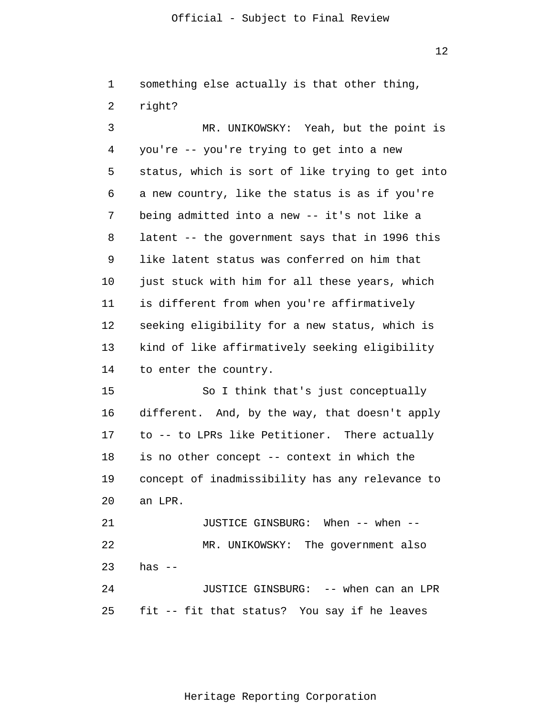12

1 2 something else actually is that other thing, right?

3 4 5 6 7 8 9 10 11 12 13 14 15 16 17 18 19 20 21 22 23 24 MR. UNIKOWSKY: Yeah, but the point is you're -- you're trying to get into a new status, which is sort of like trying to get into a new country, like the status is as if you're being admitted into a new -- it's not like a latent -- the government says that in 1996 this like latent status was conferred on him that just stuck with him for all these years, which is different from when you're affirmatively seeking eligibility for a new status, which is kind of like affirmatively seeking eligibility to enter the country. So I think that's just conceptually different. And, by the way, that doesn't apply to -- to LPRs like Petitioner. There actually is no other concept -- context in which the concept of inadmissibility has any relevance to an LPR. JUSTICE GINSBURG: When -- when -- MR. UNIKOWSKY: The government also has  $--$ JUSTICE GINSBURG: -- when can an LPR

25 fit -- fit that status? You say if he leaves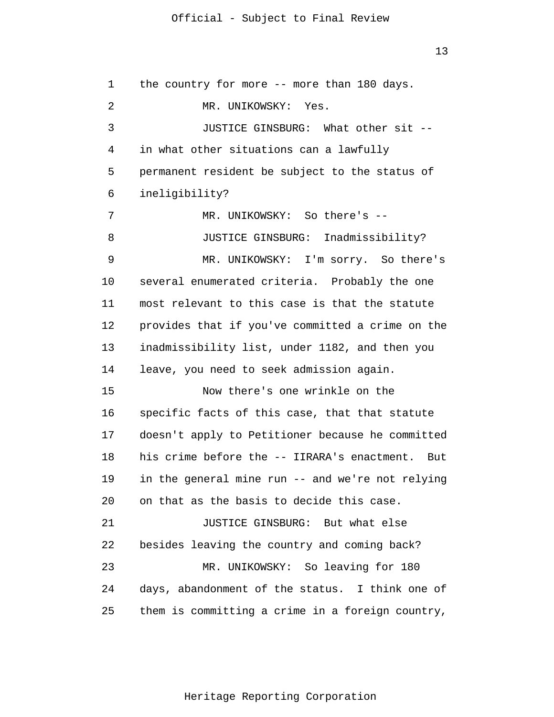13

1  $\overline{2}$ 3 4 5 6 7 8 9 10 11 12 13 14 15 16 17 18 19 20 21 22 23 24 25 the country for more -- more than 180 days. MR. UNIKOWSKY: Yes. JUSTICE GINSBURG: What other sit - in what other situations can a lawfully permanent resident be subject to the status of ineligibility? MR. UNIKOWSKY: So there's -- JUSTICE GINSBURG: Inadmissibility? MR. UNIKOWSKY: I'm sorry. So there's several enumerated criteria. Probably the one most relevant to this case is that the statute provides that if you've committed a crime on the inadmissibility list, under 1182, and then you leave, you need to seek admission again. Now there's one wrinkle on the specific facts of this case, that that statute doesn't apply to Petitioner because he committed his crime before the -- IIRARA's enactment. But in the general mine run -- and we're not relying on that as the basis to decide this case. JUSTICE GINSBURG: But what else besides leaving the country and coming back? MR. UNIKOWSKY: So leaving for 180 days, abandonment of the status. I think one of them is committing a crime in a foreign country,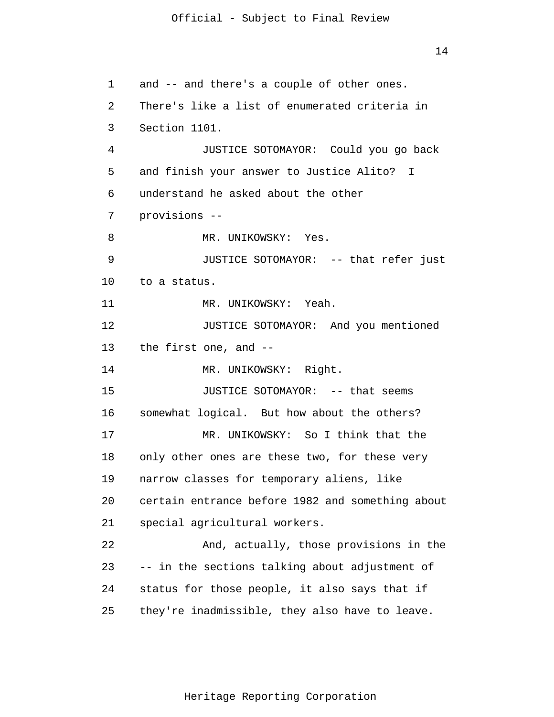1  $\overline{2}$ 3 4 5 6 7 8 9 10 11 12 13 14 15 16 17 18 19 20 21 22 23 24 25 and -- and there's a couple of other ones. There's like a list of enumerated criteria in Section 1101. JUSTICE SOTOMAYOR: Could you go back and finish your answer to Justice Alito? I understand he asked about the other provisions -- MR. UNIKOWSKY: Yes. JUSTICE SOTOMAYOR: -- that refer just to a status. MR. UNIKOWSKY: Yeah. JUSTICE SOTOMAYOR: And you mentioned the first one, and -- MR. UNIKOWSKY: Right. JUSTICE SOTOMAYOR: -- that seems somewhat logical. But how about the others? MR. UNIKOWSKY: So I think that the only other ones are these two, for these very narrow classes for temporary aliens, like certain entrance before 1982 and something about special agricultural workers. And, actually, those provisions in the -- in the sections talking about adjustment of status for those people, it also says that if they're inadmissible, they also have to leave.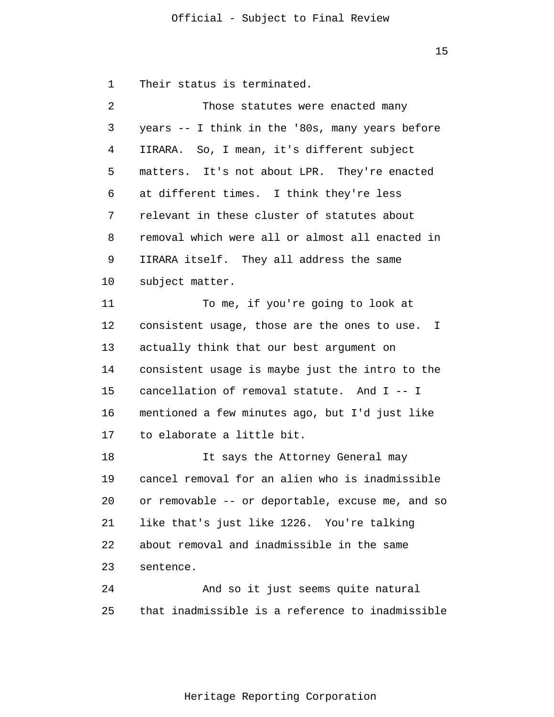1 Their status is terminated.

| 2  | Those statutes were enacted many                 |  |
|----|--------------------------------------------------|--|
| 3  | years -- I think in the '80s, many years before  |  |
| 4  | IIRARA. So, I mean, it's different subject       |  |
| 5  | matters. It's not about LPR. They're enacted     |  |
| 6  | at different times. I think they're less         |  |
| 7  | relevant in these cluster of statutes about      |  |
| 8  | removal which were all or almost all enacted in  |  |
| 9  | IIRARA itself. They all address the same         |  |
| 10 | subject matter.                                  |  |
| 11 | To me, if you're going to look at                |  |
| 12 | consistent usage, those are the ones to use. I   |  |
| 13 | actually think that our best argument on         |  |
| 14 | consistent usage is maybe just the intro to the  |  |
| 15 | cancellation of removal statute. And I -- I      |  |
| 16 | mentioned a few minutes ago, but I'd just like   |  |
| 17 | to elaborate a little bit.                       |  |
| 18 | It says the Attorney General may                 |  |
| 19 | cancel removal for an alien who is inadmissible  |  |
| 20 | or removable -- or deportable, excuse me, and so |  |
| 21 | like that's just like 1226. You're talking       |  |
| 22 | about removal and inadmissible in the same       |  |
| 23 | sentence.                                        |  |
| 24 | And so it just seems quite natural               |  |
| 25 | that inadmissible is a reference to inadmissible |  |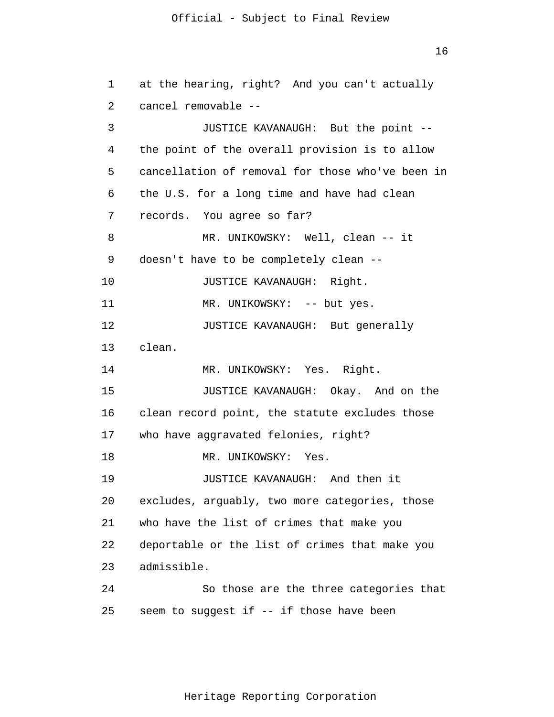16

1  $\overline{2}$ 3 4 5 6 7 8 9 10 11 12 13 14 15 16 17 18 19 20 21 22 23 24 25 at the hearing, right? And you can't actually cancel removable -- JUSTICE KAVANAUGH: But the point - the point of the overall provision is to allow cancellation of removal for those who've been in the U.S. for a long time and have had clean records. You agree so far? MR. UNIKOWSKY: Well, clean -- it doesn't have to be completely clean -- JUSTICE KAVANAUGH: Right. MR. UNIKOWSKY: -- but yes. JUSTICE KAVANAUGH: But generally clean. MR. UNIKOWSKY: Yes. Right. JUSTICE KAVANAUGH: Okay. And on the clean record point, the statute excludes those who have aggravated felonies, right? MR. UNIKOWSKY: Yes. JUSTICE KAVANAUGH: And then it excludes, arguably, two more categories, those who have the list of crimes that make you deportable or the list of crimes that make you admissible. So those are the three categories that seem to suggest if -- if those have been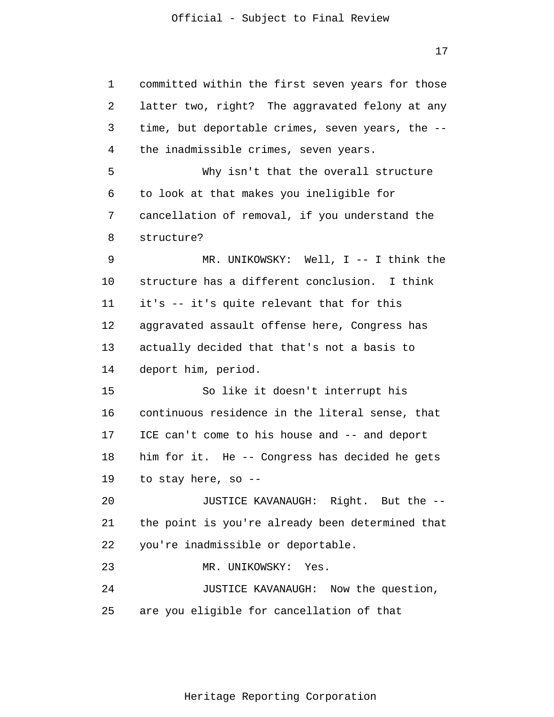17

1 2 3 4 5 6 7 8 9 10 11 12 13 14 15 16 17 18 19 20 21 22 23 24 25 committed within the first seven years for those latter two, right? The aggravated felony at any time, but deportable crimes, seven years, the - the inadmissible crimes, seven years. Why isn't that the overall structure to look at that makes you ineligible for cancellation of removal, if you understand the structure? MR. UNIKOWSKY: Well, I -- I think the structure has a different conclusion. I think it's -- it's quite relevant that for this aggravated assault offense here, Congress has actually decided that that's not a basis to deport him, period. So like it doesn't interrupt his continuous residence in the literal sense, that ICE can't come to his house and -- and deport him for it. He -- Congress has decided he gets to stay here, so -- JUSTICE KAVANAUGH: Right. But the - the point is you're already been determined that you're inadmissible or deportable. MR. UNIKOWSKY: Yes. JUSTICE KAVANAUGH: Now the question, are you eligible for cancellation of that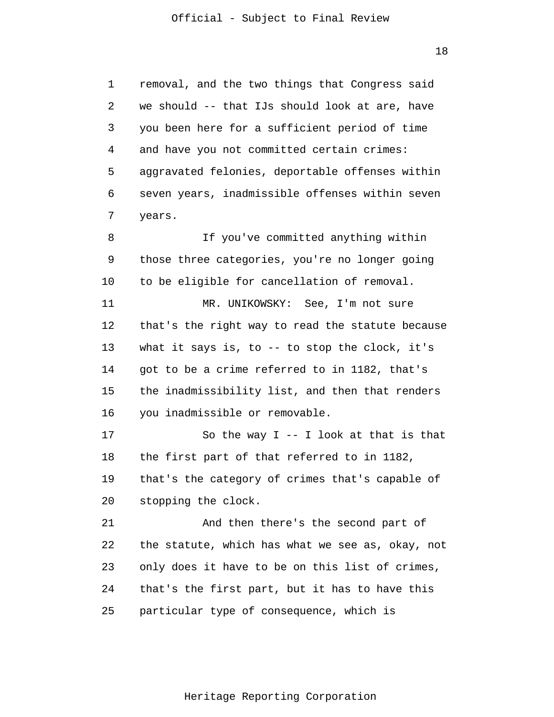1  $\overline{2}$ 3 4 5 6 7 8 9 10 11 12 13 14 15 16 17 18 19 20 21 22 23 24 25 removal, and the two things that Congress said we should -- that IJs should look at are, have you been here for a sufficient period of time and have you not committed certain crimes: aggravated felonies, deportable offenses within seven years, inadmissible offenses within seven years. If you've committed anything within those three categories, you're no longer going to be eligible for cancellation of removal. MR. UNIKOWSKY: See, I'm not sure that's the right way to read the statute because what it says is, to -- to stop the clock, it's got to be a crime referred to in 1182, that's the inadmissibility list, and then that renders you inadmissible or removable. So the way  $I - - I$  look at that is that the first part of that referred to in 1182, that's the category of crimes that's capable of stopping the clock. And then there's the second part of the statute, which has what we see as, okay, not only does it have to be on this list of crimes, that's the first part, but it has to have this particular type of consequence, which is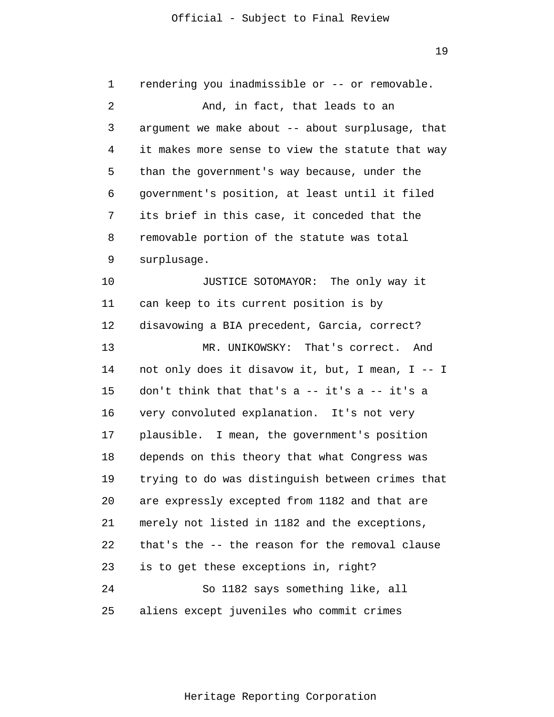1  $\overline{2}$ 3 4 5 6 7 8 9 10 11 12 13 14 15 16 17 18 19 20 21 22 23 24 25 rendering you inadmissible or -- or removable. And, in fact, that leads to an argument we make about -- about surplusage, that it makes more sense to view the statute that way than the government's way because, under the government's position, at least until it filed its brief in this case, it conceded that the removable portion of the statute was total surplusage. JUSTICE SOTOMAYOR: The only way it can keep to its current position is by disavowing a BIA precedent, Garcia, correct? MR. UNIKOWSKY: That's correct. And not only does it disavow it, but, I mean, I -- I don't think that that's a -- it's a -- it's a very convoluted explanation. It's not very plausible. I mean, the government's position depends on this theory that what Congress was trying to do was distinguish between crimes that are expressly excepted from 1182 and that are merely not listed in 1182 and the exceptions, that's the -- the reason for the removal clause is to get these exceptions in, right? So 1182 says something like, all aliens except juveniles who commit crimes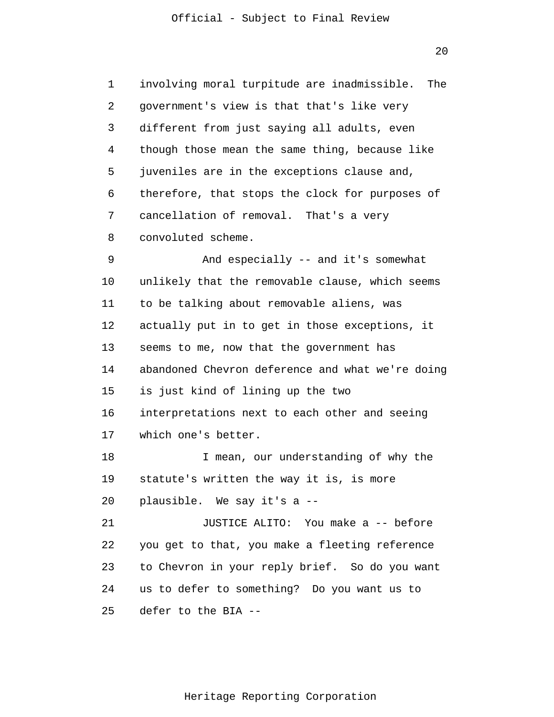$20$ 

1 2 3 4 5 6 7 8 9 10 11 12 13 14 15 16 17 18 19 20 21 22 23 24 25 involving moral turpitude are inadmissible. The government's view is that that's like very different from just saying all adults, even though those mean the same thing, because like juveniles are in the exceptions clause and, therefore, that stops the clock for purposes of cancellation of removal. That's a very convoluted scheme. And especially -- and it's somewhat unlikely that the removable clause, which seems to be talking about removable aliens, was actually put in to get in those exceptions, it seems to me, now that the government has abandoned Chevron deference and what we're doing is just kind of lining up the two interpretations next to each other and seeing which one's better. I mean, our understanding of why the statute's written the way it is, is more plausible. We say it's a -- JUSTICE ALITO: You make a -- before you get to that, you make a fleeting reference to Chevron in your reply brief. So do you want us to defer to something? Do you want us to defer to the BIA --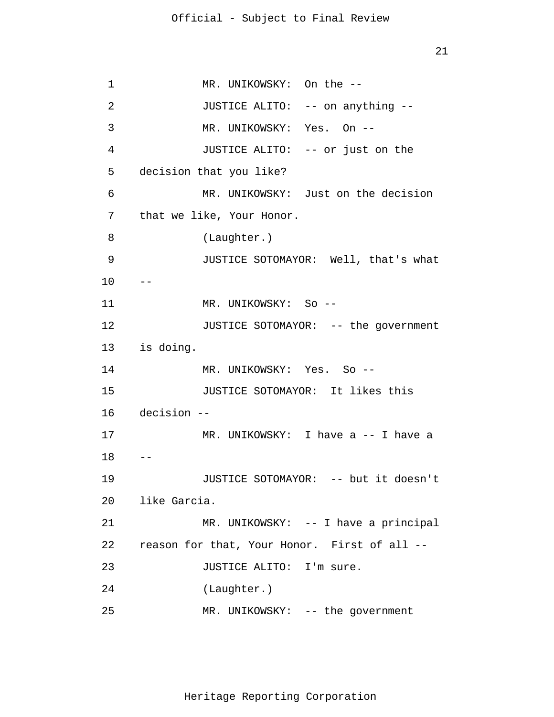1 2 3 4 5 6 7 8 9 10 11 12 13 is doing. 14 15 16 17 18 19 20 21 22 23 24 25  $--$ -- MR. UNIKOWSKY: On the -- JUSTICE ALITO: -- on anything -- MR. UNIKOWSKY: Yes. On -- JUSTICE ALITO: -- or just on the decision that you like? MR. UNIKOWSKY: Just on the decision that we like, Your Honor. (Laughter.) JUSTICE SOTOMAYOR: Well, that's what MR. UNIKOWSKY: So -- JUSTICE SOTOMAYOR: -- the government MR. UNIKOWSKY: Yes. So -- JUSTICE SOTOMAYOR: It likes this decision -- MR. UNIKOWSKY: I have a -- I have a JUSTICE SOTOMAYOR: -- but it doesn't like Garcia. MR. UNIKOWSKY: -- I have a principal reason for that, Your Honor. First of all -- JUSTICE ALITO: I'm sure. (Laughter.) MR. UNIKOWSKY: -- the government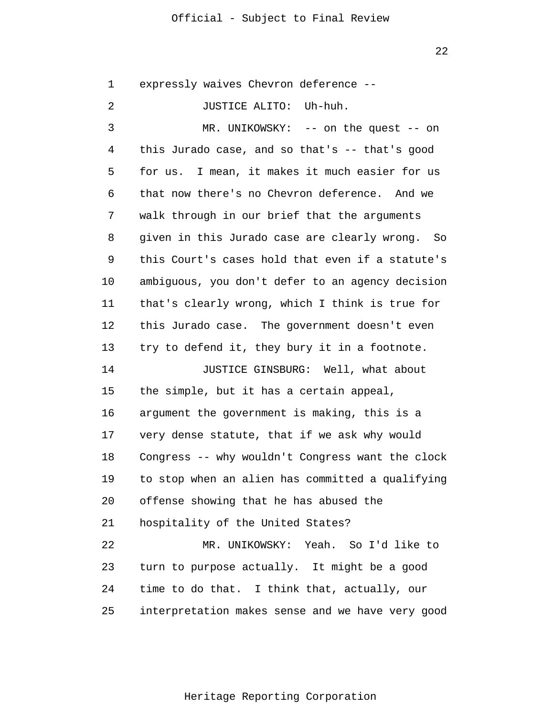22

1  $\overline{2}$ 3 4 5 6 7 8 9 10 11 12 13 14 15 16 17 18 19 20 21 22 23 expressly waives Chevron deference -- JUSTICE ALITO: Uh-huh. MR. UNIKOWSKY: -- on the quest -- on this Jurado case, and so that's -- that's good for us. I mean, it makes it much easier for us that now there's no Chevron deference. And we walk through in our brief that the arguments given in this Jurado case are clearly wrong. So this Court's cases hold that even if a statute's ambiguous, you don't defer to an agency decision that's clearly wrong, which I think is true for this Jurado case. The government doesn't even try to defend it, they bury it in a footnote. JUSTICE GINSBURG: Well, what about the simple, but it has a certain appeal, argument the government is making, this is a very dense statute, that if we ask why would Congress -- why wouldn't Congress want the clock to stop when an alien has committed a qualifying offense showing that he has abused the hospitality of the United States? MR. UNIKOWSKY: Yeah. So I'd like to turn to purpose actually. It might be a good

25 interpretation makes sense and we have very good

time to do that. I think that, actually, our

24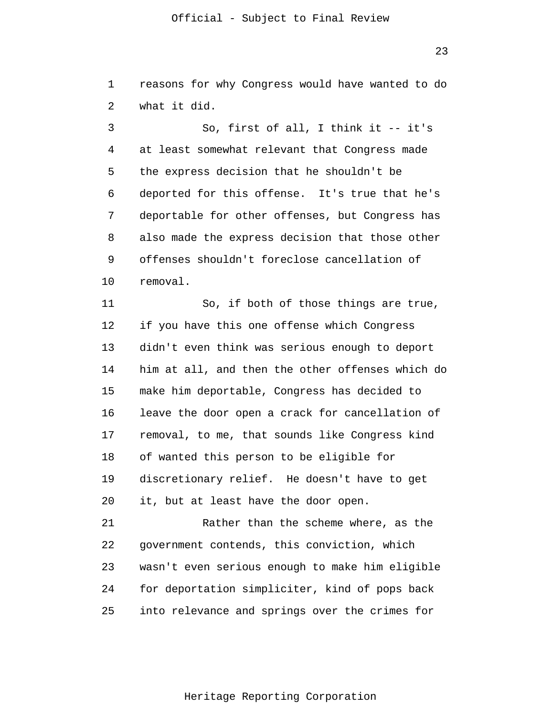23

1  $\overline{2}$ reasons for why Congress would have wanted to do what it did.

3 4 5 6 7 8 9 10 So, first of all, I think it -- it's at least somewhat relevant that Congress made the express decision that he shouldn't be deported for this offense. It's true that he's deportable for other offenses, but Congress has also made the express decision that those other offenses shouldn't foreclose cancellation of removal.

11 12 13 14 15 16 17 18 19 20 So, if both of those things are true, if you have this one offense which Congress didn't even think was serious enough to deport him at all, and then the other offenses which do make him deportable, Congress has decided to leave the door open a crack for cancellation of removal, to me, that sounds like Congress kind of wanted this person to be eligible for discretionary relief. He doesn't have to get it, but at least have the door open.

21 22 23 24 25 Rather than the scheme where, as the government contends, this conviction, which wasn't even serious enough to make him eligible for deportation simpliciter, kind of pops back into relevance and springs over the crimes for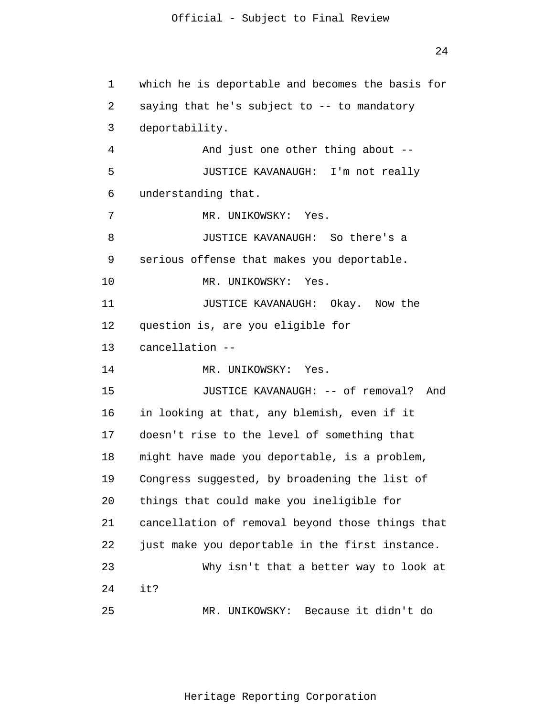24

```
1 
 2 
 3 
 4 
 5 
 6 
 7 
 8 
 9 
10 
11 
12 
13 
14 
15 
16 
17 
18 
19 
20 
21 
22 
23 
24 
25 
      which he is deportable and becomes the basis for 
      saying that he's subject to -- to mandatory
      deportability. 
                And just one other thing about --
                JUSTICE KAVANAUGH: I'm not really 
      understanding that. 
                MR. UNIKOWSKY: Yes. 
                JUSTICE KAVANAUGH: So there's a 
      serious offense that makes you deportable. 
                MR. UNIKOWSKY: Yes. 
                JUSTICE KAVANAUGH: Okay. Now the 
      question is, are you eligible for 
      cancellation --
                MR. UNIKOWSKY: Yes. 
                JUSTICE KAVANAUGH: -- of removal? And 
      in looking at that, any blemish, even if it 
      doesn't rise to the level of something that 
      might have made you deportable, is a problem, 
      Congress suggested, by broadening the list of 
      things that could make you ineligible for 
      cancellation of removal beyond those things that 
      just make you deportable in the first instance. 
                Why isn't that a better way to look at 
      it? 
                MR. UNIKOWSKY: Because it didn't do
```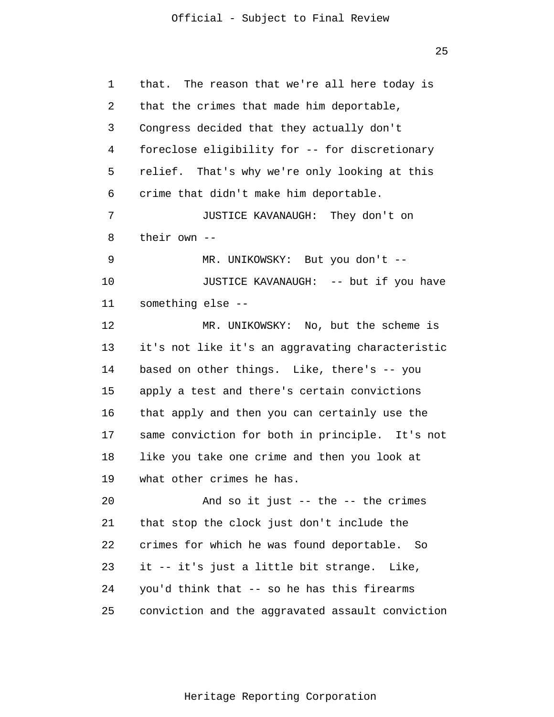25

| 1  | that. The reason that we're all here today is    |
|----|--------------------------------------------------|
| 2  | that the crimes that made him deportable,        |
| 3  | Congress decided that they actually don't        |
| 4  | foreclose eligibility for -- for discretionary   |
| 5  | relief. That's why we're only looking at this    |
| 6  | crime that didn't make him deportable.           |
| 7  | JUSTICE KAVANAUGH: They don't on                 |
| 8  | their own --                                     |
| 9  | MR. UNIKOWSKY: But you don't --                  |
| 10 | JUSTICE KAVANAUGH: -- but if you have            |
| 11 | something else --                                |
| 12 | MR. UNIKOWSKY: No, but the scheme is             |
| 13 | it's not like it's an aggravating characteristic |
| 14 | based on other things. Like, there's -- you      |
| 15 | apply a test and there's certain convictions     |
| 16 | that apply and then you can certainly use the    |
| 17 | same conviction for both in principle. It's not  |
| 18 | like you take one crime and then you look at     |
| 19 | what other crimes he has.                        |
| 20 | And so it just $--$ the $--$ the crimes          |
| 21 | that stop the clock just don't include the       |
| 22 | crimes for which he was found deportable. So     |
| 23 | it -- it's just a little bit strange. Like,      |
| 24 | you'd think that -- so he has this firearms      |
| 25 | conviction and the aggravated assault conviction |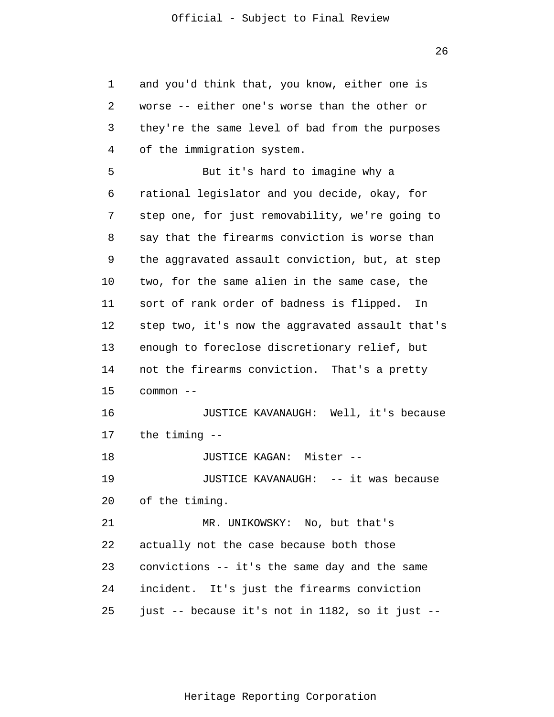1 2 3 4 5 6 7 8 9 10 11 12 13 14 15 16 17 18 19 20 21 22 23 24 25 and you'd think that, you know, either one is worse -- either one's worse than the other or they're the same level of bad from the purposes of the immigration system. But it's hard to imagine why a rational legislator and you decide, okay, for step one, for just removability, we're going to say that the firearms conviction is worse than the aggravated assault conviction, but, at step two, for the same alien in the same case, the sort of rank order of badness is flipped. In step two, it's now the aggravated assault that's enough to foreclose discretionary relief, but not the firearms conviction. That's a pretty common -- JUSTICE KAVANAUGH: Well, it's because the timing -- JUSTICE KAGAN: Mister -- JUSTICE KAVANAUGH: -- it was because of the timing. MR. UNIKOWSKY: No, but that's actually not the case because both those convictions -- it's the same day and the same incident. It's just the firearms conviction just -- because it's not in 1182, so it just --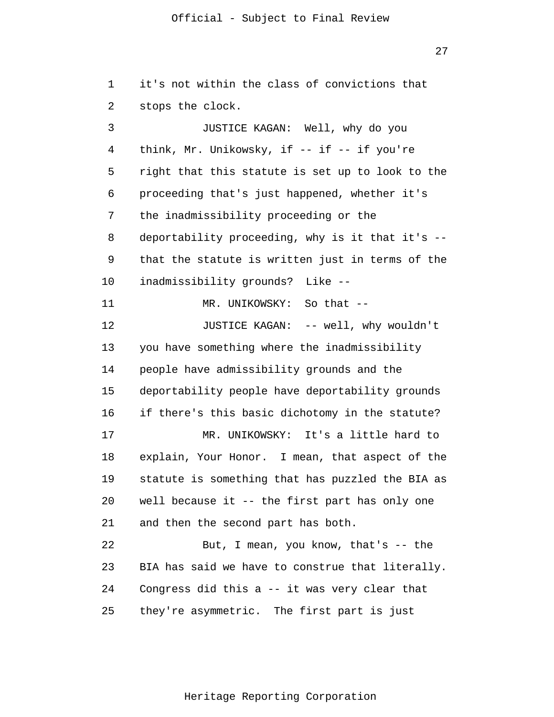27

1 2 3 4 5 6 7 8 9 10 11 12 13 14 15 16 17 18 19 20 21 22 23 24 25 it's not within the class of convictions that stops the clock. JUSTICE KAGAN: Well, why do you think, Mr. Unikowsky, if  $--$  if  $--$  if you're right that this statute is set up to look to the proceeding that's just happened, whether it's the inadmissibility proceeding or the deportability proceeding, why is it that it's - that the statute is written just in terms of the inadmissibility grounds? Like -- MR. UNIKOWSKY: So that --JUSTICE KAGAN: -- well, why wouldn't you have something where the inadmissibility people have admissibility grounds and the deportability people have deportability grounds if there's this basic dichotomy in the statute? MR. UNIKOWSKY: It's a little hard to explain, Your Honor. I mean, that aspect of the statute is something that has puzzled the BIA as well because it -- the first part has only one and then the second part has both. But, I mean, you know, that's -- the BIA has said we have to construe that literally. Congress did this a -- it was very clear that they're asymmetric. The first part is just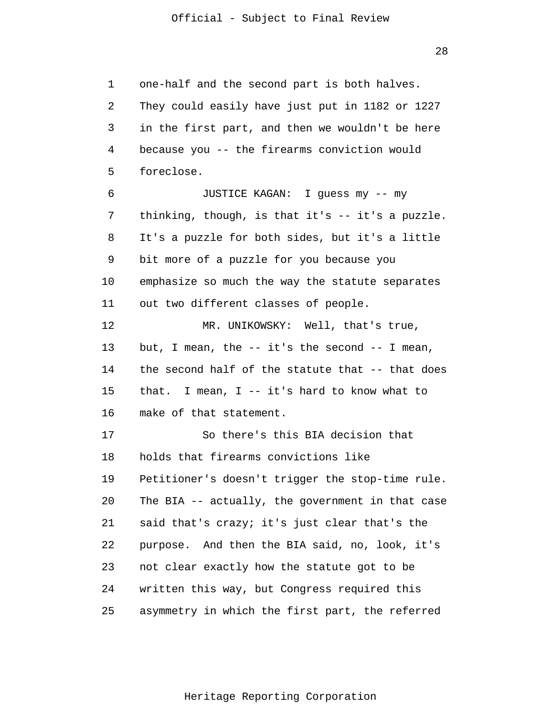1 2 3 4 5 6 7 8 9 10 11 12 13 14 15 16 17 18 19 20 21 22 23 24 25 one-half and the second part is both halves. They could easily have just put in 1182 or 1227 in the first part, and then we wouldn't be here because you -- the firearms conviction would foreclose. JUSTICE KAGAN: I guess my -- my thinking, though, is that it's -- it's a puzzle. It's a puzzle for both sides, but it's a little bit more of a puzzle for you because you emphasize so much the way the statute separates out two different classes of people. MR. UNIKOWSKY: Well, that's true, but, I mean, the  $-$  it's the second  $-$  I mean, the second half of the statute that -- that does that. I mean, I -- it's hard to know what to make of that statement. So there's this BIA decision that holds that firearms convictions like Petitioner's doesn't trigger the stop-time rule. The BIA -- actually, the government in that case said that's crazy; it's just clear that's the purpose. And then the BIA said, no, look, it's not clear exactly how the statute got to be written this way, but Congress required this asymmetry in which the first part, the referred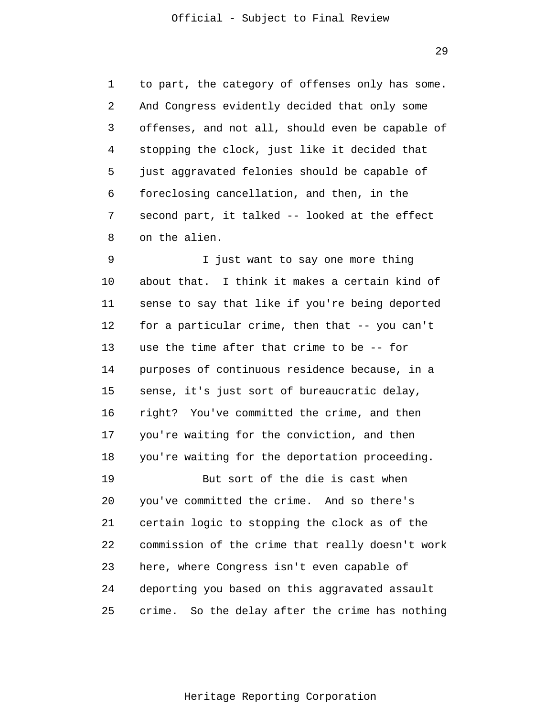1

2

3

4

5

6

7

8

to part, the category of offenses only has some. And Congress evidently decided that only some offenses, and not all, should even be capable of stopping the clock, just like it decided that just aggravated felonies should be capable of foreclosing cancellation, and then, in the second part, it talked -- looked at the effect on the alien.

9 10 11 12 13 14 15 16 17 18 19 I just want to say one more thing about that. I think it makes a certain kind of sense to say that like if you're being deported for a particular crime, then that -- you can't use the time after that crime to be -- for purposes of continuous residence because, in a sense, it's just sort of bureaucratic delay, right? You've committed the crime, and then you're waiting for the conviction, and then you're waiting for the deportation proceeding. But sort of the die is cast when

20 21 22 23 24 25 you've committed the crime. And so there's certain logic to stopping the clock as of the commission of the crime that really doesn't work here, where Congress isn't even capable of deporting you based on this aggravated assault crime. So the delay after the crime has nothing

Heritage Reporting Corporation

29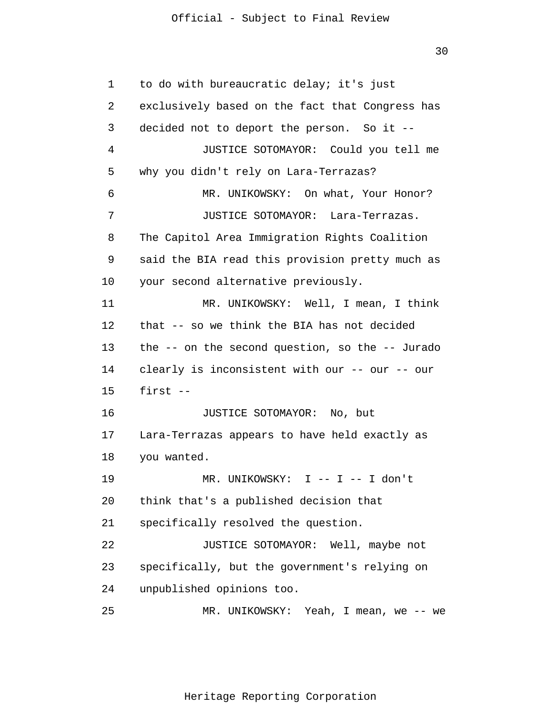30

1  $\overline{2}$ 3 4 5 6 7 8 9 10 11 12 13 14 15 16 17 18 19 20 21 22 23 24 25 to do with bureaucratic delay; it's just exclusively based on the fact that Congress has decided not to deport the person. So it -- JUSTICE SOTOMAYOR: Could you tell me why you didn't rely on Lara-Terrazas? MR. UNIKOWSKY: On what, Your Honor? JUSTICE SOTOMAYOR: Lara-Terrazas. The Capitol Area Immigration Rights Coalition said the BIA read this provision pretty much as your second alternative previously. MR. UNIKOWSKY: Well, I mean, I think that -- so we think the BIA has not decided the -- on the second question, so the -- Jurado clearly is inconsistent with our -- our -- our first -- JUSTICE SOTOMAYOR: No, but Lara-Terrazas appears to have held exactly as you wanted. MR. UNIKOWSKY: I -- I -- I don't think that's a published decision that specifically resolved the question. JUSTICE SOTOMAYOR: Well, maybe not specifically, but the government's relying on unpublished opinions too. MR. UNIKOWSKY: Yeah, I mean, we -- we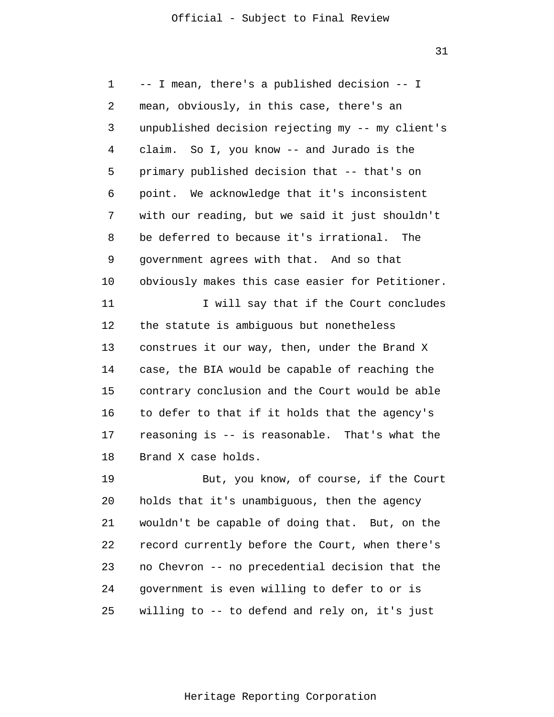31

1 2 3 4 5 6 7 8 9 10 11 12 13 14 15 16 17 18 19 20 21 22 23 24 25 -- I mean, there's a published decision -- I mean, obviously, in this case, there's an unpublished decision rejecting my -- my client's claim. So I, you know -- and Jurado is the primary published decision that -- that's on point. We acknowledge that it's inconsistent with our reading, but we said it just shouldn't be deferred to because it's irrational. The government agrees with that. And so that obviously makes this case easier for Petitioner. I will say that if the Court concludes the statute is ambiguous but nonetheless construes it our way, then, under the Brand X case, the BIA would be capable of reaching the contrary conclusion and the Court would be able to defer to that if it holds that the agency's reasoning is -- is reasonable. That's what the Brand X case holds. But, you know, of course, if the Court holds that it's unambiguous, then the agency wouldn't be capable of doing that. But, on the record currently before the Court, when there's no Chevron -- no precedential decision that the government is even willing to defer to or is willing to -- to defend and rely on, it's just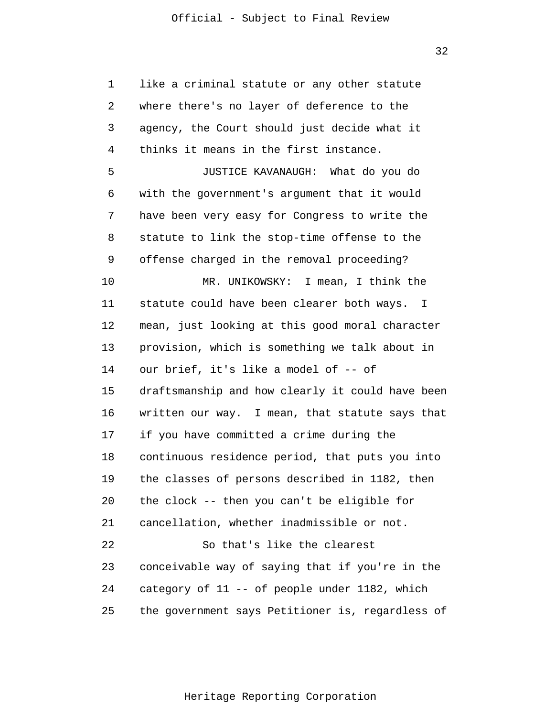1 2 3 4 5 6 7 8 9 10 11 12 13 14 15 16 17 18 19 20 21 22 23 24 25 like a criminal statute or any other statute where there's no layer of deference to the agency, the Court should just decide what it thinks it means in the first instance. JUSTICE KAVANAUGH: What do you do with the government's argument that it would have been very easy for Congress to write the statute to link the stop-time offense to the offense charged in the removal proceeding? MR. UNIKOWSKY: I mean, I think the statute could have been clearer both ways. I mean, just looking at this good moral character provision, which is something we talk about in our brief, it's like a model of -- of draftsmanship and how clearly it could have been written our way. I mean, that statute says that if you have committed a crime during the continuous residence period, that puts you into the classes of persons described in 1182, then the clock -- then you can't be eligible for cancellation, whether inadmissible or not. So that's like the clearest conceivable way of saying that if you're in the category of 11 -- of people under 1182, which the government says Petitioner is, regardless of

32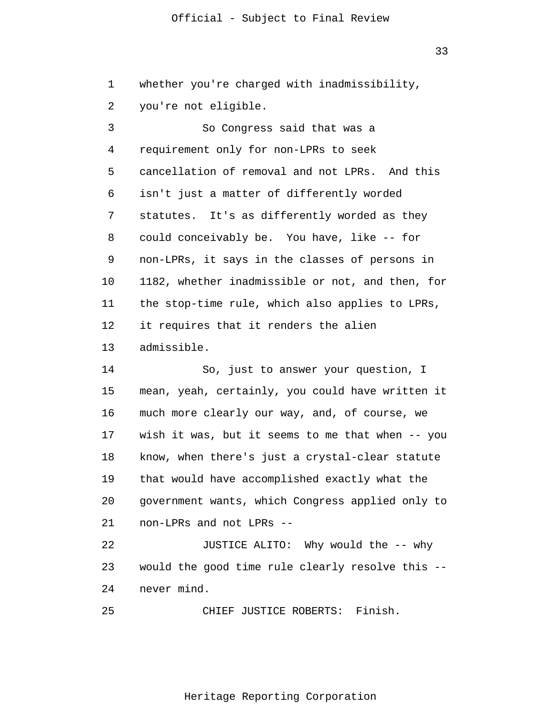33

1 whether you're charged with inadmissibility,

2 you're not eligible.

3 4 5 6 7 8 9 10 11 12 13 So Congress said that was a requirement only for non-LPRs to seek cancellation of removal and not LPRs. And this isn't just a matter of differently worded statutes. It's as differently worded as they could conceivably be. You have, like -- for non-LPRs, it says in the classes of persons in 1182, whether inadmissible or not, and then, for the stop-time rule, which also applies to LPRs, it requires that it renders the alien admissible.

14 15 16 17 18 19 20 21 So, just to answer your question, I mean, yeah, certainly, you could have written it much more clearly our way, and, of course, we wish it was, but it seems to me that when -- you know, when there's just a crystal-clear statute that would have accomplished exactly what the government wants, which Congress applied only to non-LPRs and not LPRs --

22 23 24 JUSTICE ALITO: Why would the -- why would the good time rule clearly resolve this - never mind.

25 CHIEF JUSTICE ROBERTS: Finish.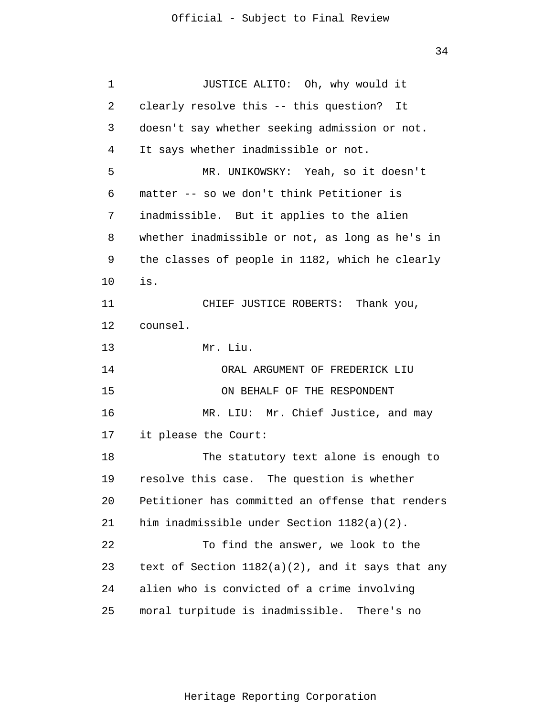| 1  | JUSTICE ALITO: Oh, why would it                     |  |
|----|-----------------------------------------------------|--|
| 2  | clearly resolve this -- this question? It           |  |
| 3  | doesn't say whether seeking admission or not.       |  |
| 4  | It says whether inadmissible or not.                |  |
| 5  | MR. UNIKOWSKY: Yeah, so it doesn't                  |  |
| 6  | matter -- so we don't think Petitioner is           |  |
| 7  | inadmissible. But it applies to the alien           |  |
| 8  | whether inadmissible or not, as long as he's in     |  |
| 9  | the classes of people in 1182, which he clearly     |  |
| 10 | is.                                                 |  |
| 11 | CHIEF JUSTICE ROBERTS: Thank you,                   |  |
| 12 | counsel.                                            |  |
| 13 | Mr. Liu.                                            |  |
| 14 | ORAL ARGUMENT OF FREDERICK LIU                      |  |
| 15 | ON BEHALF OF THE RESPONDENT                         |  |
| 16 | MR. LIU: Mr. Chief Justice, and may                 |  |
| 17 | it please the Court:                                |  |
| 18 | The statutory text alone is enough to               |  |
| 19 | resolve this case. The question is whether          |  |
| 20 | Petitioner has committed an offense that renders    |  |
| 21 | him inadmissible under Section 1182(a)(2).          |  |
| 22 | To find the answer, we look to the                  |  |
| 23 | text of Section $1182(a)(2)$ , and it says that any |  |
| 24 | alien who is convicted of a crime involving         |  |
| 25 | moral turpitude is inadmissible. There's no         |  |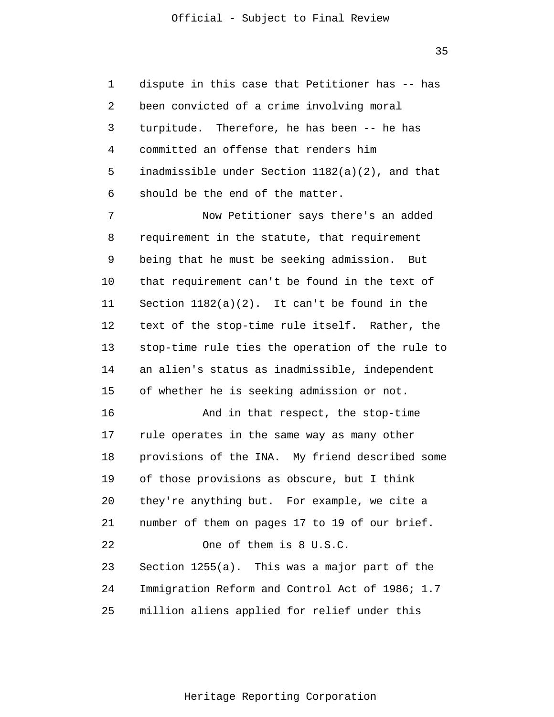1 2 3 4 5 6 dispute in this case that Petitioner has -- has been convicted of a crime involving moral turpitude. Therefore, he has been -- he has committed an offense that renders him inadmissible under Section 1182(a)(2), and that should be the end of the matter.

7 8 9 10 11 12 13 14 15 Now Petitioner says there's an added requirement in the statute, that requirement being that he must be seeking admission. But that requirement can't be found in the text of Section 1182(a)(2). It can't be found in the text of the stop-time rule itself. Rather, the stop-time rule ties the operation of the rule to an alien's status as inadmissible, independent of whether he is seeking admission or not.

16 17 18 19 20 21 22 23 24 25 And in that respect, the stop-time rule operates in the same way as many other provisions of the INA. My friend described some of those provisions as obscure, but I think they're anything but. For example, we cite a number of them on pages 17 to 19 of our brief. One of them is 8 U.S.C. Section 1255(a). This was a major part of the Immigration Reform and Control Act of 1986; 1.7 million aliens applied for relief under this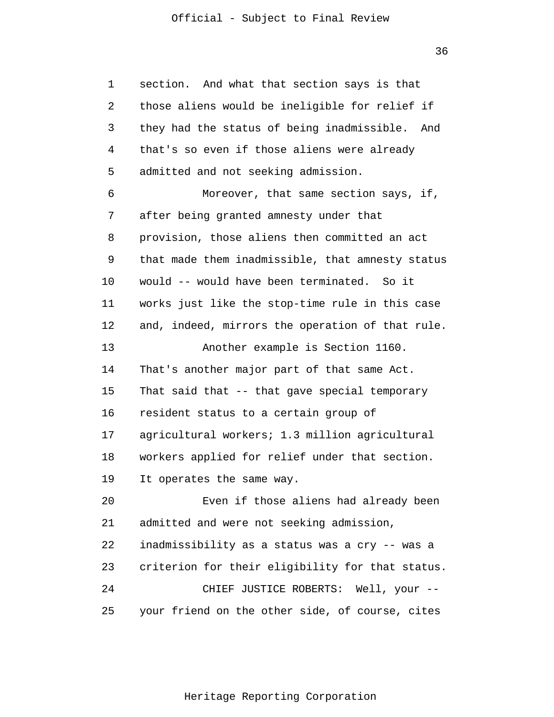1 2 3 4 5 6 7 8 9 10 11 12 13 14 15 16 17 18 19 20 21 22 23 24 25 section. And what that section says is that those aliens would be ineligible for relief if they had the status of being inadmissible. And that's so even if those aliens were already admitted and not seeking admission. Moreover, that same section says, if, after being granted amnesty under that provision, those aliens then committed an act that made them inadmissible, that amnesty status would -- would have been terminated. So it works just like the stop-time rule in this case and, indeed, mirrors the operation of that rule. Another example is Section 1160. That's another major part of that same Act. That said that -- that gave special temporary resident status to a certain group of agricultural workers; 1.3 million agricultural workers applied for relief under that section. It operates the same way. Even if those aliens had already been admitted and were not seeking admission, inadmissibility as a status was a cry -- was a criterion for their eligibility for that status. CHIEF JUSTICE ROBERTS: Well, your - your friend on the other side, of course, cites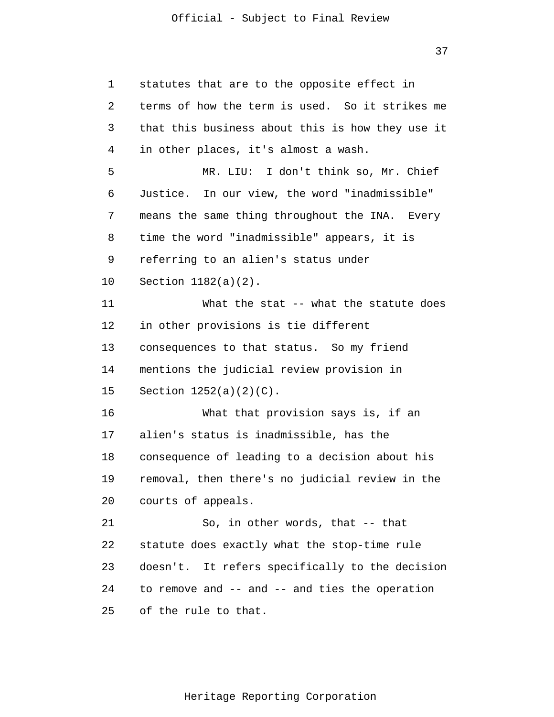37

1 2 3 4 5 6 7 8 9 10 11 12 13 14 15 16 17 18 19 20 21 22 23 24 25 statutes that are to the opposite effect in terms of how the term is used. So it strikes me that this business about this is how they use it in other places, it's almost a wash. MR. LIU: I don't think so, Mr. Chief Justice. In our view, the word "inadmissible" means the same thing throughout the INA. Every time the word "inadmissible" appears, it is referring to an alien's status under Section 1182(a)(2). What the stat -- what the statute does in other provisions is tie different consequences to that status. So my friend mentions the judicial review provision in Section 1252(a)(2)(C). What that provision says is, if an alien's status is inadmissible, has the consequence of leading to a decision about his removal, then there's no judicial review in the courts of appeals. So, in other words, that -- that statute does exactly what the stop-time rule doesn't. It refers specifically to the decision to remove and -- and -- and ties the operation of the rule to that.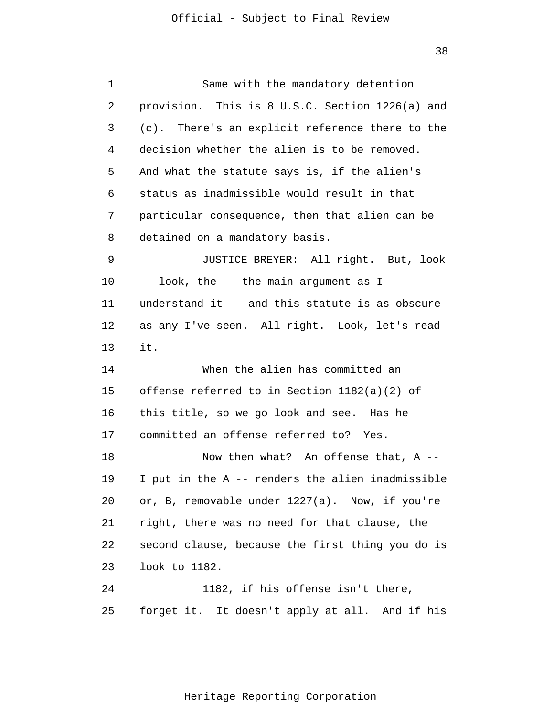| 1  | Same with the mandatory detention                |
|----|--------------------------------------------------|
| 2  | provision. This is 8 U.S.C. Section 1226(a) and  |
| 3  | (c). There's an explicit reference there to the  |
| 4  | decision whether the alien is to be removed.     |
| 5  | And what the statute says is, if the alien's     |
| 6  | status as inadmissible would result in that      |
| 7  | particular consequence, then that alien can be   |
| 8  | detained on a mandatory basis.                   |
| 9  | JUSTICE BREYER: All right. But, look             |
| 10 | -- look, the -- the main argument as I           |
| 11 | understand it -- and this statute is as obscure  |
| 12 | as any I've seen. All right. Look, let's read    |
| 13 | it.                                              |
| 14 | When the alien has committed an                  |
| 15 | offense referred to in Section $1182(a)(2)$ of   |
| 16 | this title, so we go look and see. Has he        |
| 17 | committed an offense referred to? Yes.           |
| 18 | Now then what? An offense that, $A$ --           |
| 19 | I put in the A -- renders the alien inadmissible |
| 20 | or, B, removable under 1227(a). Now, if you're   |
| 21 | right, there was no need for that clause, the    |
| 22 | second clause, because the first thing you do is |
| 23 | look to 1182.                                    |
| 24 | 1182, if his offense isn't there,                |
| 25 | forget it. It doesn't apply at all. And if his   |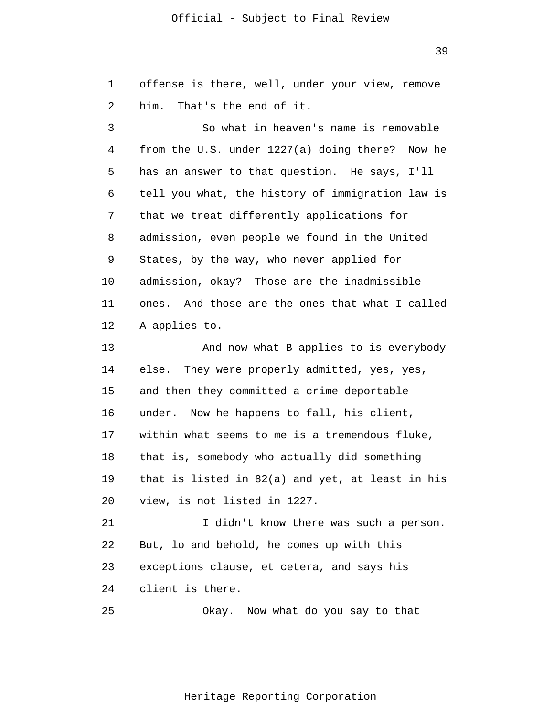1  $\overline{2}$ 3 4 5 6 7 8 9 10 11 12 13 14 15 16 17 18 19 20 21 22 23 24 25 offense is there, well, under your view, remove him. That's the end of it. So what in heaven's name is removable from the U.S. under 1227(a) doing there? Now he has an answer to that question. He says, I'll tell you what, the history of immigration law is that we treat differently applications for admission, even people we found in the United States, by the way, who never applied for admission, okay? Those are the inadmissible ones. And those are the ones that what I called A applies to. And now what B applies to is everybody else. They were properly admitted, yes, yes, and then they committed a crime deportable under. Now he happens to fall, his client, within what seems to me is a tremendous fluke, that is, somebody who actually did something that is listed in 82(a) and yet, at least in his view, is not listed in 1227. I didn't know there was such a person. But, lo and behold, he comes up with this exceptions clause, et cetera, and says his client is there. Okay. Now what do you say to that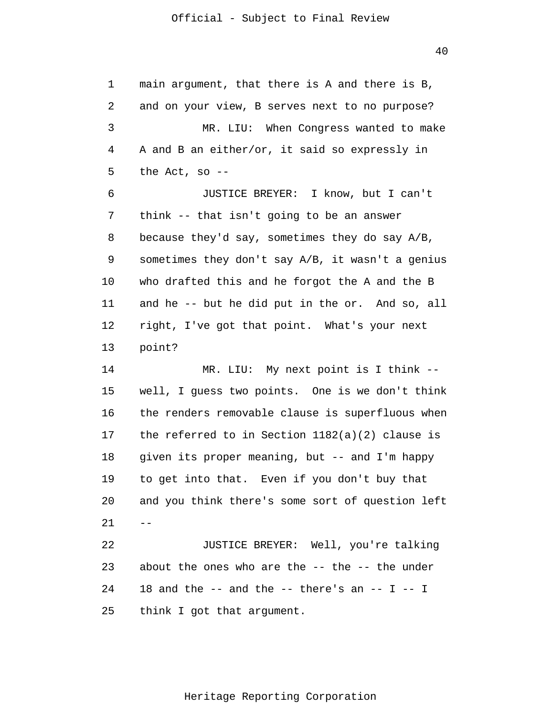$40$ 

1 2 3 4 5 6 7 8 9 10 11 12 13 14 15 16 17 18 19 20 21 22 23 24 25  $$ main argument, that there is A and there is B, and on your view, B serves next to no purpose? MR. LIU: When Congress wanted to make A and B an either/or, it said so expressly in the Act, so -- JUSTICE BREYER: I know, but I can't think -- that isn't going to be an answer because they'd say, sometimes they do say A/B, sometimes they don't say A/B, it wasn't a genius who drafted this and he forgot the A and the B and he -- but he did put in the or. And so, all right, I've got that point. What's your next point? MR. LIU: My next point is I think - well, I guess two points. One is we don't think the renders removable clause is superfluous when the referred to in Section 1182(a)(2) clause is given its proper meaning, but -- and I'm happy to get into that. Even if you don't buy that and you think there's some sort of question left JUSTICE BREYER: Well, you're talking about the ones who are the  $-$ - the  $-$ - the under 18 and the  $--$  and the  $--$  there's an  $--$  I  $--$  I think I got that argument.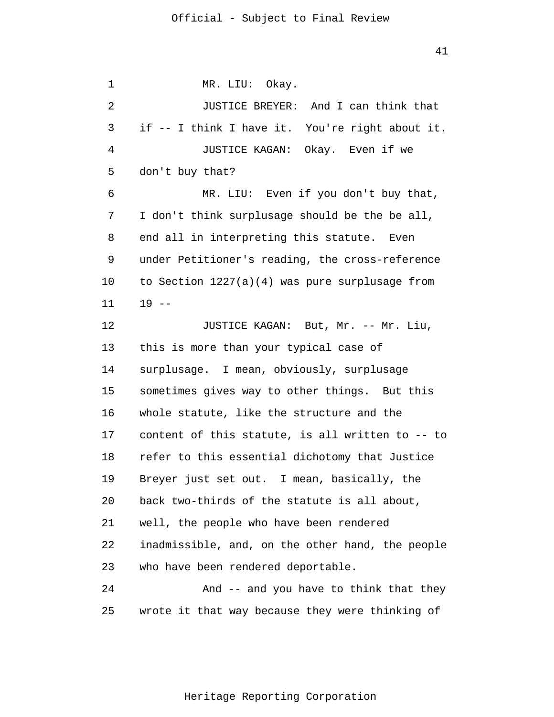1 2 3 4 5 6 7 8 9 10 11 12 13 14 15 16 17 18 19 20 21 22 23 24 25 MR. LIU: Okay. JUSTICE BREYER: And I can think that if -- I think I have it. You're right about it. JUSTICE KAGAN: Okay. Even if we don't buy that? MR. LIU: Even if you don't buy that, I don't think surplusage should be the be all, end all in interpreting this statute. Even under Petitioner's reading, the cross-reference to Section 1227(a)(4) was pure surplusage from  $19 - -$ JUSTICE KAGAN: But, Mr. -- Mr. Liu, this is more than your typical case of surplusage. I mean, obviously, surplusage sometimes gives way to other things. But this whole statute, like the structure and the content of this statute, is all written to -- to refer to this essential dichotomy that Justice Breyer just set out. I mean, basically, the back two-thirds of the statute is all about, well, the people who have been rendered inadmissible, and, on the other hand, the people who have been rendered deportable. And -- and you have to think that they wrote it that way because they were thinking of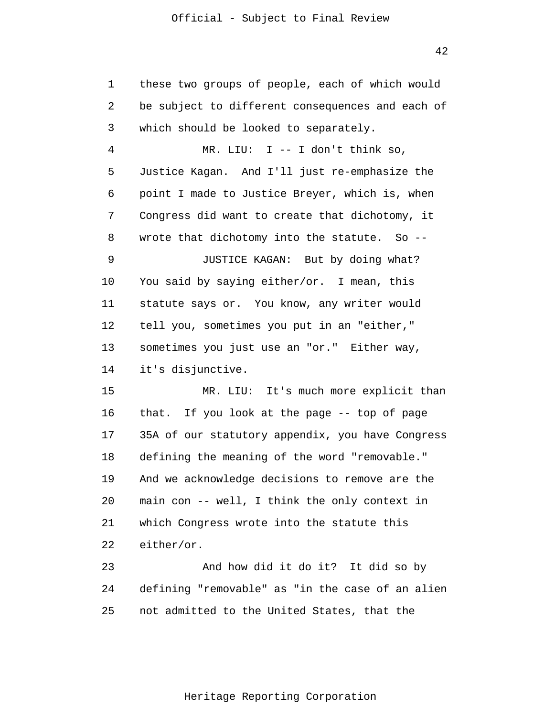1  $\overline{2}$ 3 4 5 6 7 8 9 10 11 12 13 14 15 16 17 18 19 20 21 22 23 24 25 these two groups of people, each of which would be subject to different consequences and each of which should be looked to separately. MR. LIU: I -- I don't think so, Justice Kagan. And I'll just re-emphasize the point I made to Justice Breyer, which is, when Congress did want to create that dichotomy, it wrote that dichotomy into the statute. So --JUSTICE KAGAN: But by doing what? You said by saying either/or. I mean, this statute says or. You know, any writer would tell you, sometimes you put in an "either," sometimes you just use an "or." Either way, it's disjunctive. MR. LIU: It's much more explicit than that. If you look at the page -- top of page 35A of our statutory appendix, you have Congress defining the meaning of the word "removable." And we acknowledge decisions to remove are the main con -- well, I think the only context in which Congress wrote into the statute this either/or. And how did it do it? It did so by defining "removable" as "in the case of an alien not admitted to the United States, that the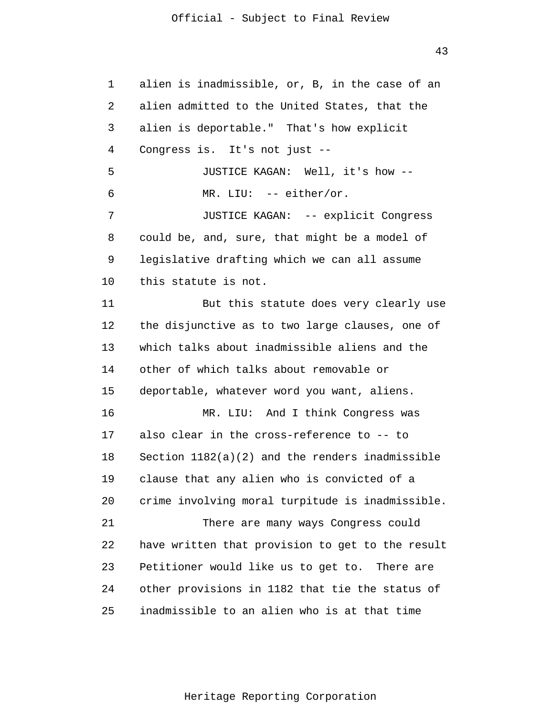43

1 2 3 4 5 6 7 8 9 10 11 12 13 14 15 16 17 18 19 20 21 22 23 24 25 alien is inadmissible, or, B, in the case of an alien admitted to the United States, that the alien is deportable." That's how explicit Congress is. It's not just -- JUSTICE KAGAN: Well, it's how -- MR. LIU: -- either/or. JUSTICE KAGAN: -- explicit Congress could be, and, sure, that might be a model of legislative drafting which we can all assume this statute is not. But this statute does very clearly use the disjunctive as to two large clauses, one of which talks about inadmissible aliens and the other of which talks about removable or deportable, whatever word you want, aliens. MR. LIU: And I think Congress was also clear in the cross-reference to -- to Section 1182(a)(2) and the renders inadmissible clause that any alien who is convicted of a crime involving moral turpitude is inadmissible. There are many ways Congress could have written that provision to get to the result Petitioner would like us to get to. There are other provisions in 1182 that tie the status of inadmissible to an alien who is at that time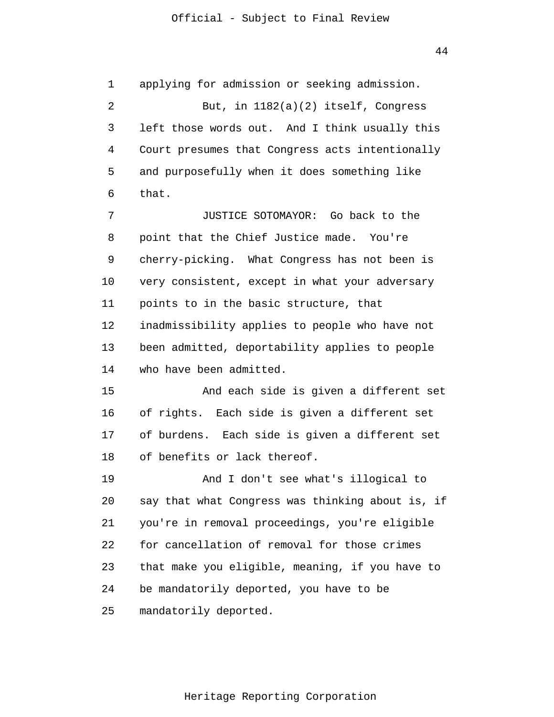1  $\overline{2}$ 3 4 5 6 7 8 9 10 11 12 13 14 15 16 17 18 19 20 21 22 23 24 25 applying for admission or seeking admission. But, in 1182(a)(2) itself, Congress left those words out. And I think usually this Court presumes that Congress acts intentionally and purposefully when it does something like that. JUSTICE SOTOMAYOR: Go back to the point that the Chief Justice made. You're cherry-picking. What Congress has not been is very consistent, except in what your adversary points to in the basic structure, that inadmissibility applies to people who have not been admitted, deportability applies to people who have been admitted. And each side is given a different set of rights. Each side is given a different set of burdens. Each side is given a different set of benefits or lack thereof. And I don't see what's illogical to say that what Congress was thinking about is, if you're in removal proceedings, you're eligible for cancellation of removal for those crimes that make you eligible, meaning, if you have to be mandatorily deported, you have to be mandatorily deported.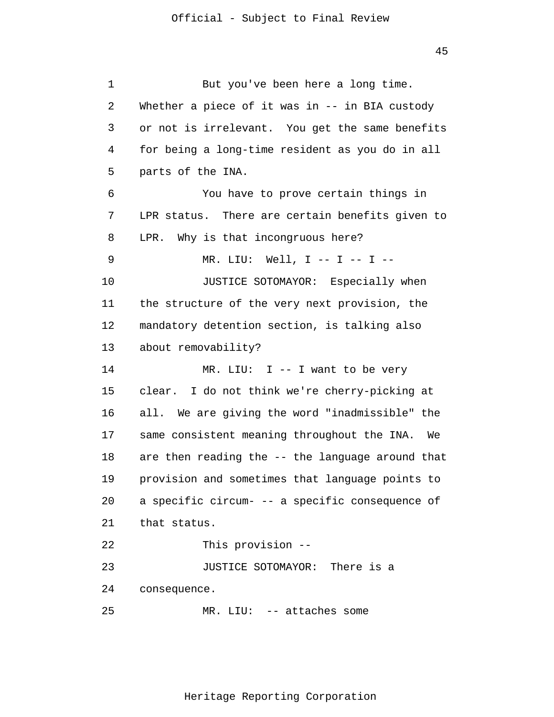1  $\overline{2}$ 3 4 5 6 7 8 9 10 11 12 13 14 15 16 17 18 19 20 21 22 23 24 25 But you've been here a long time. Whether a piece of it was in -- in BIA custody or not is irrelevant. You get the same benefits for being a long-time resident as you do in all parts of the INA. You have to prove certain things in LPR status. There are certain benefits given to LPR. Why is that incongruous here? MR. LIU: Well, I -- I -- I -- JUSTICE SOTOMAYOR: Especially when the structure of the very next provision, the mandatory detention section, is talking also about removability? MR. LIU: I -- I want to be very clear. I do not think we're cherry-picking at all. We are giving the word "inadmissible" the same consistent meaning throughout the INA. We are then reading the -- the language around that provision and sometimes that language points to a specific circum- -- a specific consequence of that status. This provision -- JUSTICE SOTOMAYOR: There is a consequence. MR. LIU: -- attaches some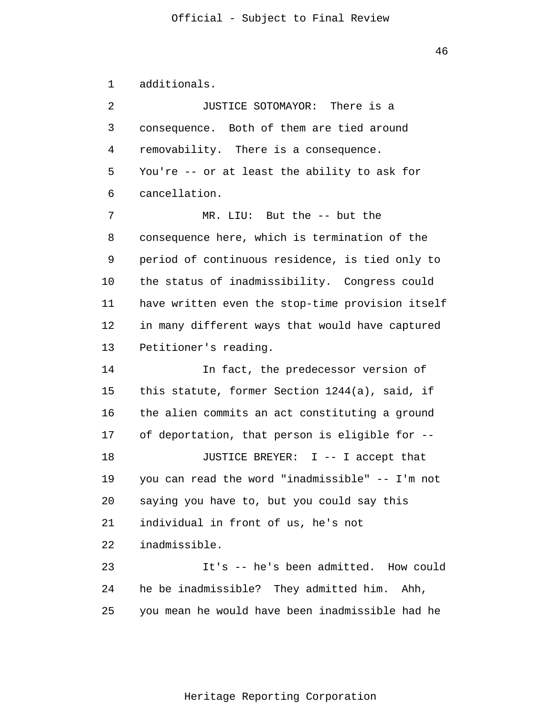46

1 additionals.

 $\overline{2}$ 3 4 5 6 7 8 9 10 11 12 13 14 15 16 17 18 19 20 21 22 23 24 25 JUSTICE SOTOMAYOR: There is a consequence. Both of them are tied around removability. There is a consequence. You're -- or at least the ability to ask for cancellation. MR. LIU: But the -- but the consequence here, which is termination of the period of continuous residence, is tied only to the status of inadmissibility. Congress could have written even the stop-time provision itself in many different ways that would have captured Petitioner's reading. In fact, the predecessor version of this statute, former Section 1244(a), said, if the alien commits an act constituting a ground of deportation, that person is eligible for -- JUSTICE BREYER: I -- I accept that you can read the word "inadmissible" -- I'm not saying you have to, but you could say this individual in front of us, he's not inadmissible. It's -- he's been admitted. How could he be inadmissible? They admitted him. Ahh, you mean he would have been inadmissible had he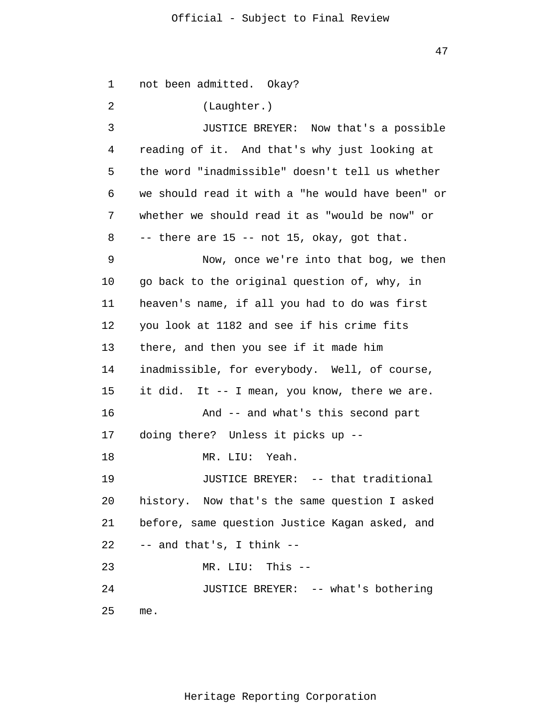1  $\overline{2}$ 3 4 5 6 7 8 9 10 11 12 13 14 15 16 17 18 19 20 21 22 23 24 25 not been admitted. Okay? (Laughter.) JUSTICE BREYER: Now that's a possible reading of it. And that's why just looking at the word "inadmissible" doesn't tell us whether we should read it with a "he would have been" or whether we should read it as "would be now" or -- there are 15 -- not 15, okay, got that. Now, once we're into that bog, we then go back to the original question of, why, in heaven's name, if all you had to do was first you look at 1182 and see if his crime fits there, and then you see if it made him inadmissible, for everybody. Well, of course, it did. It -- I mean, you know, there we are. And -- and what's this second part doing there? Unless it picks up -- MR. LIU: Yeah. JUSTICE BREYER: -- that traditional history. Now that's the same question I asked before, same question Justice Kagan asked, and -- and that's, I think -- MR. LIU: This -- JUSTICE BREYER: -- what's bothering me.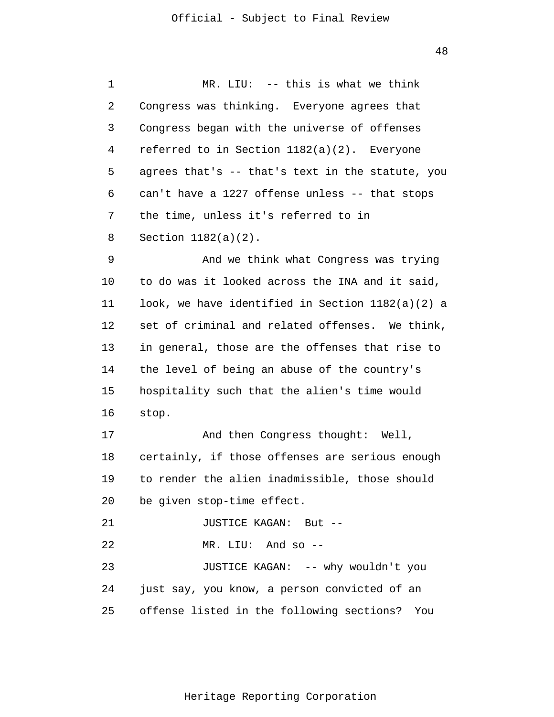1 2 3 4 5 6 7 8 9 10 11 12 13 14 15 16 17 18 19 20 21 22 23 24 25 MR. LIU: -- this is what we think Congress was thinking. Everyone agrees that Congress began with the universe of offenses referred to in Section 1182(a)(2). Everyone agrees that's -- that's text in the statute, you can't have a 1227 offense unless -- that stops the time, unless it's referred to in Section 1182(a)(2). And we think what Congress was trying to do was it looked across the INA and it said, look, we have identified in Section 1182(a)(2) a set of criminal and related offenses. We think, in general, those are the offenses that rise to the level of being an abuse of the country's hospitality such that the alien's time would stop. And then Congress thought: Well, certainly, if those offenses are serious enough to render the alien inadmissible, those should be given stop-time effect. JUSTICE KAGAN: But -- MR. LIU: And so -- JUSTICE KAGAN: -- why wouldn't you just say, you know, a person convicted of an offense listed in the following sections? You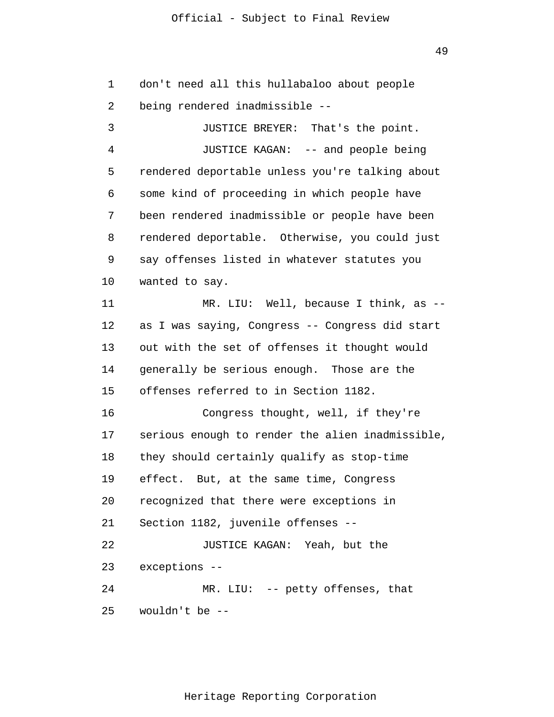1  $\overline{2}$ don't need all this hullabaloo about people being rendered inadmissible --

3 4 5 6 7 8 9 10 11 12 13 14 15 16 17 18 19 20 21 22 23 24 25 JUSTICE BREYER: That's the point. JUSTICE KAGAN: -- and people being rendered deportable unless you're talking about some kind of proceeding in which people have been rendered inadmissible or people have been rendered deportable. Otherwise, you could just say offenses listed in whatever statutes you wanted to say. MR. LIU: Well, because I think, as - as I was saying, Congress -- Congress did start out with the set of offenses it thought would generally be serious enough. Those are the offenses referred to in Section 1182. Congress thought, well, if they're serious enough to render the alien inadmissible, they should certainly qualify as stop-time effect. But, at the same time, Congress recognized that there were exceptions in Section 1182, juvenile offenses -- JUSTICE KAGAN: Yeah, but the exceptions -- MR. LIU: -- petty offenses, that wouldn't be --

49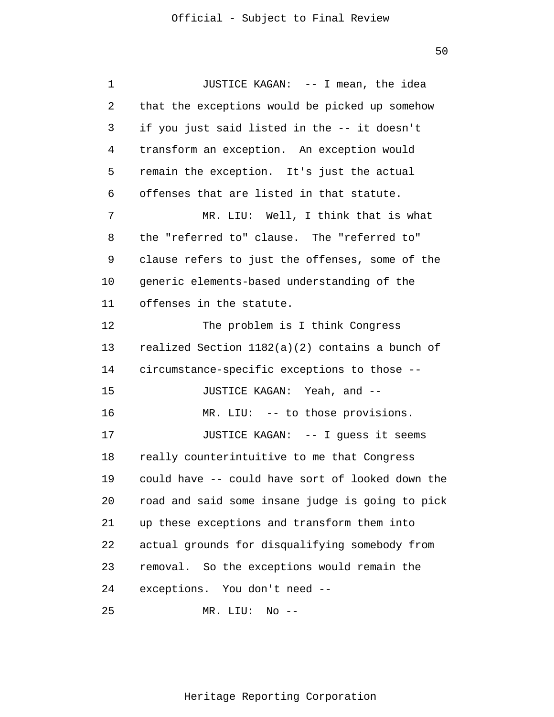1 2 3 4 5 6 7 8 9 10 11 12 13 14 15 16 17 18 19 20 21 22 23 24 JUSTICE KAGAN: -- I mean, the idea that the exceptions would be picked up somehow if you just said listed in the -- it doesn't transform an exception. An exception would remain the exception. It's just the actual offenses that are listed in that statute. MR. LIU: Well, I think that is what the "referred to" clause. The "referred to" clause refers to just the offenses, some of the generic elements-based understanding of the offenses in the statute. The problem is I think Congress realized Section 1182(a)(2) contains a bunch of circumstance-specific exceptions to those -- JUSTICE KAGAN: Yeah, and -- MR. LIU: -- to those provisions. JUSTICE KAGAN: -- I guess it seems really counterintuitive to me that Congress could have -- could have sort of looked down the road and said some insane judge is going to pick up these exceptions and transform them into actual grounds for disqualifying somebody from removal. So the exceptions would remain the exceptions. You don't need --

25 MR. LIU: No --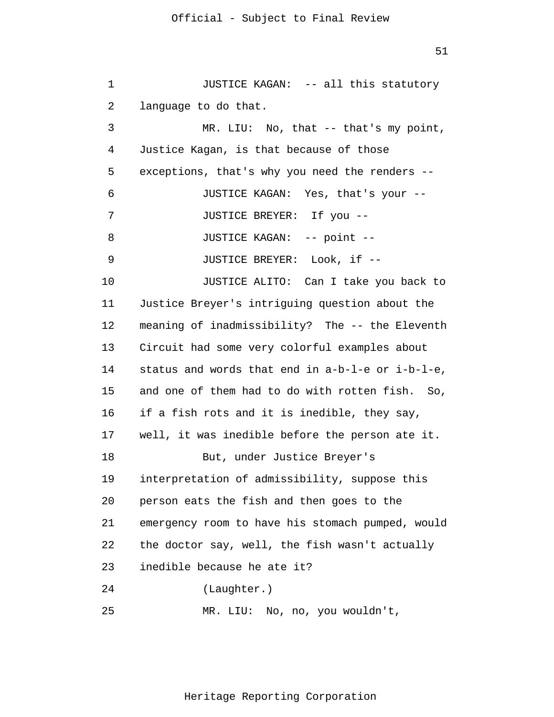1 2 3 4 5 6 7 8 9 10 11 12 13 14 15 16 17 18 19 20 21 22 23 24 25 JUSTICE KAGAN: -- all this statutory language to do that. MR. LIU: No, that -- that's my point, Justice Kagan, is that because of those exceptions, that's why you need the renders -- JUSTICE KAGAN: Yes, that's your -- JUSTICE BREYER: If you -- JUSTICE KAGAN: -- point -- JUSTICE BREYER: Look, if -- JUSTICE ALITO: Can I take you back to Justice Breyer's intriguing question about the meaning of inadmissibility? The -- the Eleventh Circuit had some very colorful examples about status and words that end in a-b-l-e or i-b-l-e, and one of them had to do with rotten fish. So, if a fish rots and it is inedible, they say, well, it was inedible before the person ate it. But, under Justice Breyer's interpretation of admissibility, suppose this person eats the fish and then goes to the emergency room to have his stomach pumped, would the doctor say, well, the fish wasn't actually inedible because he ate it? (Laughter.) MR. LIU: No, no, you wouldn't,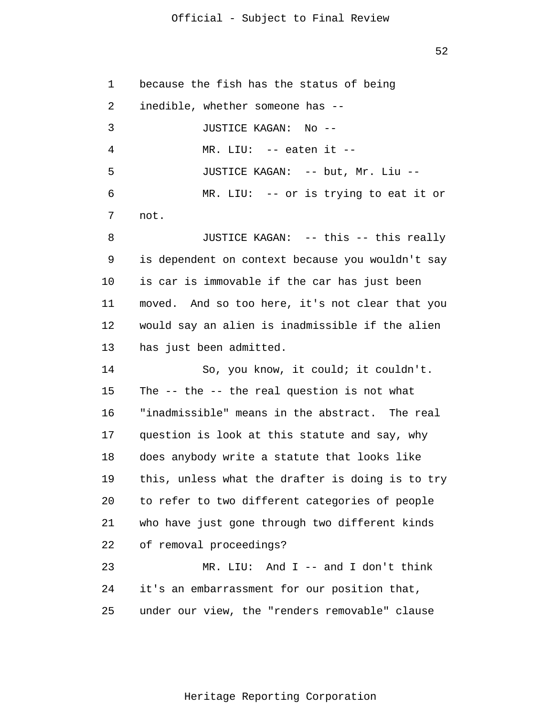52

1  $\overline{2}$ 3 4 5 6 7 8 9 10 11 12 13 14 15 16 17 18 19 20 21 22 23 24 25 because the fish has the status of being inedible, whether someone has -- JUSTICE KAGAN: No -- MR. LIU: -- eaten it -- JUSTICE KAGAN: -- but, Mr. Liu -- MR. LIU: -- or is trying to eat it or not. JUSTICE KAGAN: -- this -- this really is dependent on context because you wouldn't say is car is immovable if the car has just been moved. And so too here, it's not clear that you would say an alien is inadmissible if the alien has just been admitted. So, you know, it could; it couldn't. The -- the -- the real question is not what "inadmissible" means in the abstract. The real question is look at this statute and say, why does anybody write a statute that looks like this, unless what the drafter is doing is to try to refer to two different categories of people who have just gone through two different kinds of removal proceedings? MR. LIU: And I -- and I don't think it's an embarrassment for our position that, under our view, the "renders removable" clause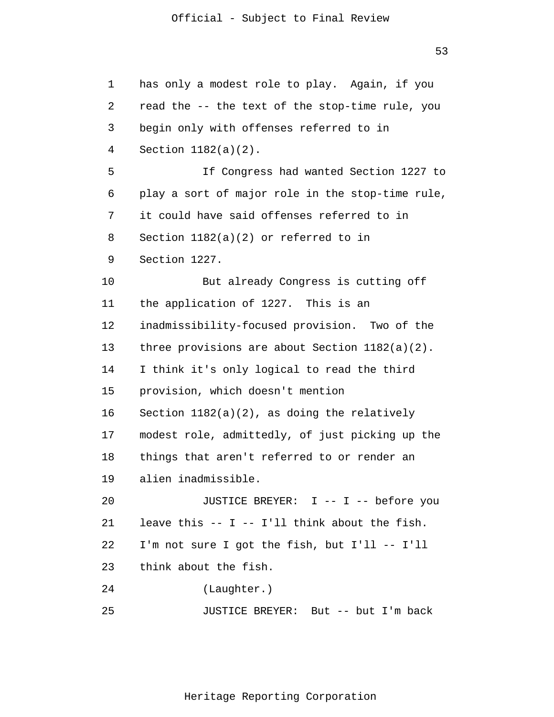53

```
1 
 \overline{2}3 
 4 
 5 
 6 
 7 
 8 
 9 
10 
11 
12 
13 
14 
15 
16 
17 
18 
19 
20 
21 
22 
23 
24 
25 
      has only a modest role to play. Again, if you 
      read the -- the text of the stop-time rule, you 
      begin only with offenses referred to in 
      Section 1182(a)(2). 
                 If Congress had wanted Section 1227 to 
      play a sort of major role in the stop-time rule, 
      it could have said offenses referred to in 
      Section 1182(a)(2) or referred to in 
      Section 1227. 
                 But already Congress is cutting off 
      the application of 1227. This is an 
      inadmissibility-focused provision. Two of the 
      three provisions are about Section 1182(a)(2). 
      I think it's only logical to read the third 
      provision, which doesn't mention 
      Section 1182(a)(2), as doing the relatively 
      modest role, admittedly, of just picking up the 
      things that aren't referred to or render an 
      alien inadmissible. 
                 JUSTICE BREYER: I -- I -- before you 
      leave this -- I -- I'll think about the fish. 
      I'm not sure I got the fish, but I'll -- I'll 
      think about the fish. 
                 (Laughter.) 
                JUSTICE BREYER: But -- but I'm back
```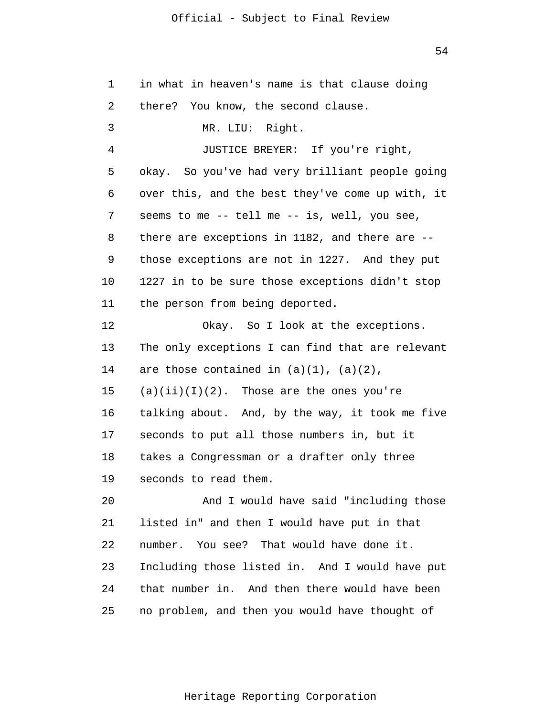54

| 1  | in what in heaven's name is that clause doing        |
|----|------------------------------------------------------|
| 2  | there? You know, the second clause.                  |
| 3  | MR. LIU: Right.                                      |
| 4  | JUSTICE BREYER: If you're right,                     |
| 5  | okay. So you've had very brilliant people going      |
| 6  | over this, and the best they've come up with, it     |
| 7  | seems to me -- tell me -- is, well, you see,         |
| 8  | there are exceptions in $1182$ , and there are $-$ - |
| 9  | those exceptions are not in 1227. And they put       |
| 10 | 1227 in to be sure those exceptions didn't stop      |
| 11 | the person from being deported.                      |
| 12 | Okay. So I look at the exceptions.                   |
| 13 | The only exceptions I can find that are relevant     |
| 14 | are those contained in $(a)(1)$ , $(a)(2)$ ,         |
| 15 | $(a)(ii)(I)(2)$ . Those are the ones you're          |
| 16 | talking about. And, by the way, it took me five      |
| 17 | seconds to put all those numbers in, but it          |
| 18 | takes a Congressman or a drafter only three          |
| 19 | seconds to read them.                                |
| 20 | And I would have said "including those               |
| 21 | listed in" and then I would have put in that         |
| 22 | number. You see? That would have done it.            |
| 23 | Including those listed in. And I would have put      |
| 24 | that number in. And then there would have been       |
| 25 | no problem, and then you would have thought of       |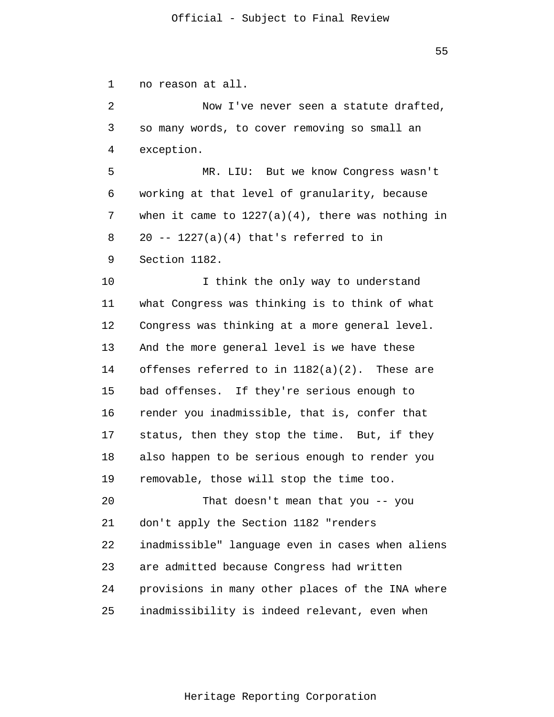1  $\overline{2}$ 3 4 5 6 7 8 9 10 11 12 13 14 15 16 17 18 19 20 21 22 23 24 25 no reason at all. Now I've never seen a statute drafted, so many words, to cover removing so small an exception. MR. LIU: But we know Congress wasn't working at that level of granularity, because when it came to  $1227(a)(4)$ , there was nothing in  $20$  --  $1227(a)(4)$  that's referred to in Section 1182. I think the only way to understand what Congress was thinking is to think of what Congress was thinking at a more general level. And the more general level is we have these offenses referred to in 1182(a)(2). These are bad offenses. If they're serious enough to render you inadmissible, that is, confer that status, then they stop the time. But, if they also happen to be serious enough to render you removable, those will stop the time too. That doesn't mean that you -- you don't apply the Section 1182 "renders inadmissible" language even in cases when aliens are admitted because Congress had written provisions in many other places of the INA where inadmissibility is indeed relevant, even when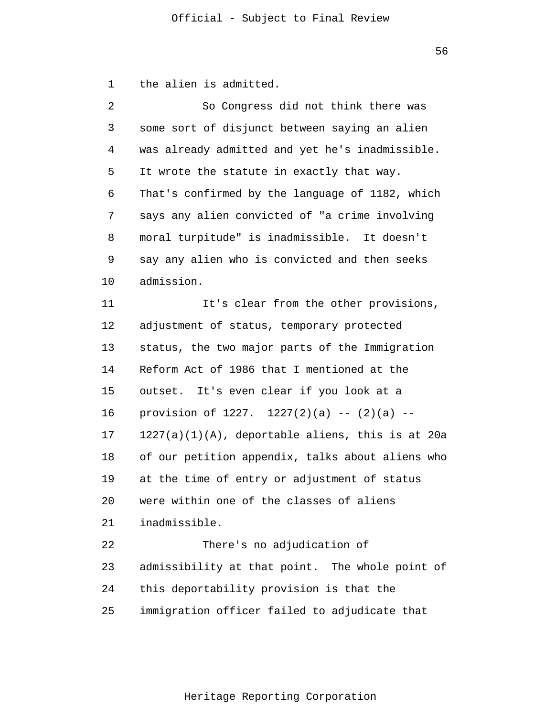1 the alien is admitted.

| 2  | So Congress did not think there was                 |
|----|-----------------------------------------------------|
| 3  | some sort of disjunct between saying an alien       |
| 4  | was already admitted and yet he's inadmissible.     |
| 5  | It wrote the statute in exactly that way.           |
| 6  | That's confirmed by the language of 1182, which     |
| 7  | says any alien convicted of "a crime involving      |
| 8  | moral turpitude" is inadmissible. It doesn't        |
| 9  | say any alien who is convicted and then seeks       |
| 10 | admission.                                          |
| 11 | It's clear from the other provisions,               |
| 12 | adjustment of status, temporary protected           |
| 13 | status, the two major parts of the Immigration      |
| 14 | Reform Act of 1986 that I mentioned at the          |
| 15 | outset. It's even clear if you look at a            |
| 16 | provision of 1227. $1227(2)(a)$ -- $(2)(a)$ --      |
| 17 | $1227(a)(1)(A)$ , deportable aliens, this is at 20a |
| 18 | of our petition appendix, talks about aliens who    |
| 19 | at the time of entry or adjustment of status        |
| 20 | were within one of the classes of aliens            |
| 21 | inadmissible.                                       |
| 22 | There's no adjudication of                          |
| 23 | admissibility at that point. The whole point of     |
| 24 | this deportability provision is that the            |
| 25 | immigration officer failed to adjudicate that       |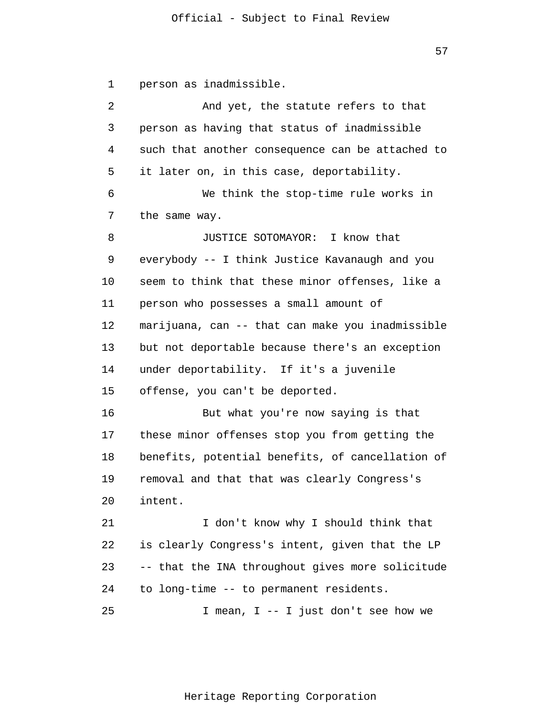```
1 
 \overline{2}3 
 4 
 5 
 6 
 7 
 8 
 9 
10 
11 
12 
13 
14 
15 
16 
17 
18 
19 
20 
21 
      person as inadmissible. 
                And yet, the statute refers to that 
      person as having that status of inadmissible 
      such that another consequence can be attached to 
      it later on, in this case, deportability. 
                We think the stop-time rule works in 
      the same way. 
                JUSTICE SOTOMAYOR: I know that 
      everybody -- I think Justice Kavanaugh and you 
      seem to think that these minor offenses, like a 
      person who possesses a small amount of 
      marijuana, can -- that can make you inadmissible 
      but not deportable because there's an exception 
      under deportability. If it's a juvenile 
      offense, you can't be deported. 
                But what you're now saying is that 
      these minor offenses stop you from getting the 
      benefits, potential benefits, of cancellation of 
      removal and that that was clearly Congress's 
      intent. 
                 I don't know why I should think that
```
22 23 24 is clearly Congress's intent, given that the LP -- that the INA throughout gives more solicitude to long-time -- to permanent residents.

25 I mean, I -- I just don't see how we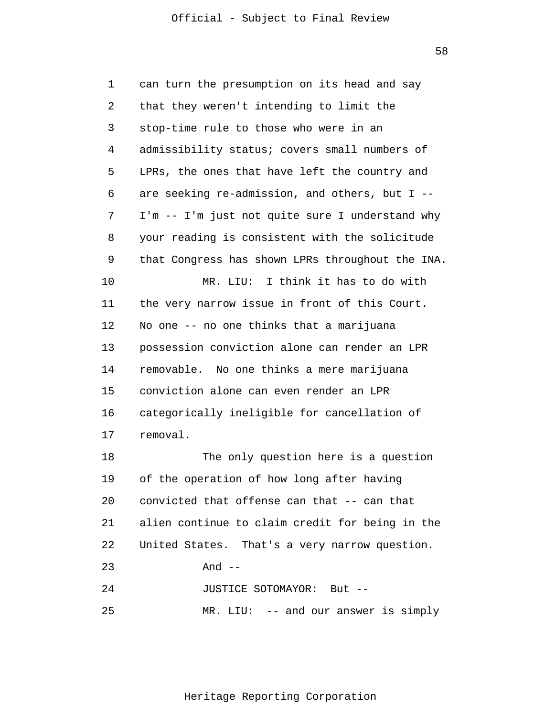58

| $\mathbf 1$ | can turn the presumption on its head and say     |
|-------------|--------------------------------------------------|
| 2           | that they weren't intending to limit the         |
| 3           | stop-time rule to those who were in an           |
| 4           | admissibility status; covers small numbers of    |
| 5           | LPRs, the ones that have left the country and    |
| 6           | are seeking re-admission, and others, but I --   |
| 7           | I'm -- I'm just not quite sure I understand why  |
| 8           | your reading is consistent with the solicitude   |
| 9           | that Congress has shown LPRs throughout the INA. |
| 10          | MR. LIU: I think it has to do with               |
| 11          | the very narrow issue in front of this Court.    |
| 12          | No one -- no one thinks that a marijuana         |
| 13          | possession conviction alone can render an LPR    |
| 14          | removable. No one thinks a mere marijuana        |
| 15          | conviction alone can even render an LPR          |
| 16          | categorically ineligible for cancellation of     |
| 17          | removal.                                         |
| 18          | The only question here is a question             |
| 19          | of the operation of how long after having        |
| 20          | convicted that offense can that -- can that      |
| 21          | alien continue to claim credit for being in the  |
| 22          | United States. That's a very narrow question.    |
| 23          | And $--$                                         |
| 24          | JUSTICE SOTOMAYOR: But --                        |
| 25          | $MR. LIU: -- and our answer is simply$           |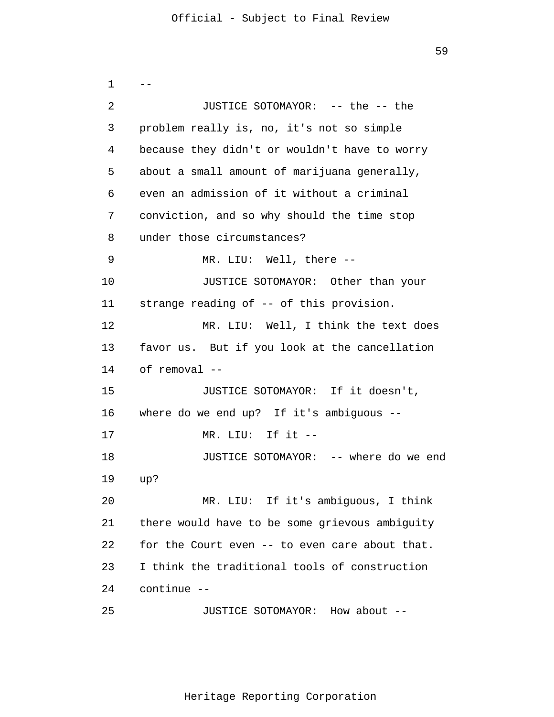1 2 3 4 5 6 7 8 9 10 11 12 13 14 15 16 17 18 19 20 21 22 23 24 25  $-$ JUSTICE SOTOMAYOR: -- the -- the problem really is, no, it's not so simple because they didn't or wouldn't have to worry about a small amount of marijuana generally, even an admission of it without a criminal conviction, and so why should the time stop under those circumstances? MR. LIU: Well, there -- JUSTICE SOTOMAYOR: Other than your strange reading of -- of this provision. MR. LIU: Well, I think the text does favor us. But if you look at the cancellation of removal -- JUSTICE SOTOMAYOR: If it doesn't, where do we end up? If it's ambiguous -- MR. LIU: If it -- JUSTICE SOTOMAYOR: -- where do we end up? MR. LIU: If it's ambiguous, I think there would have to be some grievous ambiguity for the Court even -- to even care about that. I think the traditional tools of construction continue -- JUSTICE SOTOMAYOR: How about --

59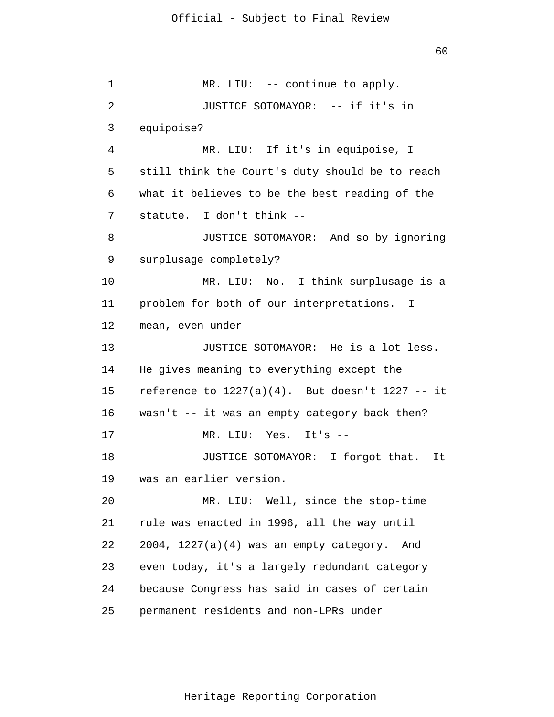1 2 3 4 5 6 7 8 9 10 11 12 13 14 15 16 17 18 19 20 21 22 23 24 25 MR. LIU: -- continue to apply. JUSTICE SOTOMAYOR: -- if it's in equipoise? MR. LIU: If it's in equipoise, I still think the Court's duty should be to reach what it believes to be the best reading of the statute. I don't think -- JUSTICE SOTOMAYOR: And so by ignoring surplusage completely? MR. LIU: No. I think surplusage is a problem for both of our interpretations. I mean, even under -- JUSTICE SOTOMAYOR: He is a lot less. He gives meaning to everything except the reference to  $1227(a)(4)$ . But doesn't  $1227 - i$ t wasn't -- it was an empty category back then? MR. LIU: Yes. It's -- JUSTICE SOTOMAYOR: I forgot that. It was an earlier version. MR. LIU: Well, since the stop-time rule was enacted in 1996, all the way until 2004, 1227(a)(4) was an empty category. And even today, it's a largely redundant category because Congress has said in cases of certain permanent residents and non-LPRs under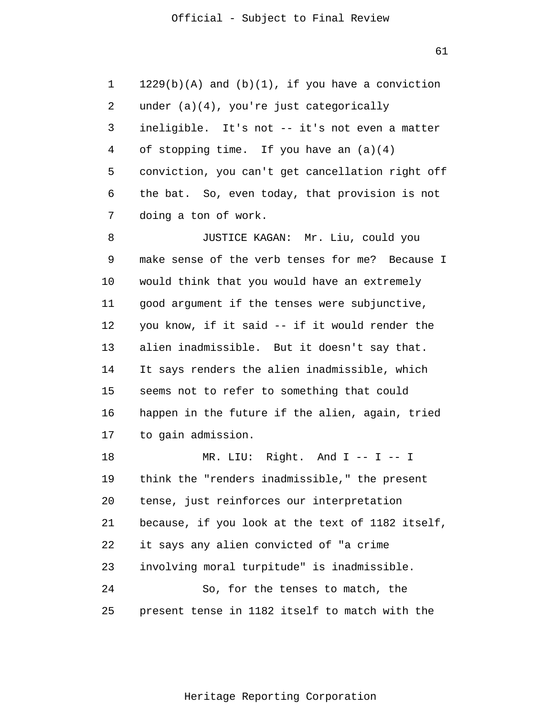1  $\overline{2}$ 3 4 5 6 7 8  $1229(b)(A)$  and  $(b)(1)$ , if you have a conviction under (a)(4), you're just categorically ineligible. It's not -- it's not even a matter of stopping time. If you have an (a)(4) conviction, you can't get cancellation right off the bat. So, even today, that provision is not doing a ton of work. JUSTICE KAGAN: Mr. Liu, could you

9 10 11 12 13 14 15 16 17 make sense of the verb tenses for me? Because I would think that you would have an extremely good argument if the tenses were subjunctive, you know, if it said -- if it would render the alien inadmissible. But it doesn't say that. It says renders the alien inadmissible, which seems not to refer to something that could happen in the future if the alien, again, tried to gain admission.

18 19 20 21 22 23 24 25 MR. LIU: Right. And I -- I -- I think the "renders inadmissible," the present tense, just reinforces our interpretation because, if you look at the text of 1182 itself, it says any alien convicted of "a crime involving moral turpitude" is inadmissible. So, for the tenses to match, the present tense in 1182 itself to match with the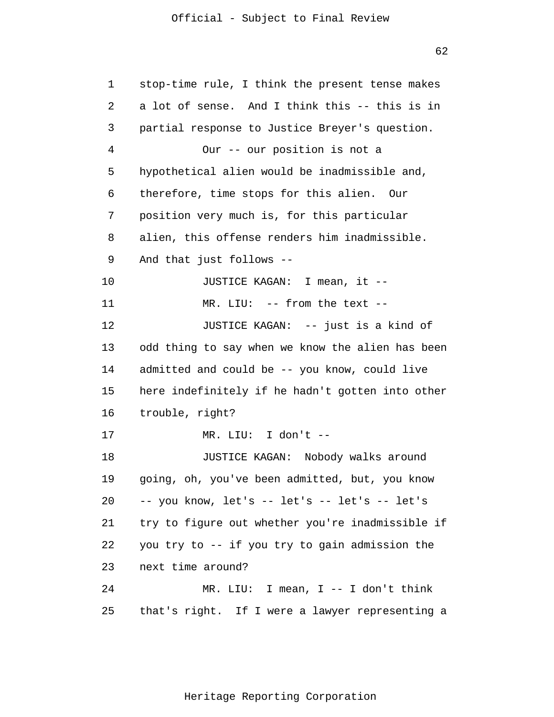1 2 3 4 5 6 7 8 9 10 11 12 13 14 15 16 17 18 19 20 21 22 23 24 25 stop-time rule, I think the present tense makes a lot of sense. And I think this -- this is in partial response to Justice Breyer's question. Our -- our position is not a hypothetical alien would be inadmissible and, therefore, time stops for this alien. Our position very much is, for this particular alien, this offense renders him inadmissible. And that just follows -- JUSTICE KAGAN: I mean, it -- MR. LIU: -- from the text -- JUSTICE KAGAN: -- just is a kind of odd thing to say when we know the alien has been admitted and could be -- you know, could live here indefinitely if he hadn't gotten into other trouble, right? MR. LIU: I don't -- JUSTICE KAGAN: Nobody walks around going, oh, you've been admitted, but, you know -- you know, let's -- let's -- let's -- let's try to figure out whether you're inadmissible if you try to -- if you try to gain admission the next time around? MR. LIU: I mean, I -- I don't think that's right. If I were a lawyer representing a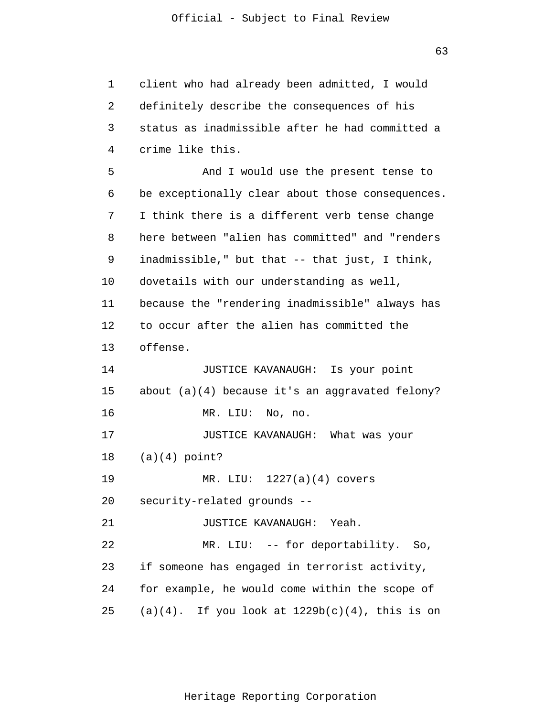1 2 3 4 5 6 7 8 9 10 11 12 13 14 15 16 17 18 19 20 21 22 23 24 25 client who had already been admitted, I would definitely describe the consequences of his status as inadmissible after he had committed a crime like this. And I would use the present tense to be exceptionally clear about those consequences. I think there is a different verb tense change here between "alien has committed" and "renders inadmissible," but that -- that just, I think, dovetails with our understanding as well, because the "rendering inadmissible" always has to occur after the alien has committed the offense. JUSTICE KAVANAUGH: Is your point about (a)(4) because it's an aggravated felony? MR. LIU: No, no. JUSTICE KAVANAUGH: What was your  $(a)(4)$  point? MR. LIU: 1227(a)(4) covers security-related grounds -- JUSTICE KAVANAUGH: Yeah. MR. LIU: -- for deportability. So, if someone has engaged in terrorist activity, for example, he would come within the scope of  $(a)(4)$ . If you look at  $1229b(c)(4)$ , this is on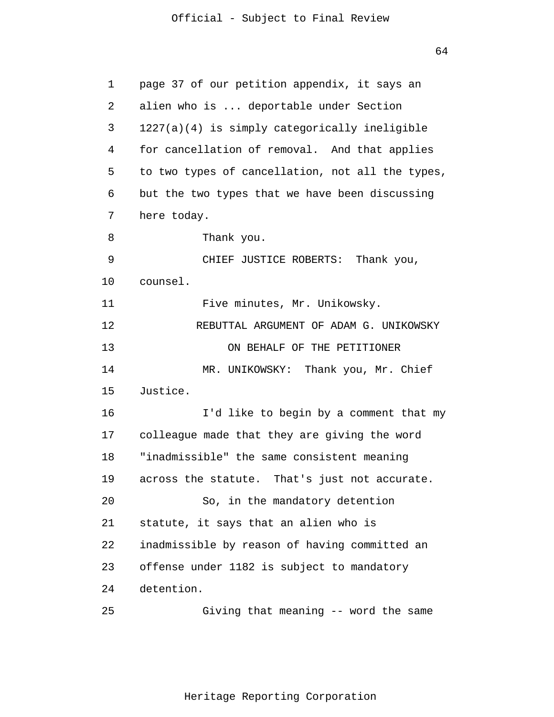64

1 2 3 4 5 6 7 8 9 10 11 12 13 14 15 16 17 18 19 20 21 22 23 24 25 page 37 of our petition appendix, it says an alien who is ... deportable under Section 1227(a)(4) is simply categorically ineligible for cancellation of removal. And that applies to two types of cancellation, not all the types, but the two types that we have been discussing here today. Thank you. CHIEF JUSTICE ROBERTS: Thank you, counsel. Five minutes, Mr. Unikowsky. REBUTTAL ARGUMENT OF ADAM G. UNIKOWSKY ON BEHALF OF THE PETITIONER MR. UNIKOWSKY: Thank you, Mr. Chief Justice. I'd like to begin by a comment that my colleague made that they are giving the word "inadmissible" the same consistent meaning across the statute. That's just not accurate. So, in the mandatory detention statute, it says that an alien who is inadmissible by reason of having committed an offense under 1182 is subject to mandatory detention. Giving that meaning -- word the same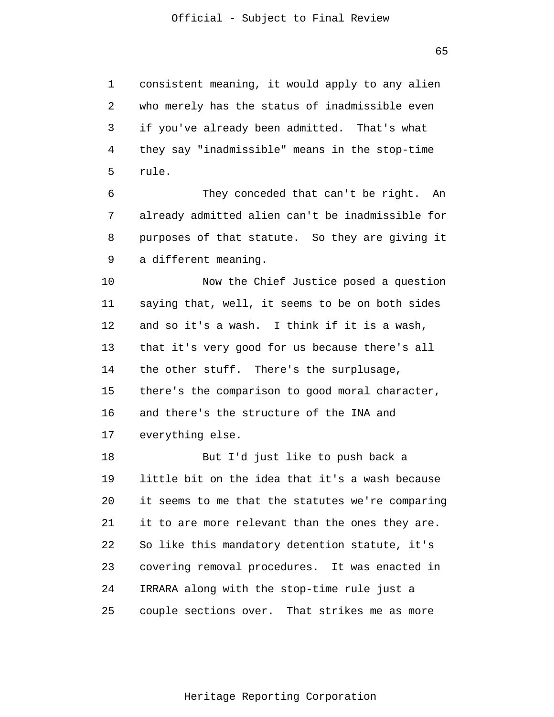1 2 3 4 5 consistent meaning, it would apply to any alien who merely has the status of inadmissible even if you've already been admitted. That's what they say "inadmissible" means in the stop-time rule.

6 7 8 9 They conceded that can't be right. An already admitted alien can't be inadmissible for purposes of that statute. So they are giving it a different meaning.

10 11 12 13 14 15 16 17 Now the Chief Justice posed a question saying that, well, it seems to be on both sides and so it's a wash. I think if it is a wash, that it's very good for us because there's all the other stuff. There's the surplusage, there's the comparison to good moral character, and there's the structure of the INA and everything else.

18 19 20 21 22 23 24 25 But I'd just like to push back a little bit on the idea that it's a wash because it seems to me that the statutes we're comparing it to are more relevant than the ones they are. So like this mandatory detention statute, it's covering removal procedures. It was enacted in IRRARA along with the stop-time rule just a couple sections over. That strikes me as more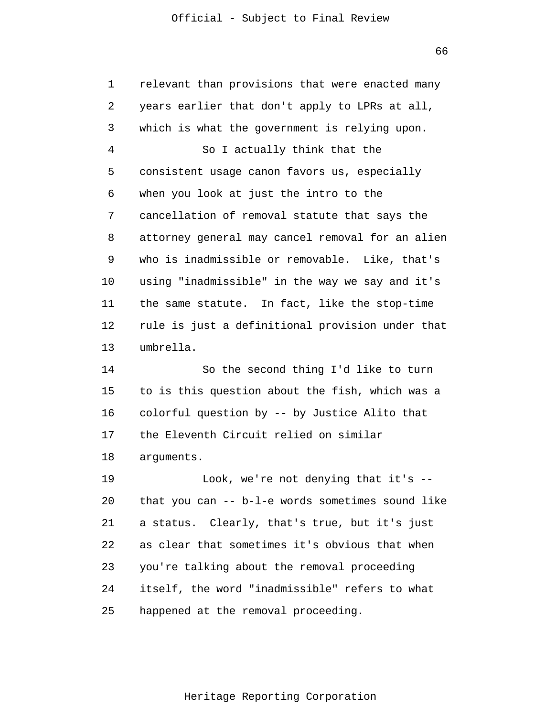66

1 2 3 4 5 6 7 8 9 10 11 12 13 14 15 16 17 18 19 relevant than provisions that were enacted many years earlier that don't apply to LPRs at all, which is what the government is relying upon. So I actually think that the consistent usage canon favors us, especially when you look at just the intro to the cancellation of removal statute that says the attorney general may cancel removal for an alien who is inadmissible or removable. Like, that's using "inadmissible" in the way we say and it's the same statute. In fact, like the stop-time rule is just a definitional provision under that umbrella. So the second thing I'd like to turn to is this question about the fish, which was a colorful question by -- by Justice Alito that the Eleventh Circuit relied on similar arguments. Look, we're not denying that it's --

20 21 22 23 24 25 that you can -- b-l-e words sometimes sound like a status. Clearly, that's true, but it's just as clear that sometimes it's obvious that when you're talking about the removal proceeding itself, the word "inadmissible" refers to what happened at the removal proceeding.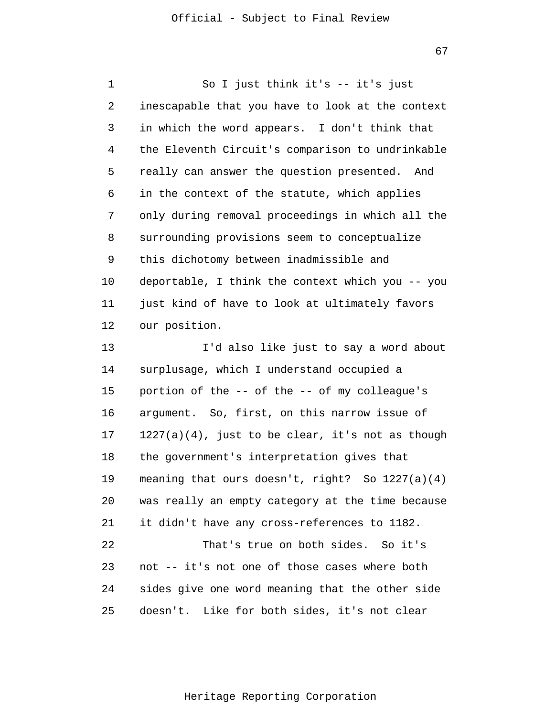1 2 3 4 5 6 7 8 9 10 11 12 13 14 15 16 17 18 19 20 21 22 23 24 25 So I just think it's -- it's just inescapable that you have to look at the context in which the word appears. I don't think that the Eleventh Circuit's comparison to undrinkable really can answer the question presented. And in the context of the statute, which applies only during removal proceedings in which all the surrounding provisions seem to conceptualize this dichotomy between inadmissible and deportable, I think the context which you -- you just kind of have to look at ultimately favors our position. I'd also like just to say a word about surplusage, which I understand occupied a portion of the -- of the -- of my colleague's argument. So, first, on this narrow issue of  $1227(a)(4)$ , just to be clear, it's not as though the government's interpretation gives that meaning that ours doesn't, right? So  $1227(a)(4)$ was really an empty category at the time because it didn't have any cross-references to 1182. That's true on both sides. So it's not -- it's not one of those cases where both sides give one word meaning that the other side doesn't. Like for both sides, it's not clear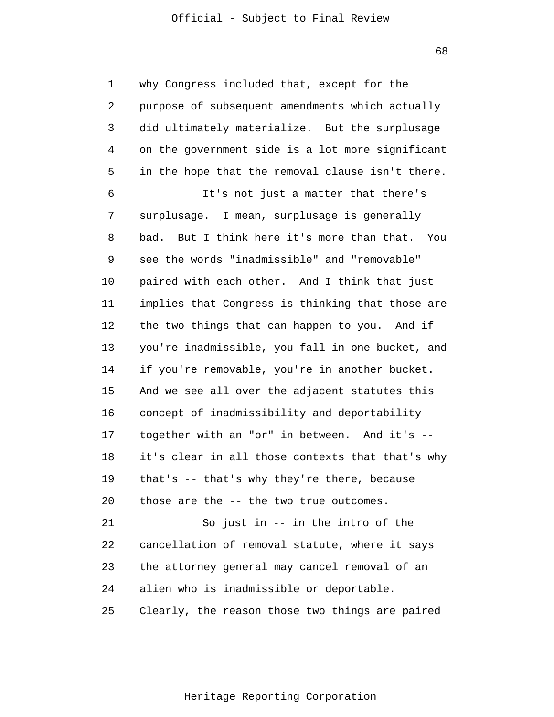68

1 2 3 4 5 6 7 8 9 10 11 12 13 14 15 16 17 18 19 20 21 22 23 24 why Congress included that, except for the purpose of subsequent amendments which actually did ultimately materialize. But the surplusage on the government side is a lot more significant in the hope that the removal clause isn't there. It's not just a matter that there's surplusage. I mean, surplusage is generally bad. But I think here it's more than that. You see the words "inadmissible" and "removable" paired with each other. And I think that just implies that Congress is thinking that those are the two things that can happen to you. And if you're inadmissible, you fall in one bucket, and if you're removable, you're in another bucket. And we see all over the adjacent statutes this concept of inadmissibility and deportability together with an "or" in between. And it's - it's clear in all those contexts that that's why that's -- that's why they're there, because those are the -- the two true outcomes. So just in -- in the intro of the cancellation of removal statute, where it says the attorney general may cancel removal of an alien who is inadmissible or deportable.

25 Clearly, the reason those two things are paired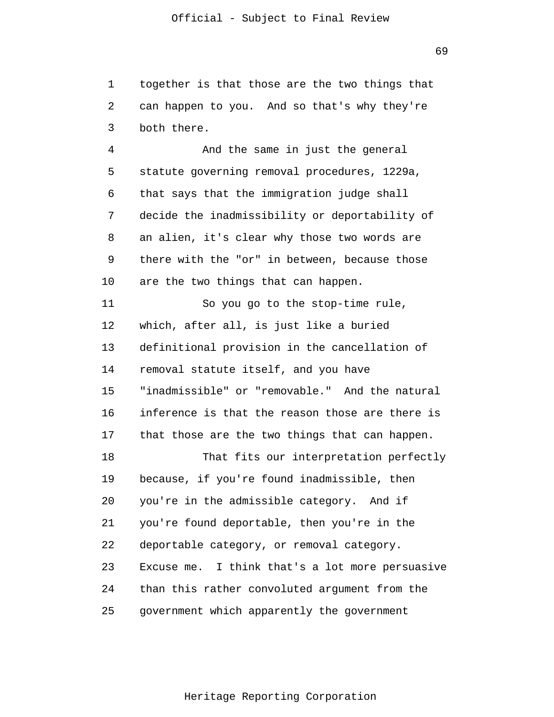1  $\overline{2}$ 3 together is that those are the two things that can happen to you. And so that's why they're both there.

4 5 6 7 8 9 10 And the same in just the general statute governing removal procedures, 1229a, that says that the immigration judge shall decide the inadmissibility or deportability of an alien, it's clear why those two words are there with the "or" in between, because those are the two things that can happen.

11 12 13 14 15 16 17 18 19 20 21 22 23 24 25 So you go to the stop-time rule, which, after all, is just like a buried definitional provision in the cancellation of removal statute itself, and you have "inadmissible" or "removable." And the natural inference is that the reason those are there is that those are the two things that can happen. That fits our interpretation perfectly because, if you're found inadmissible, then you're in the admissible category. And if you're found deportable, then you're in the deportable category, or removal category. Excuse me. I think that's a lot more persuasive than this rather convoluted argument from the government which apparently the government

69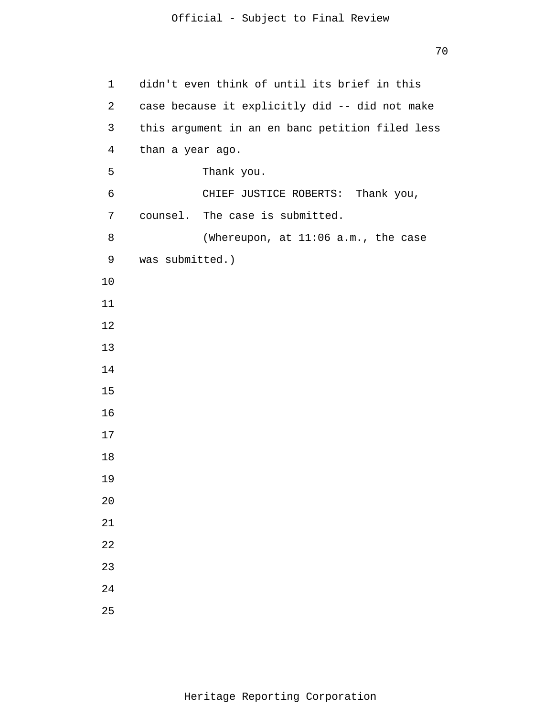```
1 
 2 
 3 
 4 
 5 
 6 
 7 
 8 
 9 
10
11
12
13
14
15
16
17
18
19
20
21
22
23
24
25
      didn't even think of until its brief in this 
      case because it explicitly did -- did not make 
      this argument in an en banc petition filed less 
      than a year ago. 
                 Thank you. 
                 CHIEF JUSTICE ROBERTS: Thank you, 
      counsel. The case is submitted. 
                 (Whereupon, at 11:06 a.m., the case 
      was submitted.)
```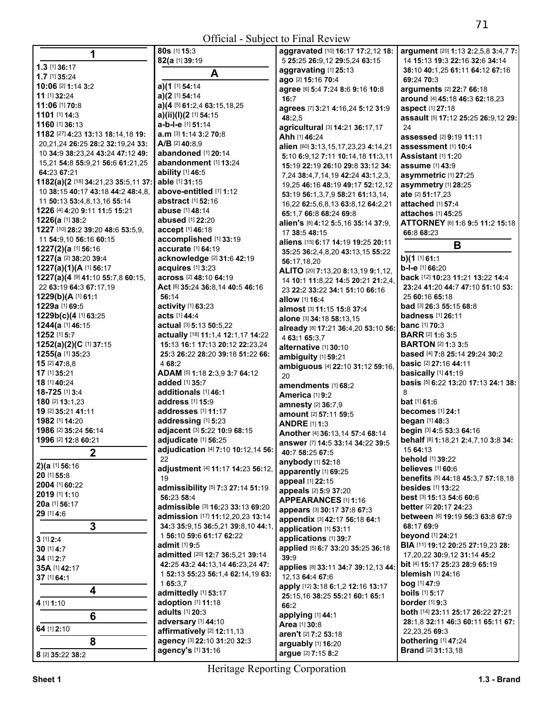| 1                                           | 80s [1] 15:3                                               | aggravated [10] 16:17 17:2,12 18:                             | argument [20] 1:13 2:2,5,8 3:4,7 7:             |
|---------------------------------------------|------------------------------------------------------------|---------------------------------------------------------------|-------------------------------------------------|
| $1.3$ [1] 36:17                             | 82(a [1] 39:19                                             | 5 25:25 26:9,12 29:5,24 63:15                                 | 14 15:13 19:3 22:16 32:6 34:14                  |
| 1.7 [1] 35:24                               | A                                                          | aggravating [1] 25:13                                         | 38:10 40:1,25 61:11 64:12 67:16                 |
| 10:06 [2] 1:14 3:2                          | a)(1 [1] 54:14                                             | ago [2] 15:16 70:4                                            | 69:24 70:3                                      |
| 11 [1] 32:24                                |                                                            | agree [6] 5:4 7:24 8:6 9:16 10:8                              | arguments [2] 22:7 66:18                        |
| 11:06 [1] 70:8                              | a) $(2$ [1] 54:14<br>a)(4 [5] 61:2,4 63:15,18,25           | 16:7                                                          | around [4] 45:18 46:3 62:18,23                  |
| 1101 [1] 14:3                               | a)(ii)(l)(2 [1] 54:15                                      | agrees [7] 3:21 4:16,24 5:12 31:9                             | aspect [1] 27:18                                |
| 1160 [1] 36:13                              | a-b-l-e [1] 51:14                                          | 48:2.5                                                        | assault [5] 17:12 25:25 26:9,12 29:             |
| 1182 [27] 4:23 13:13 18:14,18 19:           | <b>a.m</b> [3] <b>1:14 3:2 70:8</b>                        | agricultural [3] 14:21 36:17,17                               | 24                                              |
| 20,21,24 26:25 28:2 32:19,24 33:            | $A/B$ [2] 40:8.9                                           | Ahh [1] 46:24                                                 | assessed [2] 9:19 11:11                         |
| 10 34:9 38:23,24 43:24 47:12 49:            | abandoned [1] 20:14                                        | alien [60] 3:13,15,17,23,23 4:14,21                           | assessment [1] 10:4                             |
| 15,21 54:8 55:9,21 56:6 61:21,25            | abandonment [1] 13:24                                      | 5:10 6:9,12 7:11 10:14,18 11:3,11                             | <b>Assistant</b> [1] <b>1:20</b>                |
| 64:23 67:21                                 | ability [1] 46:5                                           | 15:19 22:19 26:10 29:8 33:12 34:                              | <b>assume</b> [1] 43:9                          |
| 1182(a)(2 [18] 34:21,23 35:5,11 37:         | able [1] 31:15                                             | 7,24 38:4,7,14,19 42:24 43:1,2,3,                             | asymmetric [1] 27:25                            |
| 10 38:15 40:17 43:18 44:2 48:4,8,           | above-entitled [1] 1:12                                    | 19,25 46:16 48:19 49:17 52:12,12                              | asymmetry [1] 28:25                             |
| 11 50:13 53:4,8,13,16 55:14                 | <b>abstract</b> [1] <b>52:16</b>                           | 53:19 56:1,3,7,9 58:21 61:13,14,                              | ate [2] 51:17,23                                |
| 1226 [4] 4:20 9:11 11:5 15:21               | abuse [1] 48:14                                            | 16,22 62:5,6,8,13 63:8,12 64:2,21                             | attached [1] 57:4<br>attaches [1] 45:25         |
| 1226(a [1] 38:2                             | abused [1] 22:20                                           | 65:1,7 66:8 68:24 69:8<br>alien's [8] 4:12 5:5,16 35:14 37:9, | ATTORNEY [6] 1:6 9:5 11:2 15:18                 |
| 1227 [10] 28:2 39:20 48:6 53:5,9,           | accept [1] 46:18                                           | 17 38:5 48:15                                                 | 66:8 68:23                                      |
| 11 54:9,10 56:16 60:15                      | accomplished [1] 33:19                                     | aliens [15] 6:17 14:19 19:25 20:11                            |                                                 |
| 1227(2)(a [1] 56:16                         | accurate [1] 64:19                                         | 35:25 36:2,4,8,20 43:13,15 55:22                              | В                                               |
| 1227(a [2] 38:20 39:4                       | acknowledge [2] 31:6 42:19                                 | 56:17,18,20                                                   | b)(1 [1] 61:1                                   |
| 1227(a)(1)(A [1] 56:17                      | acquires [1] 3:23                                          | ALITO [20] 7:13,20 8:13,19 9:1,12,                            | b-l-e [1] 66:20                                 |
| 1227(a)(4 [9] 41:10 55:7,8 60:15,           | across [2] 48:10 64:19                                     | 14 10:1 11:8,22 14:5 20:21 21:2,4,                            | back [12] 10:23 11:21 13:22 14:4                |
| 22 63:19 64:3 67:17,19                      | Act [6] 35:24 36:8,14 40:5 46:16                           | 23 22:2 33:22 34:1 51:10 66:16                                | 23:24 41:20 44:7 47:10 51:10 53:                |
| 1229(b)(A [1] 61:1                          | 56:14                                                      | allow [1] 16:4                                                | 25 60:16 65:18                                  |
| 1229a [1] 69:5                              | activity [1] 63:23                                         | almost [3] 11:15 15:8 37:4                                    | <b>bad</b> [3] <b>26:3 55:15 68:</b> 8          |
| 1229b(c)(4 [1] 63:25                        | <b>acts [1] 44:4</b>                                       | alone [3] 34:18 58:13,15                                      | <b>badness</b> [1] <b>26:11</b>                 |
| 1244(a [1] 46:15                            | actual [3] 5:13 50:5,22                                    | already [8] 17:21 36:4,20 53:10 56:                           | <b>banc</b> [1] <b>70:</b> 3                    |
| 1252 [1] 5:7                                | actually [18] 11:1,4 12:1,17 14:22                         | 4 63:1 65:3.7                                                 | <b>BARR [2] 1:6 3:5</b>                         |
| 1252(a)(2)(C [1] 37:15                      | 15:13 16:1 17:13 20:12 22:23,24                            | alternative [1] 30:10                                         | <b>BARTON [2] 1:3 3:5</b>                       |
| 1255(a [1] 35:23                            | 25:3 26:22 28:20 39:18 51:22 66:                           | ambiguity [1] 59:21                                           | <b>based</b> [4] 7:8 25:14 29:24 30:2           |
| 15 [2] 47:8,8                               | 4 68:2                                                     | ambiguous [4] 22:10 31:12 59:16,                              | basic [2] 27:16 44:11                           |
| 17 [1] 35:21                                | ADAM [5] 1:18 2:3,9 3:7 64:12                              | 20                                                            | basically [1] 41:19                             |
| 18 [1] 40:24                                | added [1] 35:7                                             | amendments [1] 68:2                                           | basis [5] 6:22 13:20 17:13 24:1 38:             |
| 18-725 [1] 3:4                              | additionals [1] 46:1                                       | America [1] 9:2                                               | 8                                               |
| 180 [2] 13:1,23                             | address [1] 15:9                                           | amnesty [2] 36:7,9                                            | <b>bat</b> [1] <b>61:</b> 6                     |
| 19 [2] 35:21 41:11                          | addresses [1] 11:17                                        | amount [2] 57:11 59:5                                         | becomes [1] 24:1                                |
| 1982 [1] 14:20                              | addressing [1] 5:23                                        | <b>ANDRE [1] 1:3</b>                                          | began [1] 48:3                                  |
| 1986 [2] 35:24 56:14<br>1996 [2] 12:8 60:21 | adjacent [3] 5:22 10:9 68:15                               | Another [4] 36:13,14 57:4 68:14                               | begin [3] 4:5 53:3 64:16                        |
|                                             | adjudicate [1] 56:25<br>adjudication [4] 7:10 10:12,14 56: | answer [7] 14:5 33:14 34:22 39:5                              | behalf [8] 1:18,21 2:4,7,10 3:8 34:<br>15 64:13 |
| 2                                           | 22                                                         | 40:7 58:25 67:5                                               | behold [1] 39:22                                |
| <b>2)(a</b> [1] $56:16$                     | adjustment [4] 11:17 14:23 56:12,                          | anybody [1] 52:18                                             | believes [1] 60:6                               |
| 20 [1] 55:8                                 | 19                                                         | apparently [1] 69:25                                          | benefits [5] 44:18 45:3,7 57:18,18              |
| 2004 [1] 60:22                              | admissibility [5] 7:3 27:14 51:19                          | appeal [1] 22:15                                              | <b>besides</b> [1] 13:22                        |
| 2019 [1] 1:10                               | 56:23 58:4                                                 | appeals [2] 5:9 37:20                                         | best [3] 15:13 54:6 60:6                        |
| 20a [1] 56:17                               | admissible [3] 16:23 33:13 69:20                           | APPEARANCES [1] 1:16                                          | <b>better</b> [2] <b>20:17 24:23</b>            |
| 29 [1] 4:6                                  | admission [17] 11:12,20,23 13:14                           | appears [3] 30:17 37:8 67:3                                   | between [6] 19:19 56:3 63:8 67:9                |
| 3                                           | 34:3 35:9,15 36:5,21 39:8,10 44:1,                         | appendix [3] 42:17 56:18 64:1<br>application [1] 53:11        | 68:17 69:9                                      |
| $3$ [1] $2:4$                               | 1 56:10 59:6 61:17 62:22                                   | applications [1] 39:7                                         | <b>beyond</b> [1] 24:21                         |
| $30$ [1] $4:7$                              | admit [1] 9:5                                              | applied [5] 6:7 33:20 35:25 36:18                             | BIA [11] 19:12 20:25 27:19,23 28:               |
| 34 [1] 2:7                                  | admitted [20] 12:7 36:5,21 39:14                           | 39:9                                                          | 17,20,22 30:9,12 31:14 45:2                     |
| 35A [1] 42:17                               | 42:25 43:2 44:13,14 46:23,24 47:                           | applies [8] 33:11 34:7 39:12,13 44:                           | <b>bit</b> [4] <b>15:17 25:23 28:9 65:19</b>    |
| 37 [1] 64:1                                 | 1 52:13 55:23 56:1,4 62:14,19 63:                          | 12,13 64:4 67:6                                               | <b>blemish</b> [1] 24:16                        |
|                                             | 165:3,7                                                    | apply [12] 3:18 6:1,2 12:16 13:17                             | bog [1] 47:9                                    |
| 4                                           | admittedly [1] 53:17                                       | 25:15,16 38:25 55:21 60:1 65:1                                | <b>boils</b> [1] 5:17                           |
| 4 [1] 1:10                                  | adoption [1] 11:18                                         | 66:2                                                          | <b>border</b> [1] 9:3                           |
| 6                                           | adults [1] 20:3                                            | applying [1] 44:1                                             | both [14] 23:11 25:17 26:22 27:21               |
|                                             | adversary [1] 44:10                                        | Area [1] 30:8                                                 | 28:1,8 32:11 46:3 60:11 65:11 67:               |
| 64 [1] 2:10                                 | affirmatively [2] 12:11,13                                 | aren't [2] 7:2 53:18                                          | 22,23,25 69:3                                   |
| 8                                           | agency [3] 22:10 31:20 32:3                                | arguably [1] 16:20                                            | bothering [1] 47:24                             |
| 8 [2] 35:22 38:2                            | agency's [1] 31:16                                         | argue [2] 7:15 8:2                                            | <b>Brand</b> [2] 31:13,18                       |
|                                             |                                                            |                                                               |                                                 |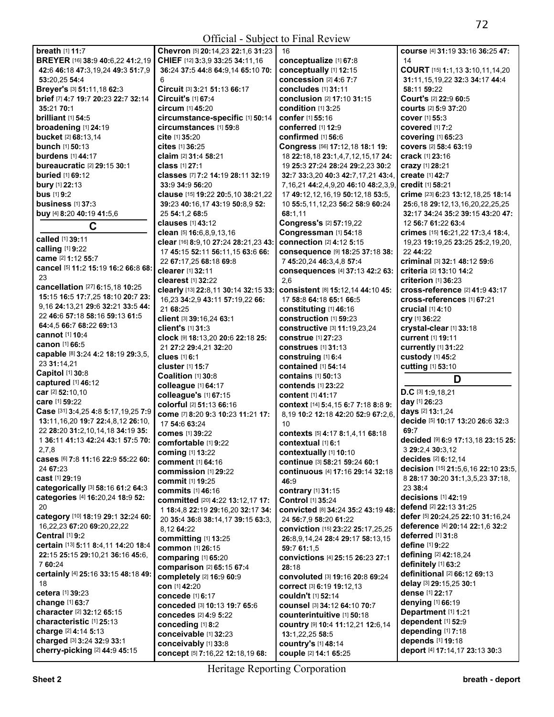| breath [1] 11:7                                             | Chevron [5] 20:14,23 22:1,6 31:23              | 16                                            | course [4] 31:19 33:16 36:25 47:                    |
|-------------------------------------------------------------|------------------------------------------------|-----------------------------------------------|-----------------------------------------------------|
| BREYER [16] 38:9 40:6,22 41:2,19                            | CHIEF [12] 3:3,9 33:25 34:11,16                | conceptualize [1] 67:8                        | 14                                                  |
| 42:6 46:18 47:3,19,24 49:3 51:7,9                           | 36:24 37:5 44:8 64:9,14 65:10 70:              | conceptually [1] 12:15                        | COURT [15] 1:1,13 3:10,11,14,20                     |
| 53:20,25 54:4                                               |                                                | <b>concession [2] 4:6 7:7</b>                 | 31:11, 15, 19, 22 32:3 34:17 44:4                   |
| Breyer's [3] 51:11,18 62:3                                  | Circuit [3] 3:21 51:13 66:17                   | concludes [1] 31:11                           | 58:11 59:22                                         |
| brief [7] 4:7 19:7 20:23 22:7 32:14                         | Circuit's $[1]$ 67:4                           | conclusion [2] 17:10 31:15                    | Court's [2] 22:9 60:5                               |
| 35:21 70:1                                                  | circum [1] 45:20                               | condition [1] 3:25                            | <b>courts</b> [2] <b>5:</b> 9 <b>37:</b> 20         |
| <b>brilliant</b> [1] 54:5                                   | circumstance-specific [1] 50:14                | confer [1] 55:16                              | cover [1] 55:3                                      |
| broadening [1] 24:19                                        | circumstances [1] 59:8                         | conferred [1] 12:9                            | covered [1] 7:2                                     |
| bucket [2] 68:13,14                                         | cite [1] 35:20                                 | confirmed [1] 56:6                            | <b>covering [1] 65:23</b>                           |
| <b>bunch</b> [1] 50:13                                      | cites $[1]$ 36:25                              | Congress [56] 17:12,18 18:1 19:               | covers [2] 58:4 63:19                               |
| <b>burdens</b> [1] 44:17                                    | <b>claim</b> [2] <b>31:4 58:21</b>             | 18 22:18,18 23:1,4,7,12,15,17 24:             | crack [1] 23:16                                     |
| <b>bureaucratic [2] 29:15 30:1</b>                          | <b>class</b> [1] 27:1                          | 19 25:3 27:24 28:24 29:2,23 30:2              | crazy [1] 28:21                                     |
| <b>buried</b> [1] 69:12                                     | classes [7] 7:2 14:19 28:11 32:19              | 32:7 33:3,20 40:3 42:7,17,21 43:4,            | <b>create</b> [1] 42:7                              |
| bury [1] 22:13                                              | 33:9 34:9 56:20                                | 7, 16, 21 44: 2, 4, 9, 20 46: 10 48: 2, 3, 9, | credit [1] 58:21                                    |
| <b>bus</b> [1] 9:2                                          | clause [15] 19:22 20:5,10 38:21,22             | 17 49:12,12,16,19 50:12,18 53:5,              | crime [23] 6:23 13:12,18,25 18:14                   |
| business [1] 37:3                                           | 39:23 40:16,17 43:19 50:8,9 52:                | 10 55:5, 11, 12, 23 56: 2 58: 9 60: 24        | 25:6,18 29:12,13,16,20,22,25,25                     |
| <b>buy</b> [4] <b>8:20 40:19 41:</b> 5,6                    | 25 54:1,2 68:5                                 | 68:1,11                                       | 32:17 34:24 35:2 39:15 43:20 47:                    |
|                                                             | <b>clauses</b> [1] 43:12                       | Congress's [2] 57:19,22                       | 12 56:7 61:22 63:4                                  |
| C                                                           | clean $[5]$ 16:6,8,9,13,16                     | Congressman [1] 54:18                         | crimes [15] 16:21,22 17:3,4 18:4,                   |
| called [1] 39:11                                            | clear [16] 8:9,10 27:24 28:21,23 43:           | connection [2] 4:12 5:15                      | 19,23 19:19,25 23:25 25:2,19,20,                    |
| calling [1] 9:22                                            | 17 45:15 52:11 56:11,15 63:6 66:               | consequence [9] 18:25 37:18 38:               | 22 44:22                                            |
| came [2] 1:12 55:7                                          | 22 67:17,25 68:18 69:8                         | 7 45:20.24 46:3.4.8 57:4                      | criminal [3] 32:1 48:12 59:6                        |
| cancel [5] 11:2 15:19 16:2 66:8 68:                         | clearer [1] 32:11                              | consequences [4] 37:13 42:2 63:               | criteria [2] 13:10 14:2                             |
| 23                                                          | <b>clearest</b> [1] 32:22                      | 2.6                                           | criterion [1] 36:23                                 |
| cancellation [27] 6:15,18 10:25                             | clearly [13] 22:8.11 30:14 32:15 33:           | consistent [8] 15:12,14 44:10 45:             | cross-reference [2] 41:9 43:17                      |
| 15:15 16:5 17:7,25 18:10 20:7 23:                           | 16,23 34:2,9 43:11 57:19,22 66:                | 17 58:8 64:18 65:1 66:5                       | cross-references [1] 67:21                          |
| 9,16 24:13,21 29:6 32:21 33:5 44:                           | 21 68:25                                       |                                               | crucial [1] 4:10                                    |
| 22 46:6 57:18 58:16 59:13 61:5                              |                                                | constituting [1] 46:16                        |                                                     |
| 64:4,5 66:7 68:22 69:13                                     | client [3] 39:16,24 63:1                       | construction [1] 59:23                        | cry [1] 36:22                                       |
| <b>cannot</b> [1] 10:4                                      | client's [1] 31:3                              | constructive [3] 11:19,23,24                  | crystal-clear [1] 33:18                             |
| <b>canon</b> [1] 66:5                                       | clock [9] 18:13,20 20:6 22:18 25:              | <b>construe</b> [1] 27:23                     | <b>current</b> [1] 19:11                            |
| capable [8] 3:24 4:2 18:19 29:3,5,                          | 21 27:2 29:4,21 32:20                          | <b>construes</b> [1] 31:13                    | <b>currently</b> [1] 31:22                          |
| 23 31:14,21                                                 | clues [1] 6:1                                  | construing [1] 6:4                            | custody [1] 45:2                                    |
| Capitol [1] 30:8                                            | cluster [1] 15:7                               | contained [1] 54:14                           | cutting [1] 53:10                                   |
| captured [1] 46:12                                          | Coalition [1] 30:8                             | contains [1] 50:13                            | D                                                   |
|                                                             | colleague [1] 64:17                            | <b>contends</b> [1] 23:22                     | $D.C$ [3] 1:9,18,21                                 |
|                                                             |                                                |                                               |                                                     |
| car <sup>[2]</sup> 52:10,10                                 | colleague's [1] 67:15                          | <b>content</b> [1] 41:17                      |                                                     |
| <b>care</b> [1] 59:22                                       | colorful [2] 51:13 66:16                       | context [14] 5:4, 15 6:7 7:18 8:8 9:          | day [1] 26:23                                       |
| Case [31] 3:4,25 4:8 5:17,19,25 7:9                         | come [7] 8:20 9:3 10:23 11:21 17:              | 8,19 10:2 12:18 42:20 52:9 67:2,6,            | days [2] 13:1,24                                    |
| 13:11, 16, 20 19:7 22:4, 8, 12 26:10,                       | 17 54:6 63:24                                  | 10                                            | decide [5] 10:17 13:20 26:6 32:3                    |
| 22 28:20 31:2,10,14,18 34:19 35:                            | <b>comes</b> [1] 39:22                         | contexts [5] 4:17 8:1,4,11 68:18              | 69:7                                                |
| 1 36:11 41:13 42:24 43:1 57:5 70:                           | comfortable [1] 9:22                           | contextual [1] 6:1                            | decided [9] 6:9 17:13,18 23:15 25:                  |
| 2,7,8                                                       | <b>coming</b> [1] 13:22                        | contextually [1] 10:10                        | 3 29:2,4 30:3,12                                    |
| cases [6] 7:8 11:16 22:9 55:22 60:                          | comment [1] 64:16                              | continue [3] 58:21 59:24 60:1                 | decides [2] 6:12,14                                 |
| 24 67:23                                                    | commission [1] 29:22                           | continuous [4] 17:16 29:14 32:18              | decision [15] 21:5,6,16 22:10 23:5,                 |
| <b>cast</b> [1] <b>29:</b> 19                               | <b>commit</b> [1] 19:25                        | 46:9                                          | 8 28:17 30:20 31:1,3,5,23 37:18,                    |
| categorically [3] 58:16 61:2 64:3                           | commits $[1]$ 46:16                            | contrary [1] 31:15                            | 23 38:4                                             |
| categories [4] 16:20,24 18:9 52:                            | <b>committed</b> [20] <b>4:22 13:12,17 17:</b> | Control [1] 35:24                             | decisions [1] 42:19                                 |
| 20                                                          | 1 18:4,8 22:19 29:16,20 32:17 34:              | CONVicted [8] 34:24 35:2 43:19 48:            | defend [2] 22:13 31:25                              |
| category [10] 18:19 29:1 32:24 60:                          | 20 35:4 36:8 38:14,17 39:15 63:3,              | 24 56:7,9 58:20 61:22                         | defer [5] 20:24,25 22:10 31:16,24                   |
| 16,22,23 67:20 69:20,22,22                                  | 8,12 64:22                                     | conviction [15] 23:22 25:17,25,25             | deference [4] 20:14 22:1.6 32:2                     |
| <b>Central [1] 9:2</b>                                      | committing [1] 13:25                           | 26:8,9,14,24 28:4 29:17 58:13,15              | deferred [1] 31:8                                   |
| certain [13] 5:11 8:4,11 14:20 18:4                         | common [1] 26:15                               | 59:7 61:1,5                                   | <b>define</b> [1] 9:22                              |
| 22:15 25:15 29:10,21 36:16 45:6,                            | comparing [1] 65:20                            | convictions [4] 25:15 26:23 27:1              | <b>defining</b> [2] <b>42:</b> 18,24                |
| 7 60:24                                                     | comparison [2] 65:15 67:4                      | 28:18                                         | definitely [1] 63:2                                 |
| certainly [4] 25:16 33:15 48:18 49:                         | completely [2] 16:9 60:9                       | <b>convoluted</b> [3] 19:16 20:8 69:24        | definitional [2] 66:12 69:13                        |
| 18                                                          | con [1] 42:20                                  | Correct [3] 6:19 19:12,13                     | delay [3] 29:15,25 30:1                             |
| <b>cetera</b> [1] <b>39</b> :23                             | concede $[1]$ 6:17                             | couldn't [1] 52:14                            | dense [1] 22:17                                     |
| <b>change</b> [1] 63:7                                      | conceded [3] 10:13 19:7 65:6                   | counsel [3] 34:12 64:10 70:7                  | denying [1] 66:19                                   |
| <b>character</b> [2] <b>32:</b> 12 <b>65:</b> 15            | <b>concedes</b> [2] 4:9 5:22                   | counterintuitive [1] 50:18                    | Department [1] 1:21                                 |
| <b>characteristic</b> [1] <b>25:</b> 13                     | conceding [1] 8:2                              | country [9] 10:4 11:12,21 12:6,14             | dependent [1] 52:9                                  |
| charge [2] 4:14 5:13                                        | conceivable [1] 32:23                          | 13:1,22,25 58:5                               | depending [1] 7:18                                  |
| charged [3] 3:24 32:9 33:1<br>cherry-picking [2] 44:9 45:15 | conceivably [1] 33:8                           | country's [1] 48:14                           | depends [1] 19:18<br>deport [4] 17:14,17 23:13 30:3 |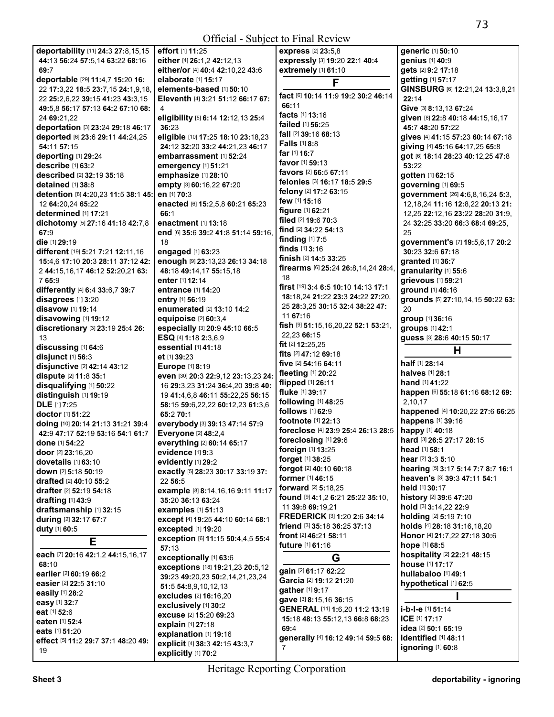| deportability [11] 24:3 27:8,15,15  | effort [1] 11:25                                       | express [2] 23:5,8                                         | generic [1] 50:10                                    |
|-------------------------------------|--------------------------------------------------------|------------------------------------------------------------|------------------------------------------------------|
| 44:13 56:24 57:5,14 63:22 68:16     | either [4] 26:1,2 42:12,13                             | expressly [3] 19:20 22:1 40:4                              | genius [1] 40:9                                      |
| 69:7                                | either/or [4] 40:4 42:10,22 43:6                       | extremely [1] 61:10                                        | gets [2] 9:2 17:18                                   |
| deportable [29] 11:4,7 15:20 16:    | elaborate [1] 15:17                                    | F                                                          | getting [1] 57:17                                    |
| 22 17:3,22 18:5 23:7,15 24:1,9,18,  | elements-based [1] 50:10                               |                                                            | GINSBURG [6] 12:21,24 13:3,8,21                      |
| 22 25:2,6,22 39:15 41:23 43:3,15    | Eleventh [4] 3:21 51:12 66:17 67:                      | fact [6] 10:14 11:9 19:2 30:2 46:14                        | 22:14                                                |
| 49:5,8 56:17 57:13 64:2 67:10 68:   | 4                                                      | 66:11                                                      | Give [3] 8:13,13 67:24                               |
| 24 69:21,22                         | eligibility [5] 6:14 12:12,13 25:4                     | facts [1] 13:16                                            | given [8] 22:8 40:18 44:15,16,17                     |
| deportation [3] 23:24 29:18 46:17   | 36:23                                                  | failed [1] 56:25                                           | 45:7 48:20 57:22                                     |
| deported [6] 23:6 29:11 44:24,25    | eligible [10] 17:25 18:10 23:18,23                     | <b>fall</b> [2] <b>39:16 68:13</b>                         | gives [4] 41:15 57:23 60:14 67:18                    |
| 54:11 57:15                         | 24:12 32:20 33:2 44:21,23 46:17                        | <b>Falls</b> $[1]$ 8:8                                     | giving [4] 45:16 64:17,25 65:8                       |
| deporting [1] 29:24                 | embarrassment [1] 52:24                                | far $[1]$ 16:7                                             | got [6] 18:14 28:23 40:12,25 47:8                    |
| describe [1] 63:2                   | emergency [1] 51:21                                    | favor [1] 59:13                                            | 53:22                                                |
| <b>described</b> [2] 32:19 35:18    | emphasize [1] 28:10                                    | favors [2] 66:5 67:11                                      | gotten [1] 62:15                                     |
| detained [1] 38:8                   | empty [3] 60:16,22 67:20                               | felonies [3] 16:17 18:5 29:5                               | governing [1] 69:5                                   |
| detention [8] 4:20,23 11:5 38:1 45: | en [1] 70:3                                            | felony [2] 17:2 63:15                                      | government [26] 4:6,8,16,24 5:3,                     |
| 12 64:20,24 65:22                   | enacted [6] 15:2,5,8 60:21 65:23                       | few [1] 15:16                                              | 12, 18, 24 11: 16 12: 8, 22 20: 13 21:               |
| determined [1] 17:21                | 66:1                                                   | <b>figure</b> [1] 62:21                                    | 12,25 22:12,16 23:22 28:20 31:9,                     |
| dichotomy [5] 27:16 41:18 42:7,8    | enactment [1] 13:18                                    | filed [2] 19:6 70:3                                        | 24 32:25 33:20 66:3 68:4 69:25.                      |
| 67:9                                | end [6] 35:6 39:2 41:8 51:14 59:16,                    | find [2] 34:22 54:13                                       | 25                                                   |
| die [1] 29:19                       | 18                                                     | finding [1] 7:5                                            | government's [7] 19:5,6,17 20:2                      |
| different [19] 5:21 7:21 12:11,16   | engaged [1] 63:23                                      | finds $[1]$ 3:16                                           | 30:23 32:6 67:18                                     |
| 15:4,6 17:10 20:3 28:11 37:12 42:   | enough [9] 23:13,23 26:13 34:18                        | finish [2] 14:5 33:25                                      | granted [1] 36:7                                     |
| 2 44:15,16,17 46:12 52:20,21 63:    | 48:18 49:14,17 55:15,18                                | firearms [6] 25:24 26:8,14,24 28:4,                        | granularity [1] 55:6                                 |
| 765:9                               | <b>enter</b> [1] <b>12:14</b>                          | 18                                                         | grievous [1] 59:21                                   |
| differently [4] 6:4 33:6,7 39:7     | entrance [1] 14:20                                     | first [19] 3:4 6:5 10:10 14:13 17:1                        | ground [1] 46:16                                     |
| disagrees [1] 3:20                  | entry [1] 56:19                                        | 18:18.24 21:22 23:3 24:22 27:20.                           | grounds [5] 27:10,14,15 50:22 63:                    |
| <b>disavow</b> [1] <b>19:14</b>     | enumerated [2] 13:10 14:2                              | 25 28:3,25 30:15 32:4 38:22 47:                            | 20                                                   |
|                                     |                                                        | 11 67:16                                                   |                                                      |
| disavowing [1] 19:12                | equipoise $[2]$ 60:3,4                                 | <b>fish</b> [9] <b>51:</b> 15,16,20,22 <b>52:1 53:</b> 21, | group [1] 36:16                                      |
| discretionary [3] 23:19 25:4 26:    | especially [3] 20:9 45:10 66:5<br>ESQ [4] 1:18 2:3,6,9 | 22,23 66:15                                                | groups [1] 42:1                                      |
| 13                                  |                                                        | fit $[2]$ 12:25,25                                         | guess [3] 28:6 40:15 50:17                           |
| discussing [1] 64:6                 | essential [1] 41:18                                    | <b>fits</b> $[2]$ 47:12 69:18                              | Н                                                    |
| disjunct [1] 56:3                   | et [1] 39:23                                           | five [2] 54:16 64:11                                       | half [1] 28:14                                       |
| disjunctive [2] 42:14 43:12         | <b>Europe [1] 8:19</b>                                 | fleeting $[1]$ 20:22                                       | halves [1] 28:1                                      |
| dispute [2] 11:8 35:1               | even [30] 20:3 22:9,12 23:13,23 24:                    | flipped $[1]$ 26:11                                        | <b>hand</b> [1] <b>41:22</b>                         |
| disqualifying [1] 50:22             | 16 29:3,23 31:24 36:4,20 39:8 40:                      | fluke [1] 39:17                                            | happen [6] 55:18 61:16 68:12 69:                     |
| distinguish [1] 19:19               | 19 41:4,6,8 46:11 55:22,25 56:15                       | following [1] 48:25                                        | 2,10,17                                              |
| <b>DLE</b> [1] 7:25                 | 58:15 59:6,22,22 60:12,23 61:3,6                       | follows [1] 62:9                                           | happened [4] 10:20,22 27:6 66:25                     |
| doctor [1] 51:22                    | 65:2 70:1                                              | footnote [1] 22:13                                         | happens [1] 39:16                                    |
| doing [10] 20:14 21:13 31:21 39:4   | everybody [3] 39:13 47:14 57:9                         | foreclose [4] 23:9 25:4 26:13 28:5                         | happy [1] 40:18                                      |
| 42:9 47:17 52:19 53:16 54:1 61:7    | Everyone [2] 48:2,4                                    | foreclosing [1] 29:6                                       | hard [3] 26:5 27:17 28:15                            |
| done [1] 54:22                      | everything [2] 60:14 65:17                             | foreign [1] 13:25                                          | head [1] 58:1                                        |
| door [2] 23:16,20                   | evidence [1] 9:3                                       | forget [1] 38:25                                           | hear [2] 3:3 5:10                                    |
| dovetails [1] 63:10                 | evidently [1] 29:2                                     | forgot [2] 40:10 60:18                                     | hearing [5] 3:17 5:14 7:7 8:7 16:1                   |
| down [2] 5:18 50:19                 | exactly [5] 28:23 30:17 33:19 37:                      | former [1] 46:15                                           | heaven's [3] 39:3 47:11 54:1                         |
| drafted [2] 40:10 55:2              | 22 56:5                                                | <b>forward</b> [2] <b>5:18,25</b>                          | held [1] 30:17                                       |
| drafter [2] 52:19 54:18             | example [8] 8:14, 16, 16 9:11 11:17                    | found [9] 4:1,2 6:21 25:22 35:10,                          |                                                      |
| drafting [1] 43:9                   | 35:20 36:13 63:24                                      | 11 39:8 69:19,21                                           | history [2] 39:6 47:20                               |
| draftsmanship [1] 32:15             | <b>examples</b> [1] 51:13                              | FREDERICK [3] 1:20 2:6 34:14                               | hold [3] 3:14,22 22:9                                |
| during [2] 32:17 67:7               | except [4] 19:25 44:10 60:14 68:1                      | friend [3] 35:18 36:25 37:13                               | holding [2] 5:19 7:10<br>holds [4] 28:18 31:16,18,20 |
| duty [1] 60:5                       | excepted [1] 19:20                                     |                                                            |                                                      |
| Е                                   | exception [6] 11:15 50:4,4,5 55:4<br>57:13             | front [2] 46:21 58:11<br><b>future</b> $[1]$ 61:16         | Honor [4] 21:7,22 27:18 30:6<br>hope [1] 68:5        |
| each [7] 20:16 42:1,2 44:15,16,17   | exceptionally [1] 63:6                                 | G                                                          | hospitality [2] 22:21 48:15                          |
| 68:10                               | exceptions [18] 19:21,23 20:5,12                       |                                                            | house [1] 17:17                                      |
| earlier [2] 60:19 66:2              | 39:23 49:20,23 50:2,14,21,23,24                        | gain [2] 61:17 62:22                                       | hullabaloo [1] 49:1                                  |
| easier [2] 22:5 31:10               | 51:5 54:8,9,10,12,13                                   | Garcia [2] 19:12 21:20                                     | hypothetical [1] 62:5                                |
| easily [1] 28:2                     | excludes [2] 16:16,20                                  | gather [1] 9:17                                            |                                                      |
| easy [1] 32:7                       | exclusively [1] 30:2                                   | gave [3] 8:15,16 36:15                                     |                                                      |
| eat [1] 52:6                        | excuse [2] 15:20 69:23                                 | GENERAL [11] 1:6,20 11:2 13:19                             | i-b-l-e [1] 51:14                                    |
| eaten [1] 52:4                      | explain [1] 27:18                                      | 15:18 48:13 55:12,13 66:8 68:23                            | ICE [1] 17:17                                        |
| eats [1] 51:20                      | explanation [1] 19:16                                  | 69:4                                                       | idea [2] 50:1 65:19                                  |
| effect [5] 11:2 29:7 37:1 48:20 49: | explicit [4] 38:3 42:15 43:3,7                         | generally [4] 16:12 49:14 59:5 68:                         | identified [1] 48:11                                 |
| 19                                  | explicitly [1] 70:2                                    | $\overline{7}$                                             | ignoring [1] 60:8                                    |
|                                     |                                                        |                                                            |                                                      |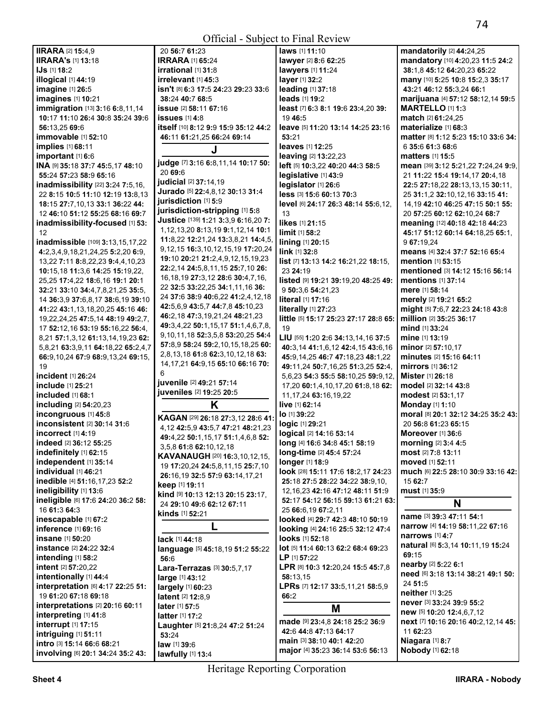| <b>IIRARA [2] 15:4,9</b>                  | 20 56:7 61:23                                      | laws [1] 11:10                        | mandatorily [2] 44:24,25              |
|-------------------------------------------|----------------------------------------------------|---------------------------------------|---------------------------------------|
| <b>IIRARA's [1] 13:18</b>                 | <b>IRRARA [1] 65:24</b>                            | lawyer [2] 8:6 62:25                  | mandatory [10] 4:20,23 11:5 24:2      |
| <b>IJs</b> [1] 18:2                       | irrational [1] 31:8                                | lawyers [1] 11:24                     | 38:1,8 45:12 64:20,23 65:22           |
| illogical [1] 44:19                       | irrelevant $[1]$ 45:3                              | layer [1] 32:2                        | many [10] 5:25 10:8 15:2,3 35:17      |
| imagine [1] 26:5                          | <b>isn't</b> [8] <b>6:3 17:5 24:23 29:23 33:</b> 6 | leading [1] 37:18                     | 43:21 46:12 55:3,24 66:1              |
| imagines [1] 10:21                        | 38:24 40:7 68:5                                    | leads [1] 19:2                        | marijuana [4] 57:12 58:12,14 59:5     |
| <b>immigration</b> [13] 3:16 6:8,11,14    | <b>issue</b> [2] 58:11 67:16                       | least [7] 6:3 8:1 19:6 23:4,20 39:    | <b>MARTELLO [1] 1:3</b>               |
| 10:17 11:10 26:4 30:8 35:24 39:6          | issues $[1]$ 4:8                                   | 19 46:5                               | match [2] 61:24,25                    |
| 56:13.25 69:6                             | itself [10] 8:12 9:9 15:9 35:12 44:2               | leave [5] 11:20 13:14 14:25 23:16     | materialize [1] 68:3                  |
| immovable [1] 52:10                       | 46:11 61:21,25 66:24 69:14                         | 53:21                                 | matter [8] 1:12 5:23 15:10 33:6 34:   |
| implies [1] 68:11                         |                                                    | leaves [1] 12:25                      | 6 35:6 61:3 68:6                      |
| important [1] 6:6                         | J                                                  | <b>leaving [2] 13:22,23</b>           | <b>matters</b> [1] <b>15:5</b>        |
| INA [9] 35:18 37:7 45:5,17 48:10          | judge [7] 3:16 6:8,11,14 10:17 50:                 | left [5] 10:3,22 40:20 44:3 58:5      | mean [39] 3:12 5:21,22 7:24,24 9:9,   |
| 55:24 57:23 58:9 65:16                    | 20 69:6                                            | legislative [1] 43:9                  | 21 11:22 15:4 19:14,17 20:4,18        |
| inadmissibility [22] 3:24 7:5,16,         | judicial [2] 37:14,19                              | legislator [1] 26:6                   | 22:5 27:18,22 28:13,13,15 30:11,      |
| 22 8:15 10:5 11:10 12:19 13:8,13          | Jurado [5] 22:4,8,12 30:13 31:4                    | less [3] 15:6 60:13 70:3              | 25 31:1,2 32:10,12,16 33:15 41:       |
| 18:15 27:7,10,13 33:1 36:22 44:           | jurisdiction [1] 5:9                               | level [6] 24:17 26:3 48:14 55:6,12,   | 14, 19 42: 10 46: 25 47: 15 50: 1 55: |
| 12 46:10 51:12 55:25 68:16 69:7           | jurisdiction-stripping [1] 5:8                     | 13                                    | 20 57:25 60:12 62:10,24 68:7          |
| inadmissibility-focused [1] 53:           | Justice [139] 1:21 3:3,9 6:16,20 7:                | likes [1] 21:15                       | meaning [12] 40:18 42:18 44:23        |
| 12                                        | 1, 12, 13, 20 8: 13, 19 9: 1, 12, 14 10: 1         | limit [1] 58:2                        | 45:17 51:12 60:14 64:18,25 65:1,      |
| inadmissible [109] 3:13,15,17,22          | 11:8,22 12:21,24 13:3,8,21 14:4,5,                 | lining [1] 20:15                      | 9 67:19.24                            |
| 4:2,3,4,9,18,21,24,25 5:2,20 6:9,         | 9, 12, 15 16: 3, 10, 12, 15, 19 17: 20, 24         | link [1] 32:8                         | means [4] 32:4 37:7 52:16 65:4        |
| 13,22 7:11 8:8,22,23 9:4,4,10,23          | 19:10 20:21 21:2,4,9,12,15,19,23                   | list [7] 13:13 14:2 16:21,22 18:15,   | mention [1] 53:15                     |
| 10:15,18 11:3,6 14:25 15:19,22,           | 22:2,14 24:5,8,11,15 25:7,10 26:                   | 23 24:19                              | mentioned [3] 14:12 15:16 56:14       |
| 25,25 17:4,22 18:6,16 19:1 20:1           | 16, 18, 19 27: 3, 12 28: 6 30: 4, 7, 16,           | listed [9] 19:21 39:19,20 48:25 49:   | <b>mentions</b> [1] 37:14             |
| 32:21 33:10 34:4,7,8,21,25 35:5,          | 22 32:5 33:22,25 34:1,11,16 36:                    | 9 50:3,6 54:21,23                     | mere [1] 58:14                        |
| 14 36:3,9 37:6,8,17 38:6,19 39:10         | 24 37:6 38:9 40:6,22 41:2,4,12,18                  | literal [1] 17:16                     | merely [2] 19:21 65:2                 |
| 41:22 43:1,13,18,20,25 45:16 46:          | 42:5,6,9 43:5,7 44:7,8 45:10,23                    | literally [1] 27:23                   | might [5] 7:6,7 22:23 24:18 43:8      |
| 19, 22, 24, 25 47: 5, 14 48: 19 49: 2, 7, | 46:2,18 47:3,19,21,24 48:21,23                     | little [5] 15:17 25:23 27:17 28:8 65: | million [2] 35:25 36:17               |
| 17 52:12,16 53:19 55:16,22 56:4,          | 49:3,4,22 50:1,15,17 51:1,4,6,7,8,                 | 19                                    | <b>mind</b> [1] 33:24                 |
| 8,21 57:1,3,12 61:13,14,19,23 62:         | 9, 10, 11, 18 52: 3, 5, 8 53: 20, 25 54: 4         | LIU [55] 1:20 2:6 34:13,14,16 37:5    | <b>mine</b> [1] <b>13:19</b>          |
| 5,8,21 63:3,9,11 64:18,22 65:2,4,7        | 57:8,9 58:24 59:2,10,15,18,25 60:                  | 40:3,14 41:1,6,12 42:4,15 43:6,16     | minor [2] 57:10,17                    |
| 66:9,10,24 67:9 68:9,13,24 69:15,         | 2,8,13,18 61:8 62:3,10,12,18 63:                   | 45:9,14,25 46:7 47:18,23 48:1,22      | minutes [2] 15:16 64:11               |
| 19                                        | 14, 17, 21 64: 9, 15 65: 10 66: 16 70:             | 49:11,24 50:7,16,25 51:3,25 52:4,     | mirrors [1] 36:12                     |
| incident [1] 26:24                        | 6                                                  | 5,6,23 54:3 55:5 58:10,25 59:9,12,    | Mister [1] 26:18                      |
| include [1] 25:21                         | juvenile [2] 49:21 57:14                           | 17,20 60:1,4,10,17,20 61:8,18 62:     | <b>model</b> [2] <b>32:14 43:8</b>    |
| included [1] 68:1                         | juveniles [2] 19:25 20:5                           | 11, 17, 24 63: 16, 19, 22             | modest [2] 53:1,17                    |
| including [2] 54:20,23                    | K                                                  | live [1] 62:14                        | <b>Monday</b> [1] 1:10                |
| incongruous [1] 45:8                      | KAGAN [29] 26:18 27:3,12 28:6 41:                  | lo [1] 39:22                          | moral [8] 20:1 32:12 34:25 35:2 43:   |
| inconsistent [2] 30:14 31:6               | 4, 12 42: 5, 9 43: 5, 7 47: 21 48: 21, 23          | logic [1] 29:21                       | 20 56:8 61:23 65:15                   |
| incorrect [1] 4:19                        | 49:4,22 50:1,15,17 51:1,4,6,8 52:                  | logical [2] 14:16 53:14               | <b>Moreover</b> [1] 36:6              |
| indeed [2] 36:12 55:25                    | 3,5,8 61:8 62:10,12,18                             | long [4] 16:6 34:8 45:1 58:19         | morning [2] 3:4 4:5                   |
| indefinitely [1] 62:15                    | KAVANAUGH [20] 16:3,10,12,15,                      | <b>long-time</b> [2] 45:4 57:24       | <b>most</b> [2] $7:8$ 13:11           |
| independent [1] 35:14                     | 19 17:20,24 24:5,8,11,15 25:7,10                   | longer [1] 18:9                       | <b>moved</b> [1] <b>52:11</b>         |
| individual [1] 46:21                      | 26:16,19 32:5 57:9 63:14,17,21                     | look [28] 15:11 17:6 18:2,17 24:23    | much [6] 22:5 28:10 30:9 33:16 42:    |
| inedible [4] 51:16,17,23 52:2             | keep [1] 19:11                                     | 25:18 27:5 28:22 34:22 38:9.10.       | 15 62:7                               |
| ineligibility [1] 13:6                    | kind [9] 10:13 12:13 20:15 23:17,                  | 12, 16, 23 42: 16 47: 12 48: 11 51: 9 | must [1] 35:9                         |
| ineligible [6] 17:6 24:20 36:2 58:        | 24 29:10 49:6 62:12 67:11                          | 52:17 54:12 56:15 59:13 61:21 63:     | N                                     |
| 16 61:3 64:3                              | <b>kinds</b> [1] <b>52:</b> 21                     | 25 66:6,19 67:2,11                    | name [3] 39:3 47:11 54:1              |
| inescapable [1] 67:2                      | L                                                  | looked [4] 29:7 42:3 48:10 50:19      | narrow [4] 14:19 58:11,22 67:16       |
| inference [1] 69:16                       |                                                    | looking [4] 24:16 25:5 32:12 47:4     | <b>narrows</b> [1] 4:7                |
| insane [1] 50:20                          | lack [1] 44:18                                     | looks [1] 52:18                       | natural [6] 5:3,14 10:11,19 15:24     |
| instance [2] 24:22 32:4                   | language [5] 45:18,19 51:2 55:22                   | lot [5] 11:4 60:13 62:2 68:4 69:23    | 69:15                                 |
| intending [1] 58:2                        | 56:6                                               | LP [1] 57:22                          | nearby [2] 5:22 6:1                   |
| intent [2] 57:20,22                       | Lara-Terrazas [3] 30:5,7,17                        | LPR [8] 10:3 12:20,24 15:5 45:7,8     | need [6] 3:18 13:14 38:21 49:1 50:    |
| intentionally [1] 44:4                    | large [1] 43:12                                    | 58:13,15                              | 24 51:5                               |
| interpretation [6] 4:17 22:25 51:         | largely [1] 60:23                                  | LPRs [7] 12:17 33:5,11,21 58:5,9      | neither [1] 3:25                      |
| 19 61:20 67:18 69:18                      | <b>latent</b> [2] 12:8,9                           | 66:2                                  | never [3] 33:24 39:9 55:2             |
| interpretations [2] 20:16 60:11           | <b>later</b> $[1]$ 57:5                            | M                                     | new [5] $10:20$ 12:4,6,7,12           |
| interpreting [1] 41:8                     | <b>latter</b> [1] <b>17:2</b>                      | made [9] 23:4,8 24:18 25:2 36:9       | next [7] 10:16 20:16 40:2,12,14 45:   |
| interrupt [1] 17:15                       | Laughter [5] 21:8,24 47:2 51:24                    | 42:6 44:8 47:13 64:17                 | 11 62:23                              |
| intriguing [1] 51:11                      | 53:24                                              | main [3] 38:10 40:1 42:20             | Niagara [1] 8:7                       |
| intro [3] 15:14 66:6 68:21                | law [1] 39:6                                       | major [4] 35:23 36:14 53:6 56:13      | Nobody [1] 62:18                      |
| involving [6] 20:1 34:24 35:2 43:         | lawfully [1] 13:4                                  |                                       |                                       |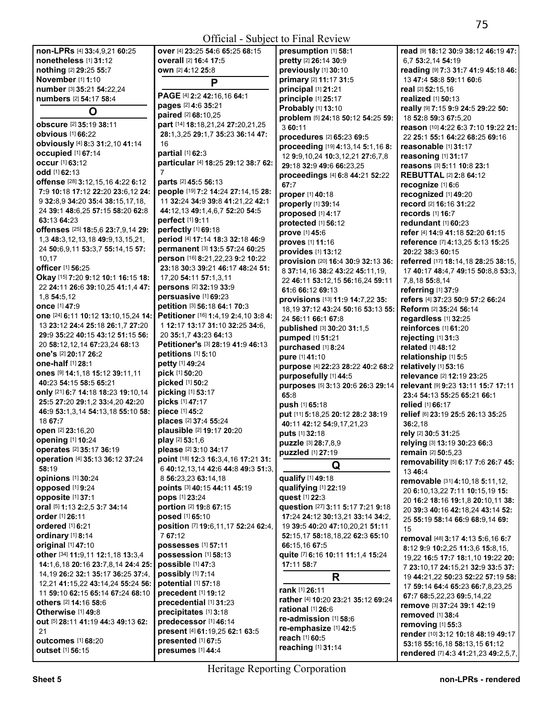| non-LPRs [4] 33:4,9,21 60:25            | over [4] 23:25 54:6 65:25 68:15          | presumption [1] 58:1                     | read [9] 18:12 30:9 38:12 46:19 47: |
|-----------------------------------------|------------------------------------------|------------------------------------------|-------------------------------------|
| nonetheless [1] 31:12                   | overall [2] 16:4 17:5                    | pretty [2] 26:14 30:9                    | 6.7 53:2.14 54:19                   |
| nothing [2] 29:25 55:7                  | own [2] 4:12 25:8                        | previously [1] 30:10                     | reading [9] 7:3 31:7 41:9 45:18 46: |
| November [1] 1:10                       |                                          | primary [2] 11:17 31:5                   | 13 47:4 58:8 59:11 60:6             |
| number [3] 35:21 54:22,24               | P                                        | principal [1] 21:21                      | real [2] 52:15,16                   |
| numbers [2] 54:17 58:4                  | PAGE [4] 2:2 42:16,16 64:1               | principle [1] 25:17                      | realized [1] 50:13                  |
|                                         | pages [2] 4:6 35:21                      |                                          |                                     |
| O                                       | paired [2] 68:10,25                      | Probably [1] 13:10                       | really [9] 7:15 9:9 24:5 29:22 50:  |
| obscure [2] 35:19 38:11                 | part [14] 18:18,21,24 27:20,21,25        | problem [5] 24:18 50:12 54:25 59:        | 18 52:8 59:3 67:5,20                |
| <b>obvious</b> [1] 66:22                | 28:1,3,25 29:1,7 35:23 36:14 47:         | 3 60:11                                  | reason [10] 4:22 6:3 7:10 19:22 21: |
| obviously [4] 8:3 31:2,10 41:14         | 16                                       | procedures [2] 65:23 69:5                | 22 25:1 55:1 64:22 68:25 69:16      |
| occupied [1] 67:14                      | partial [1] 62:3                         | proceeding [19] 4:13,14 5:1,16 8:        | reasonable [1] 31:17                |
| <b>occur</b> [1] 63:12                  |                                          | 12 9:9, 10, 24 10: 3, 12, 21 27: 6, 7, 8 | reasoning [1] 31:17                 |
|                                         | particular [4] 18:25 29:12 38:7 62:<br>7 | 29:18 32:9 49:6 66:23.25                 | reasons [3] 5:11 10:8 23:1          |
| odd [1] 62:13                           |                                          | proceedings [4] 6:8 44:21 52:22          | <b>REBUTTAL [2] 2:8 64:12</b>       |
| offense [28] 3:12,15,16 4:22 6:12       | <b>parts</b> [2] 45:5 56:13              | 67:7                                     | recognize [1] 6:6                   |
| 7:9 10:18 17:12 22:20 23:6,12 24:       | people [19] 7:2 14:24 27:14,15 28:       | proper [1] 40:18                         | recognized [1] 49:20                |
| 9 32:8,9 34:20 35:4 38:15,17,18,        | 11 32:24 34:9 39:8 41:21,22 42:1         | properly [1] 39:14                       | record [2] 16:16 31:22              |
| 24 39:1 48:6,25 57:15 58:20 62:8        | 44:12,13 49:1,4,6,7 52:20 54:5           | proposed [1] 4:17                        | records [1] 16:7                    |
| 63:13 64:23                             | perfect [1] 9:11                         | protected [1] 56:12                      | redundant [1] 60:23                 |
| offenses [25] 18:5,6 23:7,9,14 29:      | perfectly [1] 69:18                      | prove [1] 45:6                           | refer [4] 14:9 41:18 52:20 61:15    |
| 1,3 48:3,12,13,18 49:9,13,15,21,        | period [4] 17:14 18:3 32:18 46:9         | proves [1] 11:16                         | reference [7] 4:13,25 5:13 15:25    |
| 24 50:6,9,11 53:3,7 55:14,15 57:        | permanent [3] 13:5 57:24 60:25           | provides [1] 13:12                       | 20:22 38:3 60:15                    |
| 10,17                                   | person [16] 8:21,22,23 9:2 10:22         | provision [20] 16:4 30:9 32:13 36:       | referred [17] 18:14,18 28:25 38:15, |
| officer [1] 56:25                       | 23:18 30:3 39:21 46:17 48:24 51:         | 8 37:14,16 38:2 43:22 45:11,19,          | 17 40:17 48:4,7 49:15 50:8,8 53:3,  |
| Okay [15] 7:20 9:12 10:1 16:15 18:      | 17,20 54:11 57:1,3,11                    | 22 46:11 53:12,15 56:16,24 59:11         | 7,8,18 55:8,14                      |
| 22 24:11 26:6 39:10,25 41:1,4 47:       | persons [2] 32:19 33:9                   | 61:6 66:12 69:13                         | referring [1] 37:9                  |
| 1,8 54:5,12                             | persuasive [1] 69:23                     |                                          |                                     |
| <b>once</b> [1] 47:9                    | petition [3] 56:18 64:1 70:3             | provisions [13] 11:9 14:7,22 35:         | refers [4] 37:23 50:9 57:2 66:24    |
| one [24] 6:11 10:12 13:10,15,24 14:     | Petitioner [16] 1:4,19 2:4,10 3:8 4:     | 18, 19 37: 12 43: 24 50: 16 53: 13 55:   | Reform [2] 35:24 56:14              |
| 13 23:12 24:4 25:18 26:1,7 27:20        | 1 12:17 13:17 31:10 32:25 34:6,          | 24 56:11 66:1 67:8                       | regardless [1] 32:25                |
| 29:9 35:22 40:15 43:12 51:15 56:        | 20 35:1,7 43:23 64:13                    | published [3] 30:20 31:1,5               | reinforces [1] 61:20                |
| 20 58:12,12,14 67:23,24 68:13           | Petitioner's [3] 28:19 41:9 46:13        | pumped [1] 51:21                         | rejecting [1] 31:3                  |
| one's [2] 20:17 26:2                    | petitions [1] 5:10                       | purchased [1] 8:24                       | related [1] 48:12                   |
| one-half [1] 28:1                       |                                          | pure [1] 41:10                           | relationship [1] 5:5                |
|                                         | petty [1] 49:24<br>pick [1] 50:20        | purpose [4] 22:23 28:22 40:2 68:2        | relatively [1] 53:16                |
| Ones [9] 14:1,18 15:12 39:11,11         |                                          | purposefully [1] 44:5                    | relevance [2] 12:19 23:25           |
| 40:23 54:15 58:5 65:21                  | picked [1] 50:2                          | purposes [5] 3:13 20:6 26:3 29:14        | relevant [9] 9:23 13:11 15:7 17:11  |
| only [21] 6:7 14:18 18:23 19:10,14      | picking [1] 53:17                        | 65:8                                     | 23:4 54:13 55:25 65:21 66:1         |
| 25:5 27:20 29:1.2 33:4.20 42:20         | picks [1] 47:17                          | push [1] 65:18                           | relied [1] 66:17                    |
| 46:9 53:1,3,14 54:13,18 55:10 58:       | piece [1] 45:2                           | put [11] 5:18,25 20:12 28:2 38:19        | relief [6] 23:19 25:5 26:13 35:25   |
| 18 67:7                                 | places [2] 37:4 55:24                    | 40:11 42:12 54:9,17,21,23                | 36:2,18                             |
| open [2] 23:16,20                       | plausible [2] 19:17 20:20                | puts [1] 32:18                           | rely [2] 30:5 31:25                 |
| opening [1] 10:24                       | play [2] 53:1,6                          | puzzle [3] 28:7,8,9                      | relying [3] 13:19 30:23 66:3        |
| operates [2] 35:17 36:19                | please [2] 3:10 34:17                    | puzzled [1] 27:19                        | <b>remain</b> [2] <b>50:</b> 5,23   |
| operation [4] 35:13 36:12 37:24         | point [18] 12:3 16:3,4,16 17:21 31:      |                                          | removability [5] 6:17 7:6 26:7 45:  |
| 58:19                                   | 6 40:12,13,14 42:6 44:8 49:3 51:3,       | Q                                        | 13 46:4                             |
| opinions [1] 30:24                      | 8 56:23,23 63:14,18                      | qualify [1] 49:18                        | removable [31] 4:10,18 5:11,12,     |
| opposed [1] 9:24                        | points [3] 40:15 44:11 45:19             | qualifying [1] 22:19                     | 20 6:10,13,22 7:11 10:15,19 15:     |
| opposite [1] 37:1                       | pops [1] 23:24                           | quest [1] 22:3                           | 20 16:2 18:16 19:1,8 20:10,11 38:   |
| oral [5] 1:13 2:2,5 3:7 34:14           | portion [2] 19:8 67:15                   | question [27] 3:11 5:17 7:21 9:18        | 20 39:3 40:16 42:18,24 43:14 52:    |
| order [1] 26:11                         | <b>posed</b> [1] 65:10                   | 17:24 24:12 30:13,21 33:14 34:2,         | 25 55:19 58:14 66:9 68:9,14 69:     |
| ordered [1] 6:21                        | position [7] 19:6,11,17 52:24 62:4,      | 19 39:5 40:20 47:10,20,21 51:11          | 15                                  |
| ordinary [1] 8:14                       | 767:12                                   | 52:15,17 58:18,18,22 62:3 65:10          |                                     |
| original [1] 47:10                      | possesses [1] 57:11                      | 66:15,16 67:5                            | removal [48] 3:17 4:13 5:6,16 6:7   |
| other [34] 11:9,11 12:1,18 13:3,4       | possession [1] 58:13                     | quite [7] 6:16 10:11 11:1,4 15:24        | 8:12 9:9 10:2.25 11:3.6 15:8.15.    |
| 14:1,6,18 20:16 23:7,8,14 24:4 25:      | possible [1] 47:3                        | 17:11 58:7                               | 19,22 16:5 17:7 18:1,10 19:22 20:   |
| 14, 19 26: 2 32: 1 35: 17 36: 25 37: 4, | possibly [1] 7:14                        |                                          | 7 23:10.17 24:15.21 32:9 33:5 37:   |
| 12,21 41:15,22 43:14,24 55:24 56:       | potential [1] 57:18                      | R                                        | 19 44:21,22 50:23 52:22 57:19 58:   |
| 11 59:10 62:15 65:14 67:24 68:10        | precedent [1] 19:12                      | rank [1] 26:11                           | 17 59:14 64:4 65:23 66:7,8,23,25    |
| others [2] 14:16 58:6                   | precedential [1] 31:23                   | rather [4] 10:20 23:21 35:12 69:24       | 67:7 68:5,22,23 69:5,14,22          |
| Otherwise [1] 49:8                      | precipitates [1] 3:18                    | rational [1] 26:6                        | remove [3] 37:24 39:1 42:19         |
|                                         |                                          | re-admission [1] 58:6                    | removed $[1]$ 38:4                  |
| out [5] 28:11 41:19 44:3 49:13 62:      | predecessor [1] 46:14                    | re-emphasize [1] 42:5                    | removing [1] 55:3                   |
| 21                                      | present [4] 61:19,25 62:1 63:5           | reach [1] 60:5                           | render [10] 3:12 10:18 48:19 49:17  |
| outcomes [1] 68:20                      | presented [1] 67:5                       | reaching [1] 31:14                       | 53:18 55:16,18 58:13,15 61:12       |
| outset [1] 56:15                        | presumes [1] 44:4                        |                                          | rendered [7] 4:3 41:21,23 49:2,5,7, |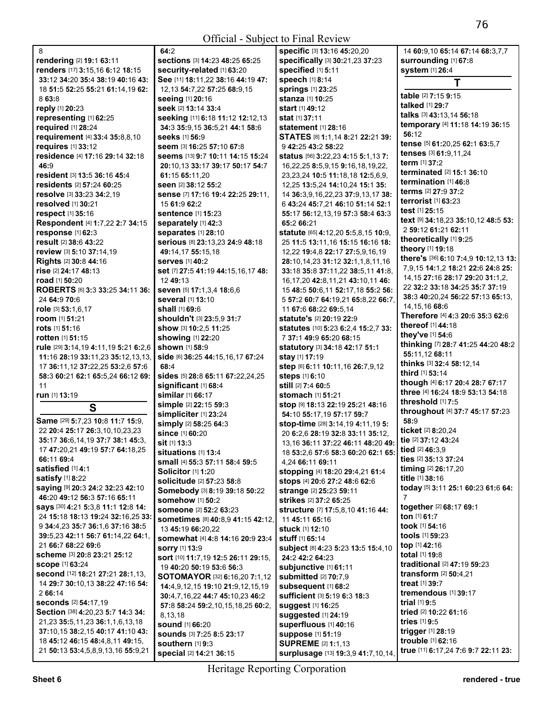| 8                                    | t                        |
|--------------------------------------|--------------------------|
| rendering [2] 19:1 63:11             | s                        |
| renders [17] 3:15,16 6:12 18:15      | Ś                        |
| 33:12 34:20 35:4 38:19 40:16 43:     | S                        |
| 18 51:5 52:25 55:21 61:14,19 62:     | ſ                        |
| 8 63:8                               | s                        |
| reply [1] 20:23                      | S                        |
| representing [1] 62:25               | s                        |
| <b>required</b> [1] 28:24            | é                        |
| requirement [4] 33:4 35:8,8,10       | s                        |
| <b>requires</b> [1] 33:12            | Ś                        |
| residence [4] 17:16 29:14 32:18      | Ś                        |
| 46:9                                 | í                        |
| resident [3] 13:5 36:16 45:4         | t                        |
| residents [2] 57:24 60:25            | s                        |
| resolve [3] 33:23 34:2,19            | S                        |
| resolved [1] 30:21                   | $\overline{\phantom{a}}$ |
| <b>respect</b> [1] 35:16             | s                        |
| Respondent [4] 1:7,22 2:7 34:15      | s                        |
| response [1] 62:3                    | S                        |
| result [2] 38:6 43:22                | S                        |
| review [3] 5:10 37:14,19             | $\epsilon$               |
| <b>Rights [2] 30:8 44:16</b>         | s                        |
| rise [2] 24:17 48:13                 | Ś                        |
| road [1] 50:20                       | í                        |
| ROBERTS [6] 3:3 33:25 34:11 36:      | S                        |
| 24 64:9 70:6                         | s                        |
| role [3] 53:1,6,17                   | s                        |
| room [1] 51:21                       | S                        |
| rots [1] 51:16                       | S                        |
| rotten [1] 51:15                     | S                        |
| rule [29] 3:14,19 4:11,19 5:21 6:2,6 | s                        |
| 11:16 28:19 33:11,23 35:12,13,13,    | Ś                        |
| 17 36:11,12 37:22,25 53:2,6 57:6     | -6                       |
| 58:3 60:21 62:1 65:5,24 66:12 69:    | s                        |
| 11                                   | s                        |
| run [1] 13:19                        | S                        |
| S                                    | S                        |
|                                      | s                        |
| Same [29] 5:7,23 10:8 11:7 15:9,     | Ś                        |
| 22 20:4 25:17 26:3,10,10,23,23       | s                        |
| 35:17 36:6,14,19 37:7 38:1 45:3,     | S                        |
| 17 47:20,21 49:19 57:7 64:18,25      | S                        |
| 66:11 69:4                           | S                        |
| satisfied [1] 4:1                    | S                        |
| <b>satisfy</b> [1] 8:22              | S                        |
| Saying [9] 20:3 24:2 32:23 42:10     | s                        |
| 46:20 49:12 56:3 57:16 65:11         | s                        |
| says [30] 4:21 5:3,8 11:1 12:8 14:   | $\epsilon$               |

24 **15:**18 **18:**13 **19:**24 **32:**16,25 **33:**  9 **34:**4,23 **35:**7 **36:**1,6 **37:**16 **38:**5 **39:**5,23 **42:**11 **56:**7 **61:**14,22 **64:**1,

**second** [12] **18:**21 **27:**21 **28:**1,13, 14 **29:**7 **30:**10,13 **38:**22 **47:**16 **54:** 

**Section** [38] **4:**20,23 **5:**7 **14:**3 **34:**  21,23 **35:**5,11,23 **36:**1,1,6,13,18 **37:**10,15 **38:**2,15 **40:**17 **41:**10 **43:**  18 **45:**12 **46:**15 **48:**4,8,11 **49:**15, 21 **50:**13 **53:**4,5,8,9,13,16 **55:**9,21

21 **66:**7 **68:**22 **69:**6 **scheme** [3] **20:**8 **23:**21 **25:**12

**seconds** [2] **54:**17,19

**scope** [1] **63:**24

2 **66:**14

**64:**2 **sections** [3] **14:**23 **48:**25 **65:**25 **security-related** [1] **63:**20 **See** [11] **18:**11,22 **38:**16 **44:**19 **47:**  12,13 **54:**7,22 **57:**25 **68:**9,15 **seeing** [1] **20:**16 **seek** [2] **13:**14 **33:**4 **seeking** [11] **6:**18 **11:**12 **12:**12,13 **34:**3 **35:**9,15 **36:**5,21 **44:**1 **58:**6 **seeks** [1] **56:**9 **seem** [3] **16:**25 **57:**10 **67:**8 **seems** [13] **9:**7 **10:**11 **14:**15 **15:**24 **20:**10,13 **33:**17 **39:**17 **50:**17 **54:**7 **61:**15 **65:**11,20 **seen** [2] **38:**12 **55:**2 **sense** [7] **17:**16 **19:**4 **22:**25 **29:**11, 15 **61:**9 **62:**2 **sentence** [1] **15:**23 **separately** [1] **42:**3 **separates** [1] **28:**10 **serious** [8] **23:**13,23 **24:**9 **48:**18 **49:**14,17 **55:**15,18 **serves** [1] **40:**2 **set** [7] **27:**5 **41:**19 **44:**15,16,17 **48:**  12 **49:**13 **seven** [5] **17:**1,3,4 **18:**6,6 **several** [1] **13:**10 **shall** [1] **69:**6 **shouldn't** [3] **23:**5,9 **31:**7 **show** [3] **10:**2,5 **11:**25 **showing** [1] **22:**20 **shown** [1] **58:**9 **side** [6] **36:**25 **44:**15,16,17 **67:**24 **68:**4 **sides** [5] **28:**8 **65:**11 **67:**22,24,25 **significant** [1] **68:**4 **similar** [1] **66:**17 **simple** [2] **22:**15 **59:**3 **simpliciter** [1] **23:**24 **simply** [2] **58:**25 **64:**3 **since** [1] **60:**20 **sit** [1] **13:**3 **situations** [1] **13:**4 **small** [4] **55:**3 **57:**11 **58:**4 **59:**5 **Solicitor** [1] **1:**20 **solicitude** [2] **57:**23 **58:**8 **Somebody** [3] **8:**19 **39:**18 **50:**22 **somehow** [1] **50:**2 **someone** [2] **52:**2 **63:**23 **sometimes** [8] **40:**8,9 **41:**15 **42:**12, 13 **45:**19 **66:**20,22 **somewhat** [4] **4:**8 **14:**16 **20:**9 **23:**4 **sorry** [1] **13:**9 **sort** [10] **11:**7,19 **12:**5 **26:**11 **29:**15, 19 **40:**20 **50:**19 **53:**6 **56:**3 **SOTOMAYOR** [32] **6:**16,20 **7:**1,12 **14:**4,9,12,15 **19:**10 **21:**9,12,15,19 **30:**4,7,16,22 **44:**7 **45:**10,23 **46:**2 **57:**8 **58:**24 **59:**2,10,15,18,25 **60:**2, 8,13,18 **sound** [1] **66:**20 **sounds** [3] **7:**25 **8:**5 **23:**17 **southern** [1] **9:**3 **special** [2] **14:**21 **36:**15

**specific** [3] **13:**16 **45:**20,20 **specifically** [3] **30:**21,23 **37:**23 **specified** [1] **5:**11 **speech** [1] **8:**14 **springs** [1] **23:**25 **stanza** [1] **10:**25 **start** [1] **49:**12 **stat** [1] **37:**11 **statement** [1] **28:**16 **STATES** [8] **1:**1,14 **8:**21 **22:**21 **39:**  9 **42:**25 **43:**2 **58:**22 **status** [56] **3:**22,23 **4:**15 **5:**1,13 **7:**  16,22,25 **8:**5,9,15 **9:**16,18,19,22, 23,23,24 **10:**5 **11:**18,18 **12:**5,6,9, 12,25 **13:**5,24 **14:**10,24 **15:**1 **35:**  14 **36:**3,9,16,22,23 **37:**9,13,17 **38:**  6 **43:**24 **45:**7,21 **46:**10 **51:**14 **52:**1 **55:**17 **56:**12,13,19 **57:**3 **58:**4 **63:**3 **65:**2 **66:**21 **statute** [65] **4:**12,20 **5:**5,8,15 **10:**9, 25 **11:**5 **13:**11,16 **15:**15 **16:**16 **18:**  12,22 **19:**4,8 **22:**17 **27:**5,9,16,19 **28:**10,14,23 **31:**12 **32:**1,1,8,11,16 **33:**18 **35:**8 **37:**11,22 **38:**5,11 **41:**8, 16,17,20 **42:**8,11,21 **43:**10,11 **46:**  15 **48:**5 **50:**6,11 **52:**17,18 **55:**2 **56:**  5 **57:**2 **60:**7 **64:**19,21 **65:**8,22 **66:**7, 11 **67:**6 **68:**22 **69:**5,14 **statute's** [2] **20:**19 **22:**9 **statutes** [10] **5:**23 **6:**2,4 **15:**2,7 **33:**  7 **37:**1 **49:**9 **65:**20 **68:**15 **statutory** [3] **34:**18 **42:**17 **51:**1 **stay** [1] **17:**19 **step** [6] **6:**11 **10:**11,16 **26:**7,9,12 **steps** [1] **6:**10 **still** [2] **7:**4 **60:**5 **stomach** [1] **51:**21 **stop** [9] **18:**13 **22:**19 **25:**21 **48:**16 **54:**10 **55:**17,19 **57:**17 **59:**7 **stop-time** [28] **3:**14,19 **4:**11,19 **5:**  20 **6:**2,6 **28:**19 **32:**8 **33:**11 **35:**12, 13,16 **36:**11 **37:**22 **46:**11 **48:**20 **49:**  18 **53:**2,6 **57:**6 **58:**3 **60:**20 **62:**1 **65:**  4,24 **66:**11 **69:**11 **stopping** [4] **18:**20 **29:**4,21 **61:**4 **stops** [4] **20:**6 **27:**2 **48:**6 **62:**6 **strange** [2] **25:**23 **59:**11 **strikes** [2] **37:**2 **65:**25 **structure** [7] **17:**5,8,10 **41:**16 **44:**  11 **45:**11 **65:**16 **stuck** [1] **12:**10 **stuff** [1] **65:**14 **subject** [8] **4:**23 **5:**23 **13:**5 **15:**4,10 **24:**2 **42:**2 **64:**23 **subjunctive** [1] **61:**11 **submitted** [2] **70:**7,9 **subsequent** [1] **68:**2 **sufficient** [3] **5:**19 **6:**3 **18:**3 **suggest** [1] **16:**25 **suggested** [1] **24:**19 **superfluous** [1] **40:**16 **suppose** [1] **51:**19 **SUPREME** [2] **1:**1,13 **surplusage** [13] **19:**3,9 **41:**7,10,14, **58:**9 7

14 **60:**9,10 **65:**14 **67:**14 **68:**3,7,7 **surrounding** [1] **67:**8 **system** [1] **26:**4 **T table** [2] **7:**15 **9:**15 **talked** [1] **29:**7 **talks** [3] **43:**13,14 **56:**18 **temporary** [4] **11:**18 **14:**19 **36:**15 **56:**12 **tense** [5] **61:**20,25 **62:**1 **63:**5,7 **tenses** [3] **61:**9,11,24 **term** [1] **37:**2 **terminated** [2] **15:**1 **36:**10 **termination** [1] **46:**8 **terms** [2] **27:**9 **37:**2 **terrorist** [1] **63:**23 **test** [1] **25:**15 **text** [9] **34:**18,23 **35:**10,12 **48:**5 **53:**  2 **59:**12 **61:**21 **62:**11 **theoretically** [1] **9:**25 **theory** [1] **19:**18 **there's** [36] **6:**10 **7:**4,9 **10:**12,13 **13:**  7,9,15 **14:**1,2 **18:**21 **22:**6 **24:**8 **25:**  14,15 **27:**16 **28:**17 **29:**20 **31:**1,2, 22 **32:**2 **33:**18 **34:**25 **35:**7 **37:**19 **38:**3 **40:**20,24 **56:**22 **57:**13 **65:**13, 14,15,16 **68:**6 **Therefore** [4] **4:**3 **20:**6 **35:**3 **62:**6 **thereof** [1] **44:**18 **they've** [1] **54:**6 **thinking** [7] **28:**7 **41:**25 **44:**20 **48:**2 **55:**11,12 **68:**11 **thinks** [3] **32:**4 **58:**12,14 **third** [1] **53:**14 **though** [4] **6:**17 **20:**4 **28:**7 **67:**17 **three** [4] **16:**24 **18:**9 **53:**13 **54:**18 **threshold** [1] **7:**5 **throughout** [4] **37:**7 **45:**17 **57:**23 **ticket** [2] **8:**20,24 **tie** [2] **37:**12 **43:**24 **tied** [2] **46:**3,9 **ties** [2] **35:**13 **37:**24 **timing** [2] **26:**17,20 **title** [1] **38:**16 **today** [5] **3:**11 **25:**1 **60:**23 **61:**6 **64: together** [2] **68:**17 **69:**1 **ton** [1] **61:**7 **took** [1] **54:**16 **tools** [1] **59:**23 **top** [1] **42:**16 **total** [1] **19:**8 **traditional** [2] **47:**19 **59:**23 **transform** [2] **50:**4,21 **treat** [1] **39:**7 **tremendous** [1] **39:**17 **trial** [1] **9:**5 **tried** [2] **10:**22 **61:**16 **tries** [1] **9:**5 **trigger** [1] **28:**19 **trouble** [1] **62:**16 **true** [11] **6:**17,24 **7:**6 **9:**7 **22:**11 **23:**